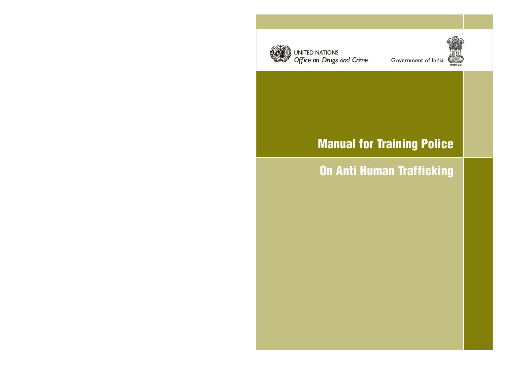

UNITED NATIONS Office on Drugs and Crime Government of India



# Manual for Training Police

# On Anti Human Trafficking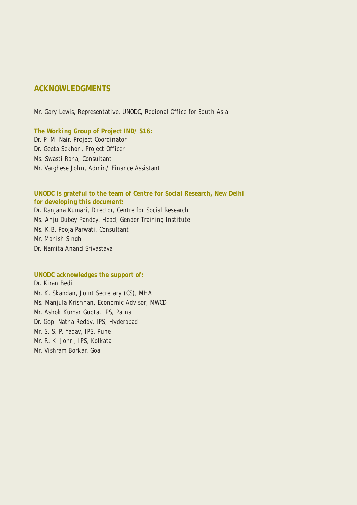# **ACKNOWLEDGMENTS**

Mr. Gary Lewis, Representative, UNODC, Regional Office for South Asia

#### **The Working Group of Project IND/ S16:**

Dr. P. M. Nair, Project Coordinator Dr. Geeta Sekhon, Project Officer Ms. Swasti Rana, Consultant Mr. Varghese John, Admin/ Finance Assistant

# **UNODC is grateful to the team of Centre for Social Research, New Delhi for developing this document:**

Dr. Ranjana Kumari, Director, Centre for Social Research Ms. Anju Dubey Pandey, Head, Gender Training Institute Ms. K.B. Pooja Parwati, Consultant Mr. Manish Singh Dr. Namita Anand Srivastava

# **UNODC acknowledges the support of:**

Dr. Kiran Bedi Mr. K. Skandan, Joint Secretary (CS), MHA Ms. Manjula Krishnan, Economic Advisor, MWCD Mr. Ashok Kumar Gupta, IPS, Patna Dr. Gopi Natha Reddy, IPS, Hyderabad Mr. S. S. P. Yadav, IPS, Pune Mr. R. K. Johri, IPS, Kolkata Mr. Vishram Borkar, Goa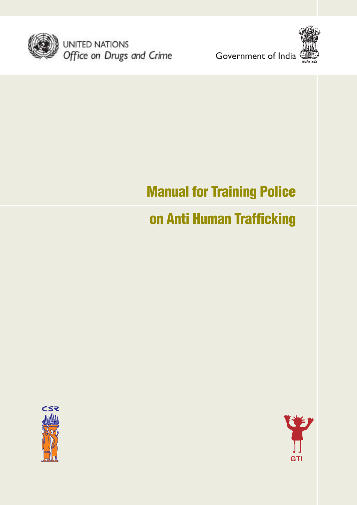

UNITED NATIONS<br>Office on Drugs and Crime





# Manual for Training Police

# on Anti Human Trafficking



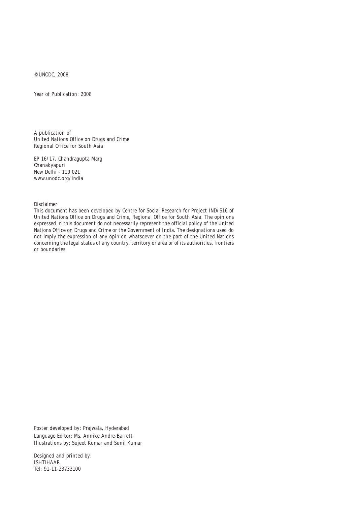© UNODC, 2008

Year of Publication: 2008

A publication of United Nations Office on Drugs and Crime Regional Office for South Asia

EP 16/17, Chandragupta Marg Chanakyapuri New Delhi - 110 021 www.unodc.org/india

Disclaimer

This document has been developed by Centre for Social Research for Project IND/S16 of United Nations Office on Drugs and Crime, Regional Office for South Asia. The opinions expressed in this document do not necessarily represent the official policy of the United Nations Office on Drugs and Crime or the Government of India. The designations used do not imply the expression of any opinion whatsoever on the part of the United Nations concerning the legal status of any country, territory or area or of its authorities, frontiers or boundaries.

Poster developed by: Prajwala, Hyderabad Language Editor: Ms. Annike Andre-Barrett Illustrations by: Sujeet Kumar and Sunil Kumar

Designed and printed by: ISHTIHAAR Tel: 91-11-23733100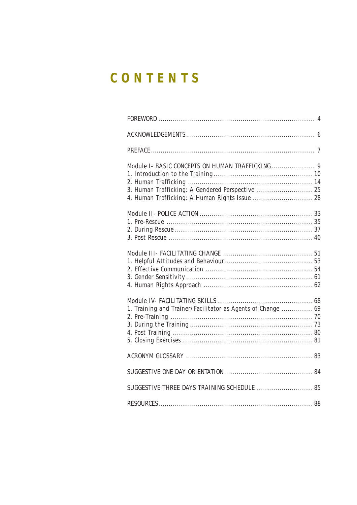# CONTENTS

| 3. Human Trafficking: A Gendered Perspective  25            |  |
|-------------------------------------------------------------|--|
|                                                             |  |
|                                                             |  |
|                                                             |  |
|                                                             |  |
|                                                             |  |
|                                                             |  |
|                                                             |  |
|                                                             |  |
|                                                             |  |
|                                                             |  |
|                                                             |  |
| 1. Training and Trainer/Facilitator as Agents of Change  69 |  |
|                                                             |  |
|                                                             |  |
|                                                             |  |
|                                                             |  |
|                                                             |  |
|                                                             |  |
|                                                             |  |
|                                                             |  |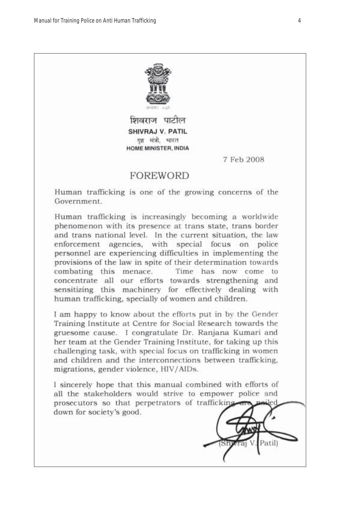

शिवराज पाटील SHIVRAJ V. PATIL गृह मंत्री, भारत HOME MINISTER, INDIA

7 Feb 2008

# **FOREWORD**

Human trafficking is one of the growing concerns of the Government

Human trafficking is increasingly becoming a worldwide phenomenon with its presence at trans state, trans border and trans national level. In the current situation, the law enforcement agencies, with special focus on police personnel are experiencing difficulties in implementing the provisions of the law in spite of their determination towards combating this menace. Time has now come to concentrate all our efforts towards strengthening and sensitizing this machinery for effectively dealing with human trafficking, specially of women and children.

I am happy to know about the efforts put in by the Gender Training Institute at Centre for Social Research towards the gruesome cause. I congratulate Dr. Ranjana Kumari and her team at the Gender Training Institute, for taking up this challenging task, with special focus on trafficking in women and children and the interconnections between trafficking, migrations, gender violence, HIV/AIDs.

I sincerely hope that this manual combined with efforts of all the stakeholders would strive to empower police and prosecutors so that perpetrators of trafficking down for society's good.

Patill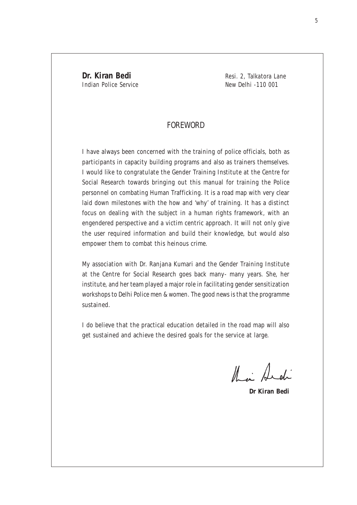**Dr. Kiran Bedi** Resi. 2, Talkatora Lane Indian Police Service New Delhi -110 001

# FOREWORD

I have always been concerned with the training of police officials, both as participants in capacity building programs and also as trainers themselves. I would like to congratulate the Gender Training Institute at the Centre for Social Research towards bringing out this manual for training the Police personnel on combating Human Trafficking. It is a road map with very clear laid down milestones with the how and 'why' of training. It has a distinct focus on dealing with the subject in a human rights framework, with an engendered perspective and a victim centric approach. It will not only give the user required information and build their knowledge, but would also empower them to combat this heinous crime.

My association with Dr. Ranjana Kumari and the Gender Training Institute at the Centre for Social Research goes back many- many years. She, her institute, and her team played a major role in facilitating gender sensitization workshops to Delhi Police men & women. The good news is that the programme sustained.

I do believe that the practical education detailed in the road map will also get sustained and achieve the desired goals for the service at large.

their Archi

**Dr Kiran Bedi**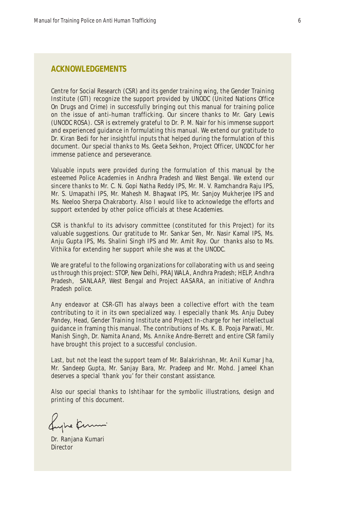# **ACKNOWLEDGEMENTS**

Centre for Social Research (CSR) and its gender training wing, the Gender Training Institute (GTI) recognize the support provided by UNODC (United Nations Office On Drugs and Crime) in successfully bringing out this manual for training police on the issue of anti-human trafficking. Our sincere thanks to Mr. Gary Lewis (UNODC ROSA). CSR is extremely grateful to Dr. P. M. Nair for his immense support and experienced guidance in formulating this manual. We extend our gratitude to Dr. Kiran Bedi for her insightful inputs that helped during the formulation of this document. Our special thanks to Ms. Geeta Sekhon, Project Officer, UNODC for her immense patience and perseverance.

Valuable inputs were provided during the formulation of this manual by the esteemed Police Academies in Andhra Pradesh and West Bengal. We extend our sincere thanks to Mr. C. N. Gopi Natha Reddy IPS, Mr. M. V. Ramchandra Raju IPS, Mr. S. Umapathi IPS, Mr. Mahesh M. Bhagwat IPS, Mr. Sanjoy Mukherjee IPS and Ms. Neeloo Sherpa Chakraborty. Also I would like to acknowledge the efforts and support extended by other police officials at these Academies.

CSR is thankful to its advisory committee (constituted for this Project) for its valuable suggestions. Our gratitude to Mr. Sankar Sen, Mr. Nasir Kamal IPS, Ms. Anju Gupta IPS, Ms. Shalini Singh IPS and Mr. Amit Roy. Our thanks also to Ms. Vithika for extending her support while she was at the UNODC.

We are grateful to the following organizations for collaborating with us and seeing us through this project: STOP, New Delhi, PRAJWALA, Andhra Pradesh; HELP, Andhra Pradesh, SANLAAP, West Bengal and Project AASARA, an initiative of Andhra Pradesh police.

Any endeavor at CSR-GTI has always been a collective effort with the team contributing to it in its own specialized way. I especially thank Ms. Anju Dubey Pandey, Head, Gender Training Institute and Project In-charge for her intellectual guidance in framing this manual. The contributions of Ms. K. B. Pooja Parwati, Mr. Manish Singh, Dr. Namita Anand, Ms. Annike Andre-Berrett and entire CSR family have brought this project to a successful conclusion.

Last, but not the least the support team of Mr. Balakrishnan, Mr. Anil Kumar Jha, Mr. Sandeep Gupta, Mr. Sanjay Bara, Mr. Pradeep and Mr. Mohd. Jameel Khan deserves a special 'thank you' for their constant assistance.

Also our special thanks to Ishtihaar for the symbolic illustrations, design and printing of this document.

Luphe Kernen

Dr. Ranjana Kumari **Director**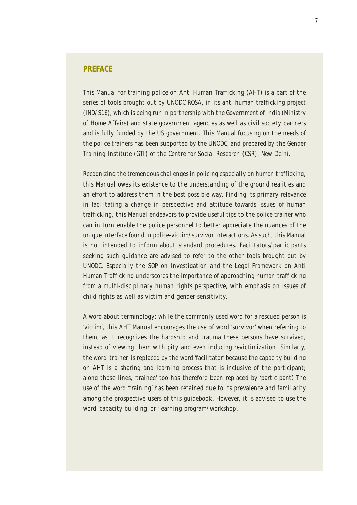# **PREFACE**

This Manual for training police on Anti Human Trafficking (AHT) is a part of the series of tools brought out by UNODC ROSA, in its anti human trafficking project (IND/S16), which is being run in partnership with the Government of India (Ministry of Home Affairs) and state government agencies as well as civil society partners and is fully funded by the US government. This Manual focusing on the needs of the police trainers has been supported by the UNODC, and prepared by the Gender Training Institute (GTI) of the Centre for Social Research (CSR), New Delhi.

Recognizing the tremendous challenges in policing especially on human trafficking, this Manual owes its existence to the understanding of the ground realities and an effort to address them in the best possible way. Finding its primary relevance in facilitating a change in perspective and attitude towards issues of human trafficking, this Manual endeavors to provide useful tips to the police trainer who can in turn enable the police personnel to better appreciate the nuances of the unique interface found in police-victim/survivor interactions. As such, this Manual is not intended to inform about standard procedures. Facilitators/participants seeking such guidance are advised to refer to the other tools brought out by UNODC. Especially the SOP on Investigation and the Legal Framework on Anti Human Trafficking underscores the importance of approaching human trafficking from a multi-disciplinary human rights perspective, with emphasis on issues of child rights as well as victim and gender sensitivity.

A word about terminology: while the commonly used word for a rescued person is 'victim', this AHT Manual encourages the use of word 'survivor' when referring to them, as it recognizes the hardship and trauma these persons have survived, instead of viewing them with pity and even inducing revictimization. Similarly, the word 'trainer' is replaced by the word 'facilitator' because the capacity building on AHT is a sharing and learning process that is inclusive of the participant; along those lines, 'trainee' too has therefore been replaced by 'participant'. The use of the word 'training' has been retained due to its prevalence and familiarity among the prospective users of this guidebook. However, it is advised to use the word 'capacity building' or 'learning program/workshop'.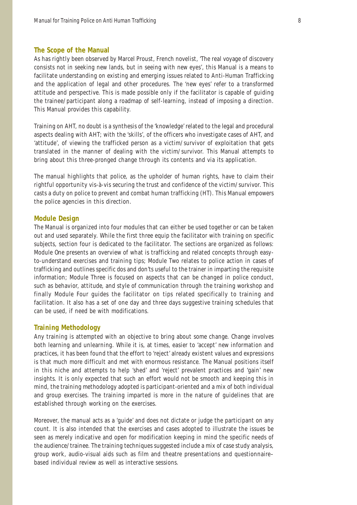#### **The Scope of the Manual**

As has rightly been observed by Marcel Proust, French novelist, 'The real voyage of discovery consists not in seeking new lands, but in seeing with new eyes', this Manual is a means to facilitate understanding on existing and emerging issues related to Anti-Human Trafficking and the application of legal and other procedures. The 'new eyes' refer to a transformed attitude and perspective. This is made possible only if the facilitator is capable of guiding the trainee/participant along a roadmap of self-learning, instead of imposing a direction. This Manual provides this capability.

Training on AHT, no doubt is a synthesis of the 'knowledge' related to the legal and procedural aspects dealing with AHT; with the 'skills', of the officers who investigate cases of AHT, and 'attitude', of viewing the trafficked person as a victim/survivor of exploitation that gets translated in the manner of dealing with the victim/survivor. This Manual attempts to bring about this three-pronged change through its contents and via its application.

The manual highlights that police, as the upholder of human rights, have to claim their rightful opportunity vis-à-vis securing the trust and confidence of the victim/survivor. This casts a duty on police to prevent and combat human trafficking (HT). This Manual empowers the police agencies in this direction.

#### **Module Design**

The Manual is organized into four modules that can either be used together or can be taken out and used separately. While the first three equip the facilitator with training on specific subjects, section four is dedicated to the facilitator. The sections are organized as follows: Module One presents an overview of what is trafficking and related concepts through easyto-understand exercises and training tips; Module Two relates to police action in cases of trafficking and outlines specific dos and don'ts useful to the trainer in imparting the requisite information; Module Three is focused on aspects that can be changed in police conduct, such as behavior, attitude, and style of communication through the training workshop and finally Module Four guides the facilitator on tips related specifically to training and facilitation. It also has a set of one day and three days suggestive training schedules that can be used, if need be with modifications.

#### **Training Methodology**

Any training is attempted with an objective to bring about some change. Change involves both learning and unlearning. While it is, at times, easier to 'accept' new information and practices, it has been found that the effort to 'reject' already existent values and expressions is that much more difficult and met with enormous resistance. The Manual positions itself in this niche and attempts to help 'shed' and 'reject' prevalent practices and 'gain' new insights. It is only expected that such an effort would not be smooth and keeping this in mind, the training methodology adopted is participant-oriented and a mix of both individual and group exercises. The training imparted is more in the nature of guidelines that are established through working on the exercises.

Moreover, the manual acts as a 'guide' and does not dictate or judge the participant on any count. It is also intended that the exercises and cases adopted to illustrate the issues be seen as merely indicative and open for modification keeping in mind the specific needs of the audience/trainee. The training techniques suggested include a mix of case study analysis, group work, audio-visual aids such as film and theatre presentations and questionnaire– based individual review as well as interactive sessions.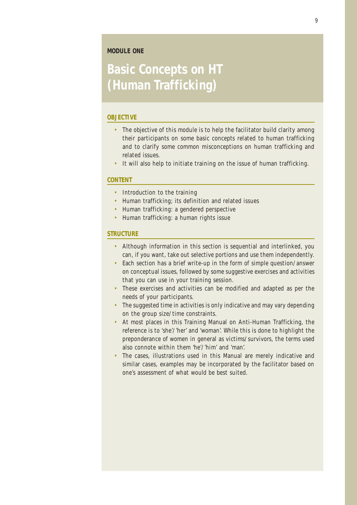### **MODULE ONE**

# **Basic Concepts on HT (Human Trafficking)**

#### **OBJECTIVE**

- The objective of this module is to help the facilitator build clarity among their participants on some basic concepts related to human trafficking and to clarify some common misconceptions on human trafficking and related issues.
- It will also help to initiate training on the issue of human trafficking.

#### **CONTENT**

- Introduction to the training
- Human trafficking; its definition and related issues
- Human trafficking: a gendered perspective
- Human trafficking: a human rights issue

#### **STRUCTURE**

- Although information in this section is sequential and interlinked, you can, if you want, take out selective portions and use them independently.
- Each section has a brief write-up in the form of simple question/answer on conceptual issues, followed by some suggestive exercises and activities that you can use in your training session.
- These exercises and activities can be modified and adapted as per the needs of your participants.
- The suggested time in activities is only indicative and may vary depending on the group size/time constraints.
- At most places in this Training Manual on Anti-Human Trafficking, the reference is to 'she'/'her' and 'woman'. While this is done to highlight the preponderance of women in general as victims/survivors, the terms used also connote within them 'he'/'him' and 'man'.
- The cases, illustrations used in this Manual are merely indicative and similar cases, examples may be incorporated by the facilitator based on one's assessment of what would be best suited.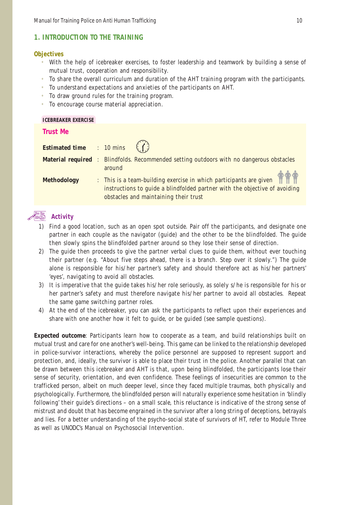## **1. INTRODUCTION TO THE TRAINING**

#### **Objectives**

- With the help of icebreaker exercises, to foster leadership and teamwork by building a sense of mutual trust, cooperation and responsibility.
- To share the overall curriculum and duration of the AHT training program with the participants.
- To understand expectations and anxieties of the participants on AHT.
- To draw ground rules for the training program.
- To encourage course material appreciation.

**ICEBREAKER EXERCISE**

| <b>Trust Me</b>    |                                                                                                                                                                                                                |
|--------------------|----------------------------------------------------------------------------------------------------------------------------------------------------------------------------------------------------------------|
|                    | <b>Estimated time</b> : 10 mins $\binom{?}{?}$                                                                                                                                                                 |
|                    | <b>Material required</b> : Blindfolds. Recommended setting outdoors with no dangerous obstacles                                                                                                                |
| <b>Methodology</b> | around<br>$\therefore$ This is a team-building exercise in which participants are given<br>instructions to guide a blindfolded partner with the objective of avoiding<br>obstacles and maintaining their trust |

# **Activity**

- 1) Find a good location, such as an open spot outside. Pair off the participants, and designate one partner in each couple as the navigator (guide) and the other to be the blindfolded. The guide then slowly spins the blindfolded partner around so they lose their sense of direction.
- 2) The guide then proceeds to give the partner verbal clues to guide them, without ever touching their partner (e.g. "About five steps ahead, there is a branch. Step over it slowly.") The guide alone is responsible for his/her partner's safety and should therefore act as his/her partners' 'eyes', navigating to avoid all obstacles.
- 3) It is imperative that the guide takes his/her role seriously, as solely s/he is responsible for his or her partner's safety and must therefore navigate his/her partner to avoid all obstacles. Repeat the same game switching partner roles.
- 4) At the end of the icebreaker, you can ask the participants to reflect upon their experiences and share with one another how it felt to guide, or be guided (see sample questions).

**Expected outcome**: Participants learn how to cooperate as a team, and build relationships built on mutual trust and care for one another's well-being. This game can be linked to the relationship developed in police-survivor interactions, whereby the police personnel are supposed to represent support and protection, and, ideally, the survivor is able to place their trust in the police. Another parallel that can be drawn between this icebreaker and AHT is that, upon being blindfolded, the participants lose their sense of security, orientation, and even confidence. These feelings of insecurities are common to the trafficked person, albeit on much deeper level, since they faced multiple traumas, both physically and psychologically. Furthermore, the blindfolded person will naturally experience some hesitation in 'blindly following' their guide's directions – on a small scale, this reluctance is indicative of the strong sense of mistrust and doubt that has become engrained in the survivor after a long string of deceptions, betrayals and lies. For a better understanding of the psycho-social state of survivors of HT, refer to Module Three as well as UNODC's Manual on Psychosocial Intervention.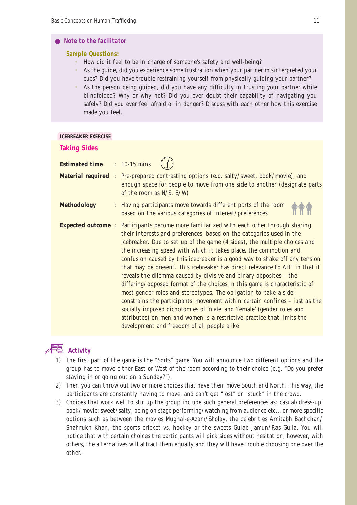#### *Note to the facilitator*

#### **Sample Questions:**

- How did it feel to be in charge of someone's safety and well-being?
- As the guide, did you experience some frustration when your partner misinterpreted your cues? Did you have trouble restraining yourself from physically guiding your partner?
- As the person being guided, did you have any difficulty in trusting your partner while blindfolded? Why or why not? Did you ever doubt their capability of navigating you safely? Did you ever feel afraid or in danger? Discuss with each other how this exercise made you feel.

#### **ICEBREAKER EXERCISE**

| <b>Taking Sides</b>                |                                                                                                                                                                                                                                                                                                                                                                                                                                                                                                                                                                                                                                                                                                                                                                                                                                                                                                                                                                                                 |
|------------------------------------|-------------------------------------------------------------------------------------------------------------------------------------------------------------------------------------------------------------------------------------------------------------------------------------------------------------------------------------------------------------------------------------------------------------------------------------------------------------------------------------------------------------------------------------------------------------------------------------------------------------------------------------------------------------------------------------------------------------------------------------------------------------------------------------------------------------------------------------------------------------------------------------------------------------------------------------------------------------------------------------------------|
| <b>Estimated time : 10-15 mins</b> |                                                                                                                                                                                                                                                                                                                                                                                                                                                                                                                                                                                                                                                                                                                                                                                                                                                                                                                                                                                                 |
|                                    | <b>Material required</b> : Pre-prepared contrasting options (e.g. salty/sweet, book/movie), and<br>enough space for people to move from one side to another (designate parts<br>of the room as $N/S$ , $E/W$ )                                                                                                                                                                                                                                                                                                                                                                                                                                                                                                                                                                                                                                                                                                                                                                                  |
| <b>Methodology</b>                 | : Having participants move towards different parts of the room<br>based on the various categories of interest/preferences                                                                                                                                                                                                                                                                                                                                                                                                                                                                                                                                                                                                                                                                                                                                                                                                                                                                       |
|                                    | <b>Expected outcome:</b> Participants become more familiarized with each other through sharing<br>their interests and preferences, based on the categories used in the<br>icebreaker. Due to set up of the game (4 sides), the multiple choices and<br>the increasing speed with which it takes place, the commotion and<br>confusion caused by this icebreaker is a good way to shake off any tension<br>that may be present. This icebreaker has direct relevance to AHT in that it<br>reveals the dilemma caused by divisive and binary opposites - the<br>differing/opposed format of the choices in this game is characteristic of<br>most gender roles and stereotypes. The obligation to 'take a side',<br>constrains the participants' movement within certain confines - just as the<br>socially imposed dichotomies of 'male' and 'female' (gender roles and<br>attributes) on men and women is a restrictive practice that limits the<br>development and freedom of all people alike |



- 1) The first part of the game is the "Sorts" game. You will announce two different options and the group has to move either East or West of the room according to their choice (e.g. "Do you prefer staying in or going out on a Sunday?").
- 2) Then you can throw out two or more choices that have them move South and North. This way, the participants are constantly having to move, and can't get "lost" or "stuck" in the crowd.
- 3) Choices that work well to stir up the group include such general preferences as: casual/dress-up; book/movie; sweet/salty; being on stage performing/watching from audience etc... or more specific options such as between the movies *Mughal-e-Azam*/*Sholay*, the celebrities Amitabh Bachchan/ Shahrukh Khan, the sports cricket vs. hockey or the sweets Gulab Jamun/Ras Gulla. You will notice that with certain choices the participants will pick sides without hesitation; however, with others, the alternatives will attract them equally and they will have trouble choosing one over the other.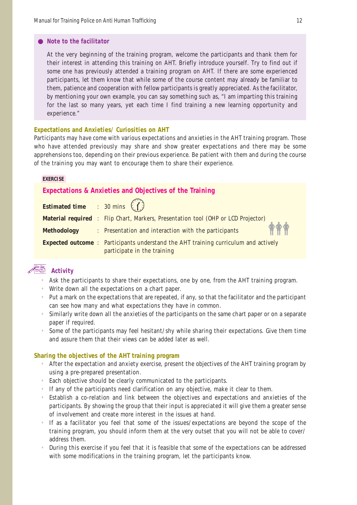#### *Note to the facilitator*

At the very beginning of the training program, welcome the participants and thank them for their interest in attending this training on AHT. Briefly introduce yourself. Try to find out if some one has previously attended a training program on AHT. If there are some experienced participants, let them know that while some of the course content may already be familiar to them, patience and cooperation with fellow participants is greatly appreciated. As the facilitator, by mentioning your own example, you can say something such as, "I am imparting this training for the last so many years, yet each time I find training a new learning opportunity and experience."

#### **Expectations and Anxieties/ Curiosities on AHT**

Participants may have come with various expectations and anxieties in the AHT training program. Those who have attended previously may share and show greater expectations and there may be some apprehensions too, depending on their previous experience. Be patient with them and during the course of the training you may want to encourage them to share their experience.

#### **EXERCISE**

### **Expectations & Anxieties and Objectives of the Training**

| <b>Estimated time</b> : 30 mins $\binom{n}{k}$ |                                                                                                                           |  |
|------------------------------------------------|---------------------------------------------------------------------------------------------------------------------------|--|
|                                                | <b>Material required : Flip Chart, Markers, Presentation tool (OHP or LCD Projector)</b>                                  |  |
| <b>Methodology</b>                             | <b>TTT</b><br>: Presentation and interaction with the participants                                                        |  |
|                                                | <b>Expected outcome</b> : Participants understand the AHT training curriculum and actively<br>participate in the training |  |

# **Activity**

- Ask the participants to share their expectations, one by one, from the AHT training program.
- Write down all the expectations on a chart paper.
- Put a mark on the expectations that are repeated, if any, so that the facilitator and the participant can see how many and what expectations they have in common.
- Similarly write down all the anxieties of the participants on the same chart paper or on a separate paper if required.
- Some of the participants may feel hesitant/shy while sharing their expectations. Give them time and assure them that their views can be added later as well.

#### **Sharing the objectives of the AHT training program**

- After the expectation and anxiety exercise, present the objectives of the AHT training program by using a pre-prepared presentation.
- Each objective should be clearly communicated to the participants.
- If any of the participants need clarification on any objective, make it clear to them.
- Establish a co-relation and link between the objectives and expectations and anxieties of the participants. By showing the group that their input is appreciated it will give them a greater sense of involvement and create more interest in the issues at hand.
- If as a facilitator you feel that some of the issues/expectations are beyond the scope of the training program, you should inform them at the very outset that you will not be able to cover/ address them.
- During this exercise if you feel that it is feasible that some of the expectations can be addressed with some modifications in the training program, let the participants know.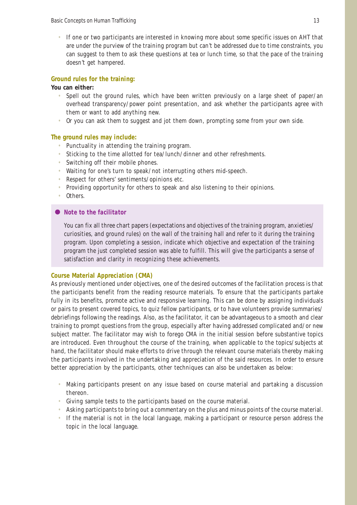• If one or two participants are interested in knowing more about some specific issues on AHT that are under the purview of the training program but can't be addressed due to time constraints, you can suggest to them to ask these questions at tea or lunch time, so that the pace of the training doesn't get hampered.

#### **Ground rules for the training:**

#### **You can either:**

- Spell out the ground rules, which have been written previously on a large sheet of paper/an overhead transparency/power point presentation, and ask whether the participants agree with them or want to add anything new.
- Or you can ask them to suggest and jot them down, prompting some from your own side.

#### **The ground rules may include:**

- Punctuality in attending the training program.
- Sticking to the time allotted for tea/lunch/dinner and other refreshments.
- Switching off their mobile phones.
- Waiting for one's turn to speak/not interrupting others mid-speech.
- Respect for others' sentiments/opinions etc.
- Providing opportunity for others to speak and also listening to their opinions.
- Others.

#### *Note to the facilitator*

You can fix all three chart papers (expectations and objectives of the training program, anxieties/ curiosities, and ground rules) on the wall of the training hall and refer to it during the training program. Upon completing a session, indicate which objective and expectation of the training program the just completed session was able to fulfill. This will give the participants a sense of satisfaction and clarity in recognizing these achievements.

#### **Course Material Appreciation (CMA)**

As previously mentioned under objectives, one of the desired outcomes of the facilitation process is that the participants benefit from the reading resource materials. To ensure that the participants partake fully in its benefits, promote active and responsive learning. This can be done by assigning individuals or pairs to present covered topics, to quiz fellow participants, or to have volunteers provide summaries/ debriefings following the readings. Also, as the facilitator, it can be advantageous to a smooth and clear training to prompt questions from the group, especially after having addressed complicated and/or new subject matter. The facilitator may wish to forego CMA in the initial session before substantive topics are introduced. Even throughout the course of the training, when applicable to the topics/subjects at hand, the facilitator should make efforts to drive through the relevant course materials thereby making the participants involved in the undertaking and appreciation of the said resources. In order to ensure better appreciation by the participants, other techniques can also be undertaken as below:

- Making participants present on any issue based on course material and partaking a discussion thereon.
- Giving sample tests to the participants based on the course material.
- Asking participants to bring out a commentary on the plus and minus points of the course material.
- If the material is not in the local language, making a participant or resource person address the topic in the local language.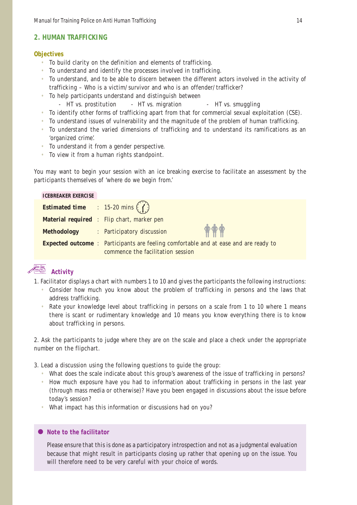# **2. HUMAN TRAFFICKING**

#### **Objectives**

- To build clarity on the definition and elements of trafficking.
- To understand and identify the processes involved in trafficking.
- To understand, and to be able to discern between the different actors involved in the activity of trafficking – Who is a victim/survivor and who is an offender/trafficker?
- To help participants understand and distinguish between
	- HT vs. prostitution HT vs. migration HT vs. smuggling
- To identify other forms of trafficking apart from that for commercial sexual exploitation (CSE).
- To understand issues of vulnerability and the magnitude of the problem of human trafficking.
- To understand the varied dimensions of trafficking and to understand its ramifications as an 'organized crime'.
- To understand it from a gender perspective.
- To view it from a human rights standpoint.

You may want to begin your session with an ice breaking exercise to facilitate an assessment by the participants themselves of 'where do we begin from.'

| <b>ICEBREAKER EXERCISE</b>                        |                                                                                             |  |
|---------------------------------------------------|---------------------------------------------------------------------------------------------|--|
| <b>Estimated time</b> : 15-20 mins $\binom{7}{1}$ |                                                                                             |  |
|                                                   | <b>Material required</b> : Flip chart, marker pen                                           |  |
|                                                   | <b>THE</b><br>Methodology : Participatory discussion                                        |  |
|                                                   | <b>Expected outcome</b> : Participants are feeling comfortable and at ease and are ready to |  |
|                                                   | commence the facilitation session                                                           |  |

# **Activity**

- 1. Facilitator displays a chart with numbers 1 to 10 and gives the participants the following instructions:
	- Consider how much you know about the problem of trafficking in persons and the laws that address trafficking.
	- Rate your knowledge level about trafficking in persons on a scale from 1 to 10 where 1 means there is scant or rudimentary knowledge and 10 means you know everything there is to know about trafficking in persons.

2. Ask the participants to judge where they are on the scale and place a check under the appropriate number on the flipchart.

3. Lead a discussion using the following questions to guide the group:

- What does the scale indicate about this group's awareness of the issue of trafficking in persons?
- How much exposure have you had to information about trafficking in persons in the last year (through mass media or otherwise)? Have you been engaged in discussions about the issue before today's session?
- What impact has this information or discussions had on you?

# *Note to the facilitator*

Please ensure that this is done as a participatory introspection and not as a judgmental evaluation because that might result in participants closing up rather that opening up on the issue. You will therefore need to be very careful with your choice of words.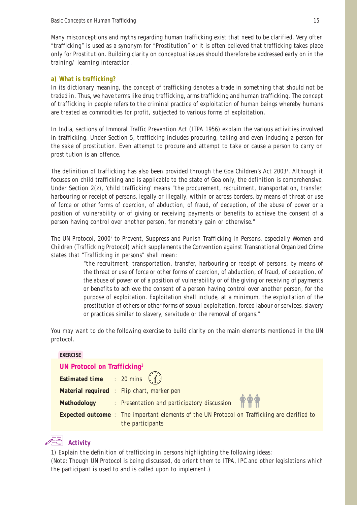Many misconceptions and myths regarding human trafficking exist that need to be clarified. Very often "trafficking" is used as a synonym for "Prostitution" or it is often believed that trafficking takes place only for Prostitution. Building clarity on conceptual issues should therefore be addressed early on in the training/ learning interaction.

#### **a) What is trafficking?**

In its dictionary meaning, the concept of trafficking denotes a trade in something that should not be traded in. Thus, we have terms like drug trafficking, arms trafficking and human trafficking. The concept of trafficking in people refers to the criminal practice of exploitation of human beings whereby humans are treated as commodities for profit, subjected to various forms of exploitation.

In India, sections of Immoral Traffic Prevention Act (ITPA 1956) explain the various activities involved in trafficking. Under Section 5, trafficking includes procuring, taking and even inducing a person for the sake of prostitution. Even attempt to procure and attempt to take or cause a person to carry on prostitution is an offence.

The definition of trafficking has also been provided through the Goa Children's Act 2003<sup>1</sup>. Although it focuses on child trafficking and is applicable to the state of Goa only, the definition is comprehensive. Under Section 2(z), 'child trafficking' means "the procurement, recruitment, transportation, transfer, harbouring or receipt of persons, legally or illegally, within or across borders, by means of threat or use of force or other forms of coercion, of abduction, of fraud, of deception, of the abuse of power or a position of vulnerability or of giving or receiving payments or benefits to achieve the consent of a person having control over another person, for monetary gain or otherwise."

The UN Protocol, 2000<sup>2</sup> to Prevent, Suppress and Punish Trafficking in Persons, especially Women and Children (Trafficking Protocol) which supplements the Convention against Transnational Organized Crime states that "Trafficking in persons" shall mean:

> "the recruitment, transportation, transfer, harbouring or receipt of persons, by means of the threat or use of force or other forms of coercion, of abduction, of fraud, of deception, of the abuse of power or of a position of vulnerability or of the giving or receiving of payments or benefits to achieve the consent of a person having control over another person, for the purpose of exploitation. Exploitation shall include, at a minimum, the exploitation of the prostitution of others or other forms of sexual exploitation, forced labour or services, slavery or practices similar to slavery, servitude or the removal of organs."

You may want to do the following exercise to build clarity on the main elements mentioned in the UN protocol.

| <b>EXERCISE</b>                                |                                                                                                                         |  |
|------------------------------------------------|-------------------------------------------------------------------------------------------------------------------------|--|
| UN Protocol on Trafficking <sup>3</sup>        |                                                                                                                         |  |
| <b>Estimated time</b> : 20 mins $\binom{?}{!}$ |                                                                                                                         |  |
|                                                | <b>Material required</b> : Flip chart, marker pen                                                                       |  |
|                                                | Methodology : Presentation and participatory discussion                                                                 |  |
|                                                | <b>Expected outcome</b> : The important elements of the UN Protocol on Trafficking are clarified to<br>the participants |  |

# **Activity**

1) Explain the definition of trafficking in persons highlighting the following ideas: (Note: Though UN Protocol is being discussed, do orient them to ITPA, IPC and other legislations which the participant is used to and is called upon to implement.)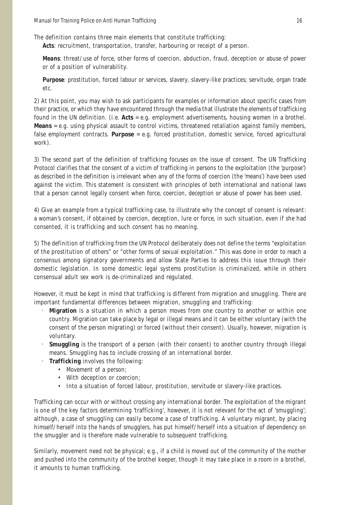The definition contains three main elements that constitute trafficking:

*Acts:* recruitment, transportation, transfer, harbouring or receipt of a person.

*Means:* threat/use of force, other forms of coercion, abduction, fraud, deception or abuse of power or of a position of vulnerability.

*Purpose:* prostitution, forced labour or services, slavery, slavery-like practices; servitude, organ trade etc.

2) At this point, you may wish to ask participants for examples or information about specific cases from their practice, or which they have encountered through the media that illustrate the elements of trafficking found in the UN definition. (i.e. **Acts** = e.g. employment advertisements, housing women in a brothel. **Means** = e.g. using physical assault to control victims, threatened retaliation against family members, false employment contracts. **Purpose** = e.g. forced prostitution, domestic service, forced agricultural work).

3) The second part of the definition of trafficking focuses on the issue of consent. The UN Trafficking Protocol clarifies that the consent of a victim of trafficking in persons to the exploitation (the 'purpose') as described in the definition is irrelevant when any of the forms of coercion (the 'means') have been used against the victim. This statement is consistent with principles of both international and national laws that a person cannot legally consent when force, coercion, deception or abuse of power has been used.

4) Give an example from a typical trafficking case, to illustrate why the concept of consent is relevant: a woman's consent, if obtained by coercion, deception, lure or force, in such situation, even if she had consented, it is trafficking and such consent has no meaning.

5) The definition of trafficking from the UN Protocol deliberately does not define the terms "exploitation of the prostitution of others" or "other forms of sexual exploitation." This was done in order to reach a consensus among signatory governments and allow State Parties to address this issue through their domestic legislation. In some domestic legal systems prostitution is criminalized, while in others consensual adult sex work is de-criminalized and regulated.

However, it must be kept in mind that trafficking is different from migration and smuggling. There are important fundamental differences between migration, smuggling and trafficking:

- **Migration** is a situation in which a person moves from one country to another or within one country. Migration can take place by legal or illegal means and it can be either voluntary (with the consent of the person migrating) or forced (without their consent). Usually, however, migration is voluntary.
- **Smuggling** is the transport of a person (with their consent) to another country through illegal means. Smuggling has to include crossing of an international border.
- **Trafficking** involves the following:
	- Movement of a person;
	- With deception or coercion;
	- Into a situation of forced labour, prostitution, servitude or slavery-like practices.

Trafficking can occur with or without crossing any international border. The exploitation of the migrant is one of the key factors determining 'trafficking', however, it is not relevant for the act of 'smuggling'; although, a case of smuggling can easily become a case of trafficking. A voluntary migrant, by placing himself/herself into the hands of smugglers, has put himself/herself into a situation of dependency on the smuggler and is therefore made vulnerable to subsequent trafficking.

Similarly, movement need not be physical; e.g., if a child is moved out of the community of the mother and pushed into the community of the brothel keeper, though it may take place in a room in a brothel, it amounts to human trafficking.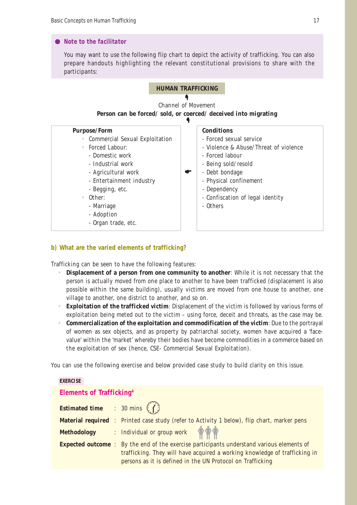## *Note to the facilitator*

You may want to use the following flip chart to depict the activity of trafficking. You can also prepare handouts highlighting the relevant constitutional provisions to share with the participants:



### **b) What are the varied elements of trafficking?**

Trafficking can be seen to have the following features:

- **Displacement of a person from one community to another**: While it is not necessary that the person is actually moved from one place to another to have been trafficked (displacement is also possible within the same building), usually victims are moved from one house to another, one village to another, one district to another, and so on.
- **Exploitation of the trafficked victim**: Displacement of the victim is followed by various forms of exploitation being meted out to the victim – using force, deceit and threats, as the case may be.
- **Commercialization of the exploitation and commodification of the victim**: Due to the portrayal of women as sex objects, and as property by patriarchal society, women have acquired a 'facevalue' within the 'market' whereby their bodies have become commodities in a commerce based on the exploitation of sex (hence, CSE- Commercial Sexual Exploitation).

You can use the following exercise and below provided case study to build clarity on this issue.

#### **EXERCISE**

### **Elements of Trafficking4**

| <b>Estimated time</b> : 30 mins $\binom{?}{?}$ |                                                                                                                                                                                                                                              |
|------------------------------------------------|----------------------------------------------------------------------------------------------------------------------------------------------------------------------------------------------------------------------------------------------|
|                                                | <b>Material required</b> : Printed case study (refer to Activity 1 below), flip chart, marker pens                                                                                                                                           |
|                                                | Methodology : Individual or group work $\bigcirc$                                                                                                                                                                                            |
|                                                | <b>Expected outcome</b> : By the end of the exercise participants understand various elements of<br>trafficking. They will have acquired a working knowledge of trafficking in<br>persons as it is defined in the UN Protocol on Trafficking |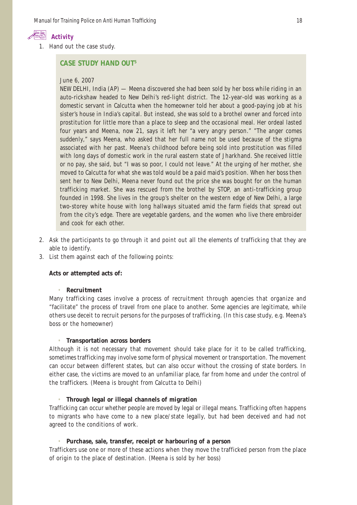

1. Hand out the case study.

## **CASE STUDY HAND OUT5**

#### June 6, 2007

NEW DELHI, India (AP) — Meena discovered she had been sold by her boss while riding in an auto-rickshaw headed to New Delhi's red-light district. The 12-year-old was working as a domestic servant in Calcutta when the homeowner told her about a good-paying job at his sister's house in India's capital. But instead, she was sold to a brothel owner and forced into prostitution for little more than a place to sleep and the occasional meal. Her ordeal lasted four years and Meena, now 21, says it left her "a very angry person." "The anger comes suddenly," says Meena, who asked that her full name not be used because of the stigma associated with her past. Meena's childhood before being sold into prostitution was filled with long days of domestic work in the rural eastern state of Jharkhand. She received little or no pay, she said, but "I was so poor, I could not leave." At the urging of her mother, she moved to Calcutta for what she was told would be a paid maid's position. When her boss then sent her to New Delhi, Meena never found out the price she was bought for on the human trafficking market. She was rescued from the brothel by STOP, an anti-trafficking group founded in 1998. She lives in the group's shelter on the western edge of New Delhi, a large two-storey white house with long hallways situated amid the farm fields that spread out from the city's edge. There are vegetable gardens, and the women who live there embroider and cook for each other.

- 2. Ask the participants to go through it and point out all the elements of trafficking that they are able to identify.
- 3. List them against each of the following points:

#### **Acts or attempted acts of:**

#### • **Recruitment**

Many trafficking cases involve a process of recruitment through agencies that organize and "facilitate" the process of travel from one place to another. Some agencies are legitimate, while others use deceit to recruit persons for the purposes of trafficking. (In this case study, e.g. Meena's boss or the homeowner)

#### • **Transportation across borders**

Although it is not necessary that movement should take place for it to be called trafficking, sometimes trafficking may involve some form of physical movement or transportation. The movement can occur between different states, but can also occur without the crossing of state borders. In either case, the victims are moved to an unfamiliar place, far from home and under the control of the traffickers. (Meena is brought from Calcutta to Delhi)

#### • **Through legal or illegal channels of migration**

Trafficking can occur whether people are moved by legal or illegal means. Trafficking often happens to migrants who have come to a new place/state legally, but had been deceived and had not agreed to the conditions of work.

### • **Purchase, sale, transfer, receipt or harbouring of a person**

Traffickers use one or more of these actions when they move the trafficked person from the place of origin to the place of destination. (Meena is sold by her boss)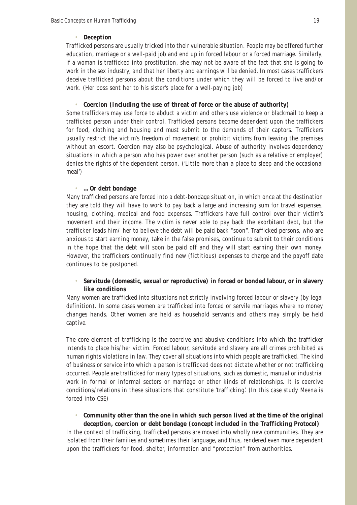#### • **Deception**

Trafficked persons are usually tricked into their vulnerable situation. People may be offered further education, marriage or a well-paid job and end up in forced labour or a forced marriage. Similarly, if a woman is trafficked into prostitution, she may not be aware of the fact that she is going to work in the sex industry, and that her liberty and earnings will be denied. In most cases traffickers deceive trafficked persons about the conditions under which they will be forced to live and/or work. (Her boss sent her to his sister's place for a well-paying job)

• **Coercion (including the use of threat of force or the abuse of authority)**

Some traffickers may use force to abduct a victim and others use violence or blackmail to keep a trafficked person under their control. Trafficked persons become dependent upon the traffickers for food, clothing and housing and must submit to the demands of their captors. Traffickers usually restrict the victim's freedom of movement or prohibit victims from leaving the premises without an escort. Coercion may also be psychological. Abuse of authority involves dependency situations in which a person who has power over another person (such as a relative or employer) denies the rights of the dependent person. ('Little more than a place to sleep and the occasional meal')

#### • **…Or debt bondage**

Many trafficked persons are forced into a debt-bondage situation, in which once at the destination they are told they will have to work to pay back a large and increasing sum for travel expenses, housing, clothing, medical and food expenses. Traffickers have full control over their victim's movement and their income. The victim is never able to pay back the exorbitant debt, but the trafficker leads him/ her to believe the debt will be paid back "soon". Trafficked persons, who are anxious to start earning money, take in the false promises, continue to submit to their conditions in the hope that the debt will soon be paid off and they will start earning their own money. However, the traffickers continually find new (fictitious) expenses to charge and the payoff date continues to be postponed.

#### • **Servitude (domestic, sexual or reproductive) in forced or bonded labour, or in slavery like conditions**

Many women are trafficked into situations not strictly involving forced labour or slavery (by legal definition). In some cases women are trafficked into forced or servile marriages where no money changes hands. Other women are held as household servants and others may simply be held captive.

The core element of trafficking is the coercive and abusive conditions into which the trafficker intends to place his/her victim. Forced labour, servitude and slavery are all crimes prohibited as human rights violations in law. They cover all situations into which people are trafficked. The kind of business or service into which a person is trafficked does not dictate whether or not trafficking occurred. People are trafficked for many types of situations, such as domestic, manual or industrial work in formal or informal sectors or marriage or other kinds of relationships. It is coercive conditions/relations in these situations that constitute 'trafficking'. (In this case study Meena is forced into CSE)

# • **Community other than the one in which such person lived at the time of the original deception, coercion or debt bondage (concept included in the Trafficking Protocol)**

In the context of trafficking, trafficked persons are moved into wholly new communities. They are isolated from their families and sometimes their language, and thus, rendered even more dependent upon the traffickers for food, shelter, information and "protection" from authorities.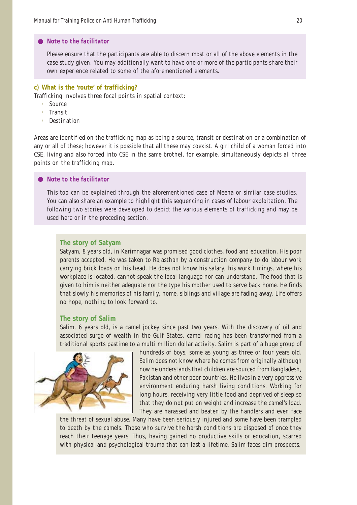#### *Note to the facilitator*

Please ensure that the participants are able to discern most or all of the above elements in the case study given. You may additionally want to have one or more of the participants share their own experience related to some of the aforementioned elements.

#### **c) What is the 'route' of trafficking?**

Trafficking involves three focal points in spatial context:

- Source
- Transit
- **Destination**

Areas are identified on the trafficking map as being a source, transit or destination or a combination of any or all of these; however it is possible that all these may coexist. A girl child of a woman forced into CSE, living and also forced into CSE in the same brothel, for example, simultaneously depicts all three points on the trafficking map.

#### *Note to the facilitator*

This too can be explained through the aforementioned case of Meena or similar case studies. You can also share an example to highlight this sequencing in cases of labour exploitation. The following two stories were developed to depict the various elements of trafficking and may be used here or in the preceding section.

#### **The story of Satyam**

Satyam, 8 years old, in Karimnagar was promised good clothes, food and education. His poor parents accepted. He was taken to Rajasthan by a construction company to do labour work carrying brick loads on his head. He does not know his salary, his work timings, where his workplace is located, cannot speak the local language nor can understand. The food that is given to him is neither adequate nor the type his mother used to serve back home. He finds that slowly his memories of his family, home, siblings and village are fading away. Life offers no hope, nothing to look forward to.

#### **The story of Salim**

Salim, 6 years old, is a camel jockey since past two years. With the discovery of oil and associated surge of wealth in the Gulf States, camel racing has been transformed from a traditional sports pastime to a multi million dollar activity. Salim is part of a huge group of



hundreds of boys, some as young as three or four years old. Salim does not know where he comes from originally although now he understands that children are sourced from Bangladesh, Pakistan and other poor countries. He lives in a very oppressive environment enduring harsh living conditions. Working for long hours, receiving very little food and deprived of sleep so that they do not put on weight and increase the camel's load. They are harassed and beaten by the handlers and even face

the threat of sexual abuse. Many have been seriously injured and some have been trampled to death by the camels. Those who survive the harsh conditions are disposed of once they reach their teenage years. Thus, having gained no productive skills or education, scarred with physical and psychological trauma that can last a lifetime, Salim faces dim prospects.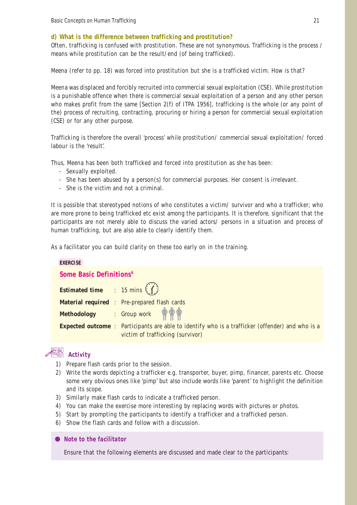# **d) What is the difference between trafficking and prostitution?**

Often, trafficking is confused with prostitution. These are not synonymous. Trafficking is the process / means while prostitution can be the result/end (of being trafficked).

*Meena* (refer to pp. 18) was forced into prostitution but she is a trafficked victim. How is that?

Meena was displaced and forcibly recruited into commercial sexual exploitation (CSE). While prostitution is a punishable offence when there is commercial sexual exploitation of a person and any other person who makes profit from the same [Section 2(f) of ITPA 1956], trafficking is the whole (or any point of the) process of recruiting, contracting, procuring or hiring a person for commercial sexual exploitation (CSE) or for any other purpose.

Trafficking is therefore the overall 'process' while prostitution/ commercial sexual exploitation/ forced labour is the 'result'.

Thus, Meena has been both trafficked and forced into prostitution as she has been:

- Sexually exploited.
- She has been abused by a person(s) for commercial purposes. Her consent is irrelevant.
- She is the victim and not a criminal.

It is possible that stereotyped notions of who constitutes a victim/ survivor and who a trafficker; who are more prone to being trafficked etc exist among the participants. It is therefore, significant that the participants are not merely able to discuss the varied actors/ persons in a situation and process of human trafficking, but are also able to clearly identify them.

As a facilitator you can build clarity on these too early on in the training.

| <b>EXERCISE</b>                                |                                                                                                         |  |
|------------------------------------------------|---------------------------------------------------------------------------------------------------------|--|
| Some Basic Definitions <sup>6</sup>            |                                                                                                         |  |
| <b>Estimated time</b> : 15 mins $\binom{7}{1}$ |                                                                                                         |  |
|                                                | <b>Material required</b> : Pre-prepared flash cards                                                     |  |
|                                                | Methodology : Group work $\mathring{\mathbf{\Phi}} \mathring{\mathbf{\Phi}}$                            |  |
|                                                | <b>Expected outcome</b> : Participants are able to identify who is a trafficker (offender) and who is a |  |
|                                                | victim of trafficking (survivor)                                                                        |  |

# **Activity**

- 1) Prepare flash cards prior to the session.
- 2) Write the words depicting a trafficker e.g. transporter, buyer, pimp, financer, parents etc. Choose some very obvious ones like 'pimp' but also include words like 'parent' to highlight the definition and its scope.
- 3) Similarly make flash cards to indicate a trafficked person.
- 4) You can make the exercise more interesting by replacing words with pictures or photos.
- 5) Start by prompting the participants to identify a trafficker and a trafficked person.
- 6) Show the flash cards and follow with a discussion.
- *Note to the facilitator*

Ensure that the following elements are discussed and made clear to the participants: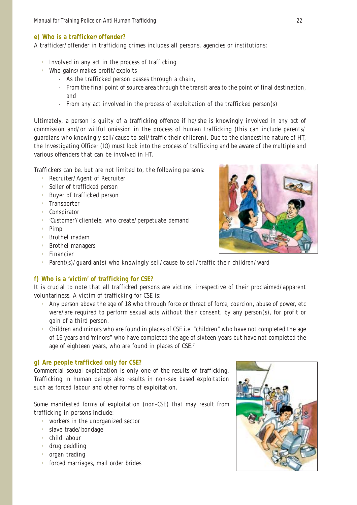#### **e) Who is a trafficker/offender?**

A trafficker/offender in trafficking crimes includes all persons, agencies or institutions:

- Involved in any act in the process of trafficking
- Who gains/makes profit/exploits
	- As the trafficked person passes through a chain,
	- From the final point of source area through the transit area to the point of final destination, and
	- From any act involved in the process of exploitation of the trafficked person(s)

Ultimately, a person is guilty of a trafficking offence if he/she is knowingly involved in any act of commission and/or willful omission in the process of human trafficking (this can include parents/ guardians who knowingly sell/cause to sell/traffic their children). Due to the clandestine nature of HT, the Investigating Officer (IO) must look into the process of trafficking and be aware of the multiple and various offenders that can be involved in HT.

Traffickers can be, but are not limited to, the following persons:

- Recruiter/Agent of Recruiter
- Seller of trafficked person
- Buyer of trafficked person
- Transporter
- Conspirator
- 'Customer'/clientele, who create/perpetuate demand
- Pimp
- Brothel madam
- Brothel managers
- Financier
- Parent(s)/guardian(s) who knowingly sell/cause to sell/traffic their children/ward

# **f) Who is a 'victim' of trafficking for CSE?**

It is crucial to note that all trafficked persons are victims, irrespective of their proclaimed/apparent voluntariness. A victim of trafficking for CSE is:

- Any person above the age of 18 who through force or threat of force, coercion, abuse of power, etc were/are required to perform sexual acts without their consent, by any person(s), for profit or gain of a third person.
- Children and minors who are found in places of CSE i.e. "children" who have not completed the age of 16 years and 'minors" who have completed the age of sixteen years but have not completed the age of eighteen years, who are found in places of CSE.<sup>7</sup>

# **g) Are people trafficked only for CSE?**

Commercial sexual exploitation is only one of the results of trafficking. Trafficking in human beings also results in non-sex based exploitation such as forced labour and other forms of exploitation.

Some manifested forms of exploitation (non-CSE) that may result from trafficking in persons include:

- workers in the unorganized sector
- slave trade/bondage
- child labour
- drug peddling
- organ trading
- forced marriages, mail order brides



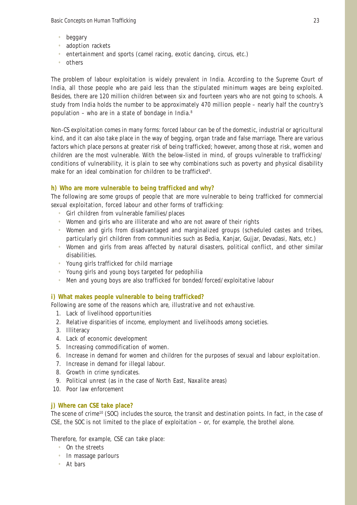- beggary
- adoption rackets
- entertainment and sports (camel racing, exotic dancing, circus, etc.)
- others

The problem of labour exploitation is widely prevalent in India. According to the Supreme Court of India, all those people who are paid less than the stipulated minimum wages are being exploited. Besides, there are 120 million children between six and fourteen years who are not going to schools. A study from India holds the number to be approximately 470 million people – nearly half the country's population – who are in a state of bondage in India.8

Non-CS exploitation comes in many forms: forced labour can be of the domestic, industrial or agricultural kind, and it can also take place in the way of begging, organ trade and false marriage. There are various factors which place persons at greater risk of being trafficked; however, among those at risk, women and children are the most vulnerable. With the below-listed in mind, of groups vulnerable to trafficking/ conditions of vulnerability, it is plain to see why combinations such as poverty and physical disability make for an ideal combination for children to be trafficked<sup>9</sup>.

# **h) Who are more vulnerable to being trafficked and why?**

The following are some groups of people that are more vulnerable to being trafficked for commercial sexual exploitation, forced labour and other forms of trafficking:

- Girl children from vulnerable families/places
- Women and girls who are illiterate and who are not aware of their rights
- Women and girls from disadvantaged and marginalized groups (scheduled castes and tribes, particularly girl children from communities such as Bedia, Kanjar, Gujjar, Devadasi, Nats, etc.)
- Women and girls from areas affected by natural disasters, political conflict, and other similar disabilities.
- Young girls trafficked for child marriage
- Young girls and young boys targeted for pedophilia
- Men and young boys are also trafficked for bonded/forced/exploitative labour

# **i) What makes people vulnerable to being trafficked?**

Following are some of the reasons which are, illustrative and not exhaustive.

- 1. Lack of livelihood opportunities
- 2. Relative disparities of income, employment and livelihoods among societies.
- 3. Illiteracy
- 4. Lack of economic development
- 5. Increasing commodification of women.
- 6. Increase in demand for women and children for the purposes of sexual and labour exploitation.
- 7. Increase in demand for illegal labour.
- 8. Growth in crime syndicates.
- 9. Political unrest (as in the case of North East, Naxalite areas)
- 10. Poor law enforcement

# **j) Where can CSE take place?**

The scene of crime<sup>10</sup> (SOC) includes the source, the transit and destination points. In fact, in the case of CSE, the SOC is not limited to the place of exploitation – or, for example, the brothel alone.

Therefore, for example, CSE can take place:

- On the streets
- In massage parlours
- At bars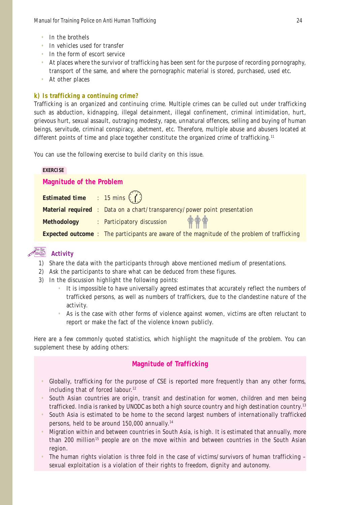- In the brothels
- In vehicles used for transfer
- In the form of escort service
- At places where the survivor of trafficking has been sent for the purpose of recording pornography, transport of the same, and where the pornographic material is stored, purchased, used etc.
- At other places

#### **k) Is trafficking a continuing crime?**

Trafficking is an organized and continuing crime. Multiple crimes can be culled out under trafficking such as abduction, kidnapping, illegal detainment, illegal confinement, criminal intimidation, hurt, grievous hurt, sexual assault, outraging modesty, rape, unnatural offences, selling and buying of human beings, servitude, criminal conspiracy, abetment, etc. Therefore, multiple abuse and abusers located at different points of time and place together constitute the organized crime of trafficking.<sup>11</sup>

You can use the following exercise to build clarity on this issue.

| <b>EXERCISE</b>                                                                                     |  |  |
|-----------------------------------------------------------------------------------------------------|--|--|
| <b>Magnitude of the Problem</b>                                                                     |  |  |
| <b>Estimated time</b> : 15 mins $\binom{7}{1}$                                                      |  |  |
| <b>Material required</b> : Data on a chart/transparency/power point presentation                    |  |  |
| Methodology : Participatory discussion $\mathbf{\hat{\phi}} \mathbf{\hat{\phi}}$                    |  |  |
| <b>Expected outcome</b> : The participants are aware of the magnitude of the problem of trafficking |  |  |

# **Activity**

- 1) Share the data with the participants through above mentioned medium of presentations.
- 2) Ask the participants to share what can be deduced from these figures.
- 3) In the discussion highlight the following points:
	- It is impossible to have universally agreed estimates that accurately reflect the numbers of trafficked persons, as well as numbers of traffickers, due to the clandestine nature of the activity.
	- As is the case with other forms of violence against women, victims are often reluctant to report or make the fact of the violence known publicly.

Here are a few commonly quoted statistics, which highlight the magnitude of the problem. You can supplement these by adding others:

# **Magnitude of Trafficking**

- Globally, trafficking for the purpose of CSE is reported more frequently than any other forms, including that of forced labour.<sup>12</sup>
- South Asian countries are origin, transit and destination for women, children and men being trafficked. India is ranked by UNODC as both a high source country and high destination country.13
- South Asia is estimated to be home to the second largest numbers of internationally trafficked persons, held to be around 150,000 annually.14
- Migration within and between countries in South Asia, is high. It is estimated that annually, more than 200 million<sup>15</sup> people are on the move within and between countries in the South Asian region.
- The human rights violation is three fold in the case of victims/survivors of human trafficking sexual exploitation is a violation of their rights to freedom, dignity and autonomy.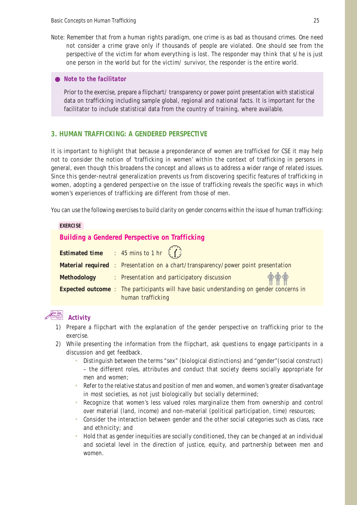- Note: Remember that from a human rights paradigm, one crime is as bad as thousand crimes. One need not consider a crime grave only if thousands of people are violated. One should see from the perspective of the victim for whom everything is lost. The responder may think that s/he is just one person in the world but for the victim/ survivor, the responder is the entire world.
	- *Note to the facilitator*

Prior to the exercise, prepare a flipchart/ transparency or power point presentation with statistical data on trafficking including sample global, regional and national facts. It is important for the facilitator to include statistical data from the country of training, where available.

### **3. HUMAN TRAFFICKING: A GENDERED PERSPECTIVE**

It is important to highlight that because a preponderance of women are trafficked for CSE it may help not to consider the notion of 'trafficking in women' within the context of trafficking in persons in general, even though this broadens the concept and allows us to address a wider range of related issues. Since this gender-neutral generalization prevents us from discovering specific features of trafficking in women, adopting a gendered perspective on the issue of trafficking reveals the specific ways in which women's experiences of trafficking are different from those of men.

You can use the following exercises to build clarity on gender concerns within the issue of human trafficking:

#### **EXERCISE**

### **Building a Gendered Perspective on Trafficking**

|                    | <b>Estimated time</b> : 45 mins to 1 hr $(1)$                                                                       |
|--------------------|---------------------------------------------------------------------------------------------------------------------|
|                    | <b>Material required</b> : Presentation on a chart/transparency/power point presentation                            |
| <b>Methodology</b> | <b>THE</b><br>: Presentation and participatory discussion                                                           |
|                    | <b>Expected outcome :</b> The participants will have basic understanding on gender concerns in<br>human trafficking |

# **Activity**

- 1) Prepare a flipchart with the explanation of the gender perspective on trafficking prior to the exercise.
- 2) While presenting the information from the flipchart, ask questions to engage participants in a discussion and get feedback.
	- Distinguish between the terms "sex" (biological distinctions) and "gender"(social construct) – the different roles, attributes and conduct that society deems socially appropriate for men and women;
	- Refer to the relative status and position of men and women, and women's greater disadvantage in most societies, as not just biologically but socially determined;
	- Recognize that women's less valued roles marginalize them from ownership and control over material (land, income) and non-material (political participation, time) resources;
	- Consider the interaction between gender and the other social categories such as class, race and ethnicity; and
	- Hold that as gender inequities are socially conditioned, they can be changed at an individual and societal level in the direction of justice, equity, and partnership between men and women.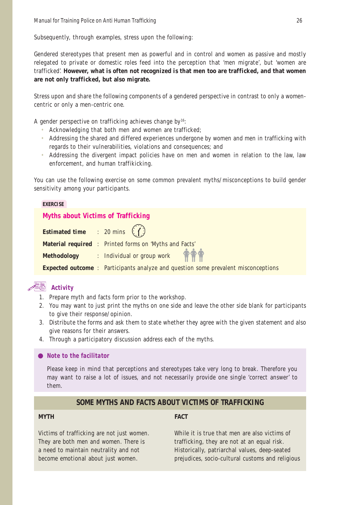Subsequently, through examples, stress upon the following:

Gendered stereotypes that present men as powerful and in control and women as passive and mostly relegated to private or domestic roles feed into the perception that 'men migrate', but 'women are trafficked'. **However, what is often not recognized is that men too are trafficked, and that women are not only trafficked, but also migrate.**

Stress upon and share the following components of a gendered perspective in contrast to only a womencentric or only a men-centric one.

A gender perspective on trafficking achieves change by<sup>16</sup>:

- Acknowledging that both men and women are trafficked;
- Addressing the shared and differed experiences undergone by women and men in trafficking with regards to their vulnerabilities, violations and consequences; and
- Addressing the divergent impact policies have on men and women in relation to the law, law enforcement, and human traffikicking.

You can use the following exercise on some common prevalent myths/misconceptions to build gender sensitivity among your participants.

#### **EXERCISE**

### **Myths about Victims of Trafficking**

| <b>Estimated time</b> : 20 mins $\binom{n}{k}$ |                                                                                           |
|------------------------------------------------|-------------------------------------------------------------------------------------------|
|                                                | <b>Material required :</b> Printed forms on 'Myths and Facts'                             |
|                                                | Methodology : Individual or group work <b>ALCOVER</b>                                     |
|                                                | <b>Expected outcome</b> : Participants analyze and question some prevalent misconceptions |

# **Activity**

- 1. Prepare myth and facts form prior to the workshop.
- 2. You may want to just print the myths on one side and leave the other side blank for participants to give their response/opinion.
- 3. Distribute the forms and ask them to state whether they agree with the given statement and also give reasons for their answers.
- 4. Through a participatory discussion address each of the myths.

#### *Note to the facilitator*

Please keep in mind that perceptions and stereotypes take very long to break. Therefore you may want to raise a lot of issues, and not necessarily provide one single 'correct answer' to them.

# **SOME MYTHS AND FACTS ABOUT VICTIMS OF TRAFFICKING**

#### **MYTH FACT**

Victims of trafficking are not just women. While it is true that men are also victims of

They are both men and women. There is trafficking, they are not at an equal risk. a need to maintain neutrality and not Historically, patriarchal values, deep-seated become emotional about just women. prejudices, socio-cultural customs and religious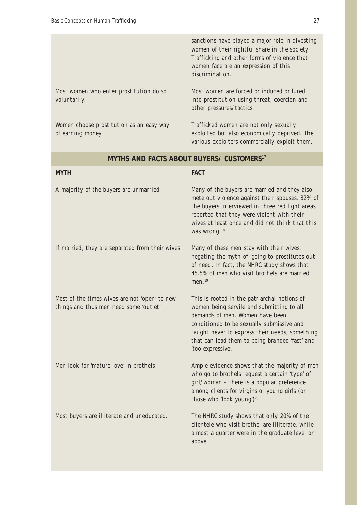Women choose prostitution as an easy way Trafficked women are not only sexually

sanctions have played a major role in divesting women of their rightful share in the society. Trafficking and other forms of violence that women face are an expression of this discrimination.

Most women who enter prostitution do so Most women are forced or induced or lured voluntarily. into prostitution using threat, coercion and other pressures/tactics.

of earning money. exploited but also economically deprived. The various exploiters commercially exploit them.

# **MYTHS AND FACTS ABOUT BUYERS/ CUSTOMERS**<sup>17</sup>

| <b>MYTH</b>                                                                             | <b>FACT</b>                                                                                                                                                                                                                                                                                        |
|-----------------------------------------------------------------------------------------|----------------------------------------------------------------------------------------------------------------------------------------------------------------------------------------------------------------------------------------------------------------------------------------------------|
| A majority of the buyers are unmarried                                                  | Many of the buyers are married and they also<br>mete out violence against their spouses. 82% of<br>the buyers interviewed in three red light areas<br>reported that they were violent with their<br>wives at least once and did not think that this<br>was wrong. <sup>18</sup>                    |
| If married, they are separated from their wives                                         | Many of these men stay with their wives,<br>negating the myth of 'going to prostitutes out<br>of need'. In fact, the NHRC study shows that<br>45.5% of men who visit brothels are married<br>men. <sup>19</sup>                                                                                    |
| Most of the times wives are not 'open' to new<br>things and thus men need some 'outlet' | This is rooted in the patriarchal notions of<br>women being servile and submitting to all<br>demands of men. Women have been<br>conditioned to be sexually submissive and<br>taught never to express their needs; something<br>that can lead them to being branded 'fast' and<br>'too expressive'. |
| Men look for 'mature love' in brothels                                                  | Ample evidence shows that the majority of men<br>who go to brothels request a certain 'type' of<br>girl/woman - there is a popular preference<br>among clients for virgins or young girls (or<br>those who 'look young') <sup>20</sup>                                                             |
| Most buyers are illiterate and uneducated.                                              | The NHRC study shows that only 20% of the<br>clientele who visit brothel are illiterate, while<br>almost a quarter were in the graduate level or<br>above.                                                                                                                                         |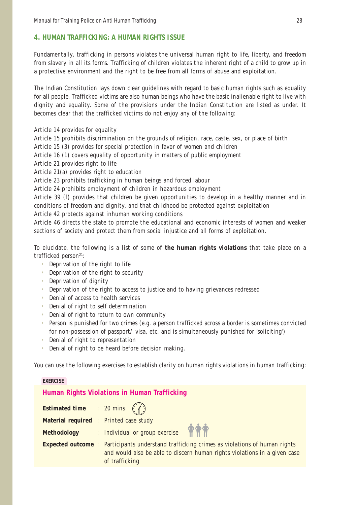# **4. HUMAN TRAFFICKING: A HUMAN RIGHTS ISSUE**

Fundamentally, trafficking in persons violates the universal human right to life, liberty, and freedom from slavery in all its forms. Trafficking of children violates the inherent right of a child to grow up in a protective environment and the right to be free from all forms of abuse and exploitation.

The Indian Constitution lays down clear guidelines with regard to basic human rights such as equality for all people. Trafficked victims are also human beings who have the basic inalienable right to live with dignity and equality. Some of the provisions under the Indian Constitution are listed as under. It becomes clear that the trafficked victims do not enjoy any of the following:

Article 14 provides for equality

Article 15 prohibits discrimination on the grounds of religion, race, caste, sex, or place of birth

Article 15 (3) provides for special protection in favor of women and children

Article 16 (1) covers equality of opportunity in matters of public employment

Article 21 provides right to life

Article 21(a) provides right to education

Article 23 prohibits trafficking in human beings and forced labour

Article 24 prohibits employment of children in hazardous employment

Article 39 (f) provides that children be given opportunities to develop in a healthy manner and in conditions of freedom and dignity, and that childhood be protected against exploitation

Article 42 protects against inhuman working conditions

Article 46 directs the state to promote the educational and economic interests of women and weaker sections of society and protect them from social injustice and all forms of exploitation.

To elucidate, the following is a list of some of **the human rights violations** that take place on a trafficked person<sup>21</sup>:

- Deprivation of the right to life
- Deprivation of the right to security
- Deprivation of dignity
- Deprivation of the right to access to justice and to having grievances redressed
- Denial of access to health services
- Denial of right to self determination
- Denial of right to return to own community
- Person is punished for two crimes (e.g. a person trafficked across a border is sometimes convicted for non-possession of passport/ visa, etc. and is simultaneously punished for 'soliciting')
- Denial of right to representation
- Denial of right to be heard before decision making.

You can use the following exercises to establish clarity on human rights violations in human trafficking:

#### **EXERCISE**

# **Human Rights Violations in Human Trafficking**

| <b>Estimated time</b> : 20 mins $(7)$         |                                                                                                                                                                                                   |
|-----------------------------------------------|---------------------------------------------------------------------------------------------------------------------------------------------------------------------------------------------------|
| <b>Material required : Printed case study</b> |                                                                                                                                                                                                   |
|                                               | Methodology : Individual or group exercise                                                                                                                                                        |
|                                               | <b>Expected outcome :</b> Participants understand trafficking crimes as violations of human rights<br>and would also be able to discern human rights violations in a given case<br>of trafficking |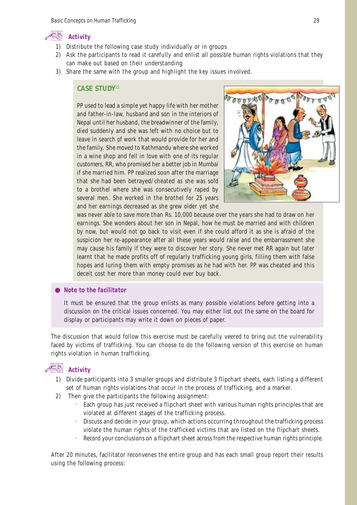

- 1) Distribute the following case study individually or in groups
- 2) Ask the participants to read it carefully and enlist all possible human rights violations that they can make out based on their understanding
- 3) Share the same with the group and highlight the key issues involved.

#### **CASE STUDY**<sup>22</sup>

PP used to lead a simple yet happy life with her mother and father-in-law, husband and son in the interiors of Nepal until her husband, the breadwinner of the family, died suddenly and she was left with no choice but to leave in search of work that would provide for her and the family. She moved to Kathmandu where she worked in a wine shop and fell in love with one of its regular customers, RR, who promised her a better job in Mumbai if she married him. PP realized soon after the marriage that she had been betrayed/cheated as she was sold to a brothel where she was consecutively raped by several men. She worked in the brothel for 25 years and her earnings decreased as she grew older yet she



was never able to save more than Rs. 10,000 because over the years she had to draw on her earnings. She wonders about her son in Nepal, how he must be married and with children by now, but would not go back to visit even if she could afford it as she is afraid of the suspicion her re-appearance after all these years would raise and the embarrassment she may cause his family if they were to discover her story. She never met RR again but later learnt that he made profits off of regularly trafficking young girls, filling them with false hopes and luring them with empty promises as he had with her. PP was cheated and this deceit cost her more than money could ever buy back.

#### *Note to the facilitator*

It must be ensured that the group enlists as many possible violations before getting into a discussion on the critical issues concerned. You may either list out the same on the board for display or participants may write it down on pieces of paper.

The discussion that would follow this exercise must be carefully veered to bring out the vulnerability faced by victims of trafficking. You can choose to do the following version of this exercise on human rights violation in human trafficking.

# **Activity**

- 1) Divide participants into 3 smaller groups and distribute 3 flipchart sheets, each listing a different set of human rights violations that occur in the process of trafficking, and a marker.
- 2) Then give the participants the following assignment:
	- Each group has just received a flipchart sheet with various human rights principles that are violated at different stages of the trafficking process.
	- Discuss and decide in your group, which actions occurring throughout the trafficking process violate the human rights of the trafficked victims that are listed on the flipchart sheets.
	- Record your conclusions on a flipchart sheet across from the respective human rights principle.

After 20 minutes, facilitator reconvenes the entire group and has each small group report their results using the following process: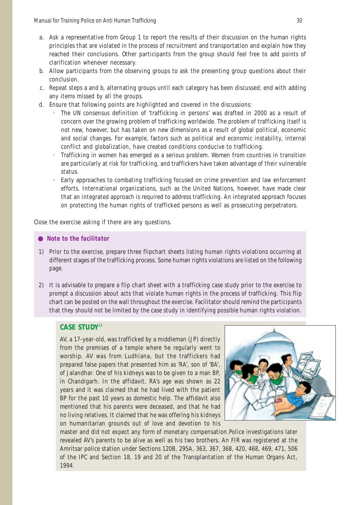- a. Ask a representative from Group 1 to report the results of their discussion on the human rights principles that are violated in the process of recruitment and transportation and explain how they reached their conclusions. Other participants from the group should feel free to add points of clarification whenever necessary.
- b. Allow participants from the observing groups to ask the presenting group questions about their conclusion.
- c. Repeat steps a and b, alternating groups until each category has been discussed; end with adding any items missed by all the groups.
- d. Ensure that following points are highlighted and covered in the discussions:
	- The UN consensus definition of 'trafficking in persons' was drafted in 2000 as a result of concern over the growing problem of trafficking worldwide. The problem of trafficking itself is not new, however, but has taken on new dimensions as a result of global political, economic and social changes. For example, factors such as political and economic instability, internal conflict and globalization, have created conditions conducive to trafficking.
	- Trafficking in women has emerged as a serious problem. Women from countries in transition are particularly at risk for trafficking, and traffickers have taken advantage of their vulnerable status.
	- Early approaches to combating trafficking focused on crime prevention and law enforcement efforts. International organizations, such as the United Nations, however, have made clear that an integrated approach is required to address trafficking. An integrated approach focuses on protecting the human rights of trafficked persons as well as prosecuting perpetrators.

Close the exercise asking if there are any questions.

#### *Note to the facilitator*

- 1) Prior to the exercise, prepare three flipchart sheets listing human rights violations occurring at different stages of the trafficking process. Some human rights violations are listed on the following page.
- 2) It is advisable to prepare a flip chart sheet with a trafficking case study prior to the exercise to prompt a discussion about acts that violate human rights in the process of trafficking. This flip chart can be posted on the wall throughout the exercise. Facilitator should remind the participants that they should not be limited by the case study in identifying possible human rights violation.

# **CASE STUDY**<sup>24</sup>

AV, a 17-year-old, was trafficked by a middleman (JP) directly from the premises of a temple where he regularly went to worship. AV was from Ludhiana, but the traffickers had prepared false papers that presented him as 'RA', son of 'BA', of Jalandhar. One of his kidneys was to be given to a man BP, in Chandigarh. In the affidavit, RA's age was shown as 22 years and it was claimed that he had lived with the patient BP for the past 10 years as domestic help. The affidavit also mentioned that his parents were deceased, and that he had no living relatives. It claimed that he was offering his kidneys on humanitarian grounds out of love and devotion to his



master and did not expect any form of monetary compensation.Police investigations later revealed AV's parents to be alive as well as his two brothers. An FIR was registered at the Amritsar police station under Sections 120B, 295A, 363, 367, 368, 420, 468, 469, 471, 506 of the IPC and Section 18, 19 and 20 of the Transplantation of the Human Organs Act, 1994.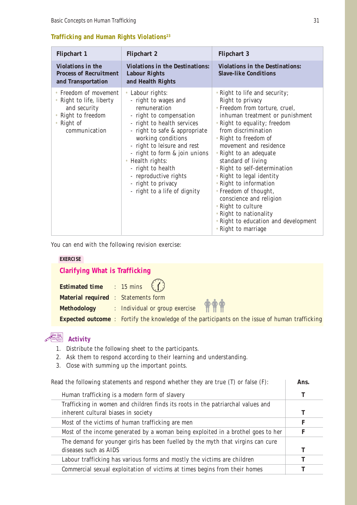# **Trafficking and Human Rights Violations23**

| <b>Flipchart 1</b>                                                                                                     | <b>Flipchart 2</b>                                                                                                                                                                                                                                                                                                                                               | <b>Flipchart 3</b>                                                                                                                                                                                                                                                                                                                                                                                                                                                                                                                          |
|------------------------------------------------------------------------------------------------------------------------|------------------------------------------------------------------------------------------------------------------------------------------------------------------------------------------------------------------------------------------------------------------------------------------------------------------------------------------------------------------|---------------------------------------------------------------------------------------------------------------------------------------------------------------------------------------------------------------------------------------------------------------------------------------------------------------------------------------------------------------------------------------------------------------------------------------------------------------------------------------------------------------------------------------------|
| <b>Violations in the</b><br><b>Process of Recruitment</b><br>and Transportation                                        | <b>Violations in the Destinations:</b><br><b>Labour Rights</b><br>and Health Rights                                                                                                                                                                                                                                                                              | <b>Violations in the Destinations:</b><br><b>Slave-like Conditions</b>                                                                                                                                                                                                                                                                                                                                                                                                                                                                      |
| • Freedom of movement<br>• Right to life, liberty<br>and security<br>• Right to freedom<br>• Right of<br>communication | • Labour rights:<br>- right to wages and<br>remuneration<br>- right to compensation<br>- right to health services<br>- right to safe & appropriate<br>working conditions<br>- right to leisure and rest<br>- right to form & join unions<br>• Health rights:<br>- right to health<br>- reproductive rights<br>- right to privacy<br>- right to a life of dignity | • Right to life and security;<br>Right to privacy<br>• Freedom from torture, cruel,<br>inhuman treatment or punishment<br>• Right to equality; freedom<br>from discrimination<br>• Right to freedom of<br>movement and residence<br>• Right to an adequate<br>standard of living<br>• Right to self-determination<br>• Right to legal identity<br>• Right to information<br>• Freedom of thought,<br>conscience and religion<br>• Right to culture<br>• Right to nationality<br>• Right to education and development<br>• Right to marriage |

You can end with the following revision exercise:

#### **EXERCISE**

# **Clarifying What is Trafficking**

| <b>Estimated time</b> : 15 mins $\binom{?}{?}$ |                                                                                                       |  |
|------------------------------------------------|-------------------------------------------------------------------------------------------------------|--|
| <b>Material required : Statements form</b>     |                                                                                                       |  |
|                                                | Methodology : Individual or group exercise                                                            |  |
|                                                | <b>Expected outcome</b> : Fortify the knowledge of the participants on the issue of human trafficking |  |

# **Activity**

- 1. Distribute the following sheet to the participants.
- 2. Ask them to respond according to their learning and understanding.
- 3. Close with summing up the important points.

| Read the following statements and respond whether they are true $(T)$ or false $(F)$ : |  |  | Ans. |
|----------------------------------------------------------------------------------------|--|--|------|
|----------------------------------------------------------------------------------------|--|--|------|

| Human trafficking is a modern form of slavery                                                                          |   |
|------------------------------------------------------------------------------------------------------------------------|---|
| Trafficking in women and children finds its roots in the patriarchal values and<br>inherent cultural biases in society | т |
| Most of the victims of human trafficking are men                                                                       | F |
| Most of the income generated by a woman being exploited in a brothel goes to her                                       | F |
| The demand for younger girls has been fuelled by the myth that virgins can cure<br>diseases such as AIDS               |   |
| Labour trafficking has various forms and mostly the victims are children                                               | т |
| Commercial sexual exploitation of victims at times begins from their homes                                             |   |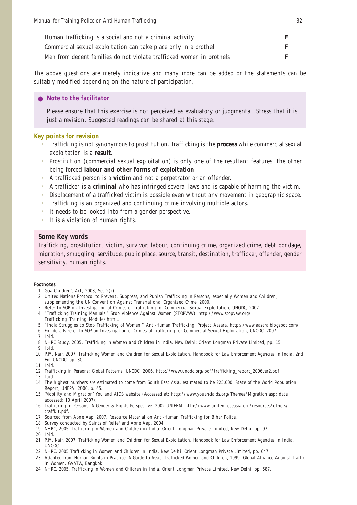| Human trafficking is a social and not a criminal activity            |  |
|----------------------------------------------------------------------|--|
| Commercial sexual exploitation can take place only in a brothel      |  |
| Men from decent families do not violate trafficked women in brothels |  |

The above questions are merely indicative and many more can be added or the statements can be suitably modified depending on the nature of participation.

#### *Note to the facilitator*

Please ensure that this exercise is not perceived as evaluatory or judgmental. Stress that it is just a revision. Suggested readings can be shared at this stage.

#### **Key points for revision**

- Trafficking is not synonymous to prostitution. Trafficking is the **process** while commercial sexual exploitation is a **result**.
- Prostitution (commercial sexual exploitation) is only one of the resultant features; the other being forced **labour and other forms of exploitation**.
- A trafficked person is a **victim** and not a perpetrator or an offender.
- A trafficker is a **criminal** who has infringed several laws and is capable of harming the victim.
- Displacement of a trafficked victim is possible even without any movement in geographic space.
- Trafficking is an organized and continuing crime involving multiple actors.
- It needs to be looked into from a gender perspective.
- It is a violation of human rights.

#### **Some Key words**

Trafficking, prostitution, victim, survivor, labour, continuing crime, organized crime, debt bondage, migration, smuggling, servitude, public place, source, transit, destination, trafficker, offender, gender sensitivity, human rights.

#### **Footnotes**

- 1 Goa Children's Act, 2003, Sec 2(z).
- 2 United Nations Protocol to Prevent, Suppress, and Punish Trafficking in Persons, especially Women and Children, supplementing the UN Convention Against Transnational Organized Crime, 2000.
- 3 Refer to SOP on Investigation of Crimes of Trafficking for Commercial Sexual Exploitation, UNODC, 2007.
- 4 "Trafficking Training Manuals." Stop Violence Against Women (STOPVAW). http://www.stopvaw.org/ Trafficking\_Training\_Modules.html..
- 5 "India Struggles to Stop Trafficking of Women." Anti-Human Trafficking: Project Aasara. http://www.aasara.blogspot.com/.
- 6 For details refer to *SOP on Investigation of Crimes of Trafficking for Commercial Sexual Exploitation*, UNODC, 2007
- 7 Ibid.
- 8 NHRC Study. 2005. *Trafficking in Women and Children in India*. New Delhi: Orient Longman Private Limited, pp. 15. 9 Ibid.
- 10 P.M. Nair, 2007. *Trafficking Women and Children for Sexual Exploitation, Handbook for Law Enforcement Agencies in India*, 2nd Ed. UNODC. pp. 30.
- 11 Ibid.
- 12 *Trafficking in Persons: Global Patterns*. UNODC. 2006. http://www.unodc.org/pdf/trafficking\_report\_2006ver2.pdf
- 13 Ibid.
- 14 The highest numbers are estimated to come from South East Asia, estimated to be 225,000. State of the World Population Report, UNFPA, 2006, p. 45.
- 15 'Mobility and Migration' You and AIDS website (Accessed at: http://www.youandaids.org/Themes/Migration.asp; date accessed: 10 April 2007).
- 16 *Trafficking in Persons: A Gender & Rights Perspective*. 2002 UNIFEM. http://www.unifem-eseasia.org/resources/others/ traffkit.pdf.
- 17 Sourced from Apne Aap, 2007. Resource Material on Anti-Human Trafficking for Bihar Police.
- 18 Survey conducted by Saints of Relief and Apne Aap, 2004.
- 19 NHRC, 2005. *Trafficking in Women and Children in India*. Orient Longman Private Limited, New Delhi. pp. 97. 20 Ibid.
- 21 P.M. Nair. 2007. *Trafficking Women and Children for Sexual Exploitation, Handbook for Law Enforcement Agencies in India*. UNODC.
- 22 NHRC. 2005 *Trafficking in Women and Children in India*. New Delhi: Orient Longman Private Limited, pp. 647.
- 23 Adapted from *Human Rights in Practice: A Guide to Assist Trafficked Women and Children*, 1999. Global Alliance Against Traffic in Women. GAATW, Bangkok.
- 24 NHRC, 2005. *Trafficking in Women and Children in India*, Orient Longman Private Limited, New Delhi, pp. 587.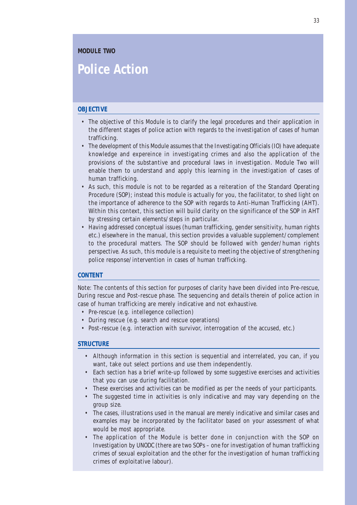# **Police Action**

#### **OBJECTIVE**

- The objective of this Module is to clarify the legal procedures and their application in the different stages of police action with regards to the investigation of cases of human trafficking.
- The development of this Module assumes that the Investigating Officials (IO) have adequate knowledge and expereince in investigating crimes and also the application of the provisions of the substantive and procedural laws in investigation. Module Two will enable them to understand and apply this learning in the investigation of cases of human trafficking.
- As such, this module is not to be regarded as a reiteration of the Standard Operating Procedure (SOP); instead this module is actually for you, the facilitator, to shed light on the importance of adherence to the SOP with regards to Anti-Human Trafficking (AHT). Within this context, this section will build clarity on the significance of the SOP in AHT by stressing certain elements/steps in particular.
- Having addressed conceptual issues (human trafficking, gender sensitivity, human rights etc.) elsewhere in the manual, this section provides a valuable supplement/complement to the procedural matters. The SOP should be followed with gender/human rights perspective. As such, this module is a requisite to meeting the objective of strengthening police response/intervention in cases of human trafficking.

#### **CONTENT**

Note: The contents of this section for purposes of clarity have been divided into Pre-rescue, During rescue and Post-rescue phase. The sequencing and details therein of police action in case of human trafficking are merely indicative and not exhaustive.

- Pre-rescue (e.g. intellegence collection)
- During rescue (e.g. search and rescue operations)
- Post-rescue (e.g. interaction with survivor, interrogation of the accused, etc.)

#### **STRUCTURE**

- Although information in this section is sequential and interrelated, you can, if you want, take out select portions and use them independently.
- Each section has a brief write-up followed by some suggestive exercises and activities that you can use during facilitation.
- These exercises and activities can be modified as per the needs of your participants.
- The suggested time in activities is only indicative and may vary depending on the group size.
- The cases, illustrations used in the manual are merely indicative and similar cases and examples may be incorporated by the facilitator based on your assessment of what would be most appropriate.
- The application of the Module is better done in conjunction with the SOP on Investigation by UNODC (there are two SOPs – one for investigation of human trafficking crimes of sexual exploitation and the other for the investigation of human trafficking crimes of exploitative labour).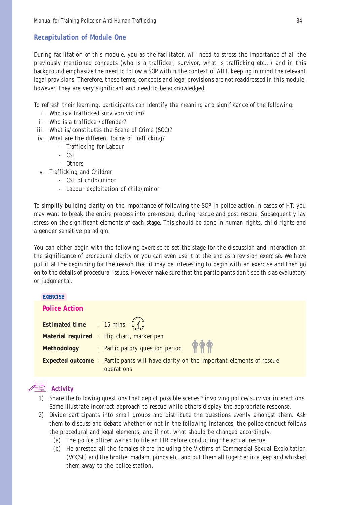## **Recapitulation of Module One**

During facilitation of this module, you as the facilitator, will need to stress the importance of all the previously mentioned concepts (who is a trafficker, survivor, what is trafficking etc...) and in this background emphasize the need to follow a SOP within the context of AHT, keeping in mind the relevant legal provisions. Therefore, these terms, concepts and legal provisions are not readdressed in this module; however, they are very significant and need to be acknowledged.

To refresh their learning, participants can identify the meaning and significance of the following:

- i. Who is a trafficked survivor/victim?
- ii. Who is a trafficker/offender?
- iii. What is/constitutes the Scene of Crime (SOC)?
- iv. What are the different forms of trafficking?
	- Trafficking for Labour
	- CSE
	- Others
- v. Trafficking and Children
	- CSE of child/minor
	- Labour exploitation of child/minor

To simplify building clarity on the importance of following the SOP in police action in cases of HT, you may want to break the entire process into pre-rescue, during rescue and post rescue. Subsequently lay stress on the significant elements of each stage. This should be done in human rights, child rights and a gender sensitive paradigm.

You can either begin with the following exercise to set the stage for the discussion and interaction on the significance of procedural clarity or you can even use it at the end as a revision exercise. We have put it at the beginning for the reason that it may be interesting to begin with an exercise and then go on to the details of procedural issues. However make sure that the participants don't see this as evaluatory or judgmental.

#### **EXERCISE**

# **Police Action**

| <b>Estimated time</b> : 15 mins $\left(\begin{pmatrix} 1 \end{pmatrix}\right)$ |                                                                                                            |
|--------------------------------------------------------------------------------|------------------------------------------------------------------------------------------------------------|
|                                                                                | <b>Material required</b> : Flip chart, marker pen                                                          |
|                                                                                | Methodology : Participatory question period                                                                |
|                                                                                | <b>Expected outcome</b> : Participants will have clarity on the important elements of rescue<br>operations |



- 1) Share the following questions that depict possible scenes<sup>25</sup> involving police/survivor interactions. Some illustrate incorrect approach to rescue while others display the appropriate response.
- 2) Divide participants into small groups and distribute the questions evenly amongst them. Ask them to discuss and debate whether or not in the following instances, the police conduct follows the procedural and legal elements, and if not, what should be changed accordingly.
	- (a) The police officer waited to file an FIR before conducting the actual rescue.
	- (b) He arrested all the females there including the Victims of Commercial Sexual Exploitation (VOCSE) and the brothel madam, pimps etc. and put them all together in a jeep and whisked them away to the police station.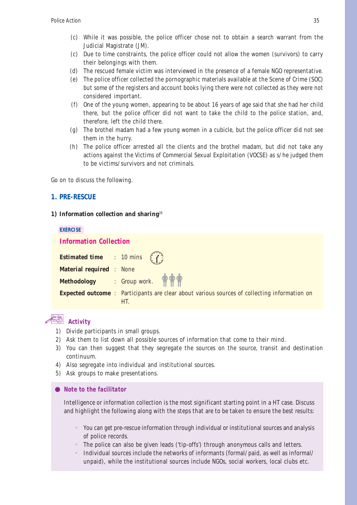- (c) While it was possible, the police officer chose not to obtain a search warrant from the Judicial Magistrate (JM).
- (c) Due to time constraints, the police officer could not allow the women (survivors) to carry their belongings with them.
- (d) The rescued female victim was interviewed in the presence of a female NGO representative.
- (e) The police officer collected the pornographic materials available at the Scene of Crime (SOC) but some of the registers and account books lying there were not collected as they were not considered important.
- (f) One of the young women, appearing to be about 16 years of age said that she had her child there, but the police officer did not want to take the child to the police station, and, therefore, left the child there.
- (g) The brothel madam had a few young women in a cubicle, but the police officer did not see them in the hurry.
- (h) The police officer arrested all the clients and the brothel madam, but did not take any actions against the Victims of Commercial Sexual Exploitation (VOCSE) as s/he judged them to be victims/survivors and not criminals.

Go on to discuss the following.

#### **1. PRE-RESCUE**

#### **1) Information collection and sharing**<sup>26</sup>

| <b>EXERCISE</b>                       |                               |                                                                                                           |  |  |  |  |
|---------------------------------------|-------------------------------|-----------------------------------------------------------------------------------------------------------|--|--|--|--|
|                                       | <b>Information Collection</b> |                                                                                                           |  |  |  |  |
| <b>Estimated time</b> : 10 mins $(7)$ |                               |                                                                                                           |  |  |  |  |
| <b>Material required : None</b>       |                               |                                                                                                           |  |  |  |  |
|                                       |                               | Methodology : Group work.                                                                                 |  |  |  |  |
|                                       |                               | <b>Expected outcome:</b> Participants are clear about various sources of collecting information on<br>HT. |  |  |  |  |
|                                       |                               |                                                                                                           |  |  |  |  |

### **Activity**

- 1) Divide participants in small groups.
- 2) Ask them to list down all possible sources of information that come to their mind.
- 3) You can then suggest that they segregate the sources on the source, transit and destination continuum.
- 4) Also segregate into individual and institutional sources.
- 5) Ask groups to make presentations.

#### *Note to the facilitator*

Intelligence or information collection is the most significant starting point in a HT case. Discuss and highlight the following along with the steps that are to be taken to ensure the best results:

- You can get pre-rescue information through individual or institutional sources and analysis of police records.
- The police can also be given leads ('tip-offs') through anonymous calls and letters.
- Individual sources include the networks of informants (formal/paid, as well as informal/ unpaid), while the institutional sources include NGOs, social workers, local clubs etc.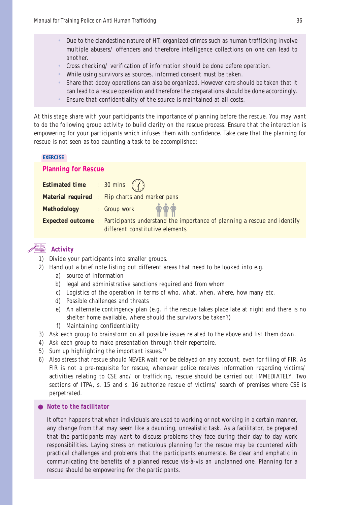- Due to the clandestine nature of HT, organized crimes such as human trafficking involve multiple abusers/ offenders and therefore intelligence collections on one can lead to another.
- Cross checking/ verification of information should be done before operation.
- While using survivors as sources, informed consent must be taken.
- Share that decoy operations can also be organized. However care should be taken that it can lead to a rescue operation and therefore the preparations should be done accordingly.
- Ensure that confidentiality of the source is maintained at all costs.

At this stage share with your participants the importance of planning before the rescue. You may want to do the following group activity to build clarity on the rescue process. Ensure that the interaction is empowering for your participants which infuses them with confidence. Take care that the planning for rescue is not seen as too daunting a task to be accomplished:

#### **EXERCISE**

#### **Planning for Rescue**

| <b>Estimated time</b> : 30 mins $(7)$ |                                                                                                    |
|---------------------------------------|----------------------------------------------------------------------------------------------------|
|                                       | <b>Material required : Flip charts and marker pens</b>                                             |
|                                       | Methodology : Group work \$                                                                        |
|                                       | <b>Expected outcome</b> : Participants understand the importance of planning a rescue and identify |
|                                       | different constitutive elements                                                                    |

### **Activity**

- 1) Divide your participants into smaller groups.
- 2) Hand out a brief note listing out different areas that need to be looked into e.g.
	- a) source of information
	- b) legal and administrative sanctions required and from whom
	- c) Logistics of the operation in terms of who, what, when, where, how many etc.
	- d) Possible challenges and threats
	- e) An alternate contingency plan (e.g. if the rescue takes place late at night and there is no shelter home available, where should the survivors be taken?)
	- f) Maintaining confidentiality
- 3) Ask each group to brainstorm on all possible issues related to the above and list them down.
- 4) Ask each group to make presentation through their repertoire.
- 5) Sum up highlighting the important issues. $27$
- 6) Also stress that rescue should NEVER wait nor be delayed on any account, even for filing of FIR. As FIR is not a pre-requisite for rescue, whenever police receives information regarding victims/ activities relating to CSE and/ or trafficking, rescue should be carried out IMMEDIATELY. Two sections of ITPA, s. 15 and s. 16 authorize rescue of victims/ search of premises where CSE is perpetrated.

*Note to the facilitator*

It often happens that when individuals are used to working or not working in a certain manner, any change from that may seem like a daunting, unrealistic task. As a facilitator, be prepared that the participants may want to discuss problems they face during their day to day work responsibilities. Laying stress on meticulous planning for the rescue may be countered with practical challenges and problems that the participants enumerate. Be clear and emphatic in communicating the benefits of a planned rescue vis-à-vis an unplanned one. Planning for a rescue should be empowering for the participants.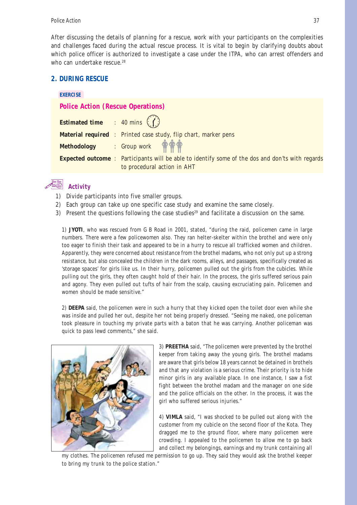After discussing the details of planning for a rescue, work with your participants on the complexities and challenges faced during the actual rescue process. It is vital to begin by clarifying doubts about which police officer is authorized to investigate a case under the ITPA, who can arrest offenders and who can undertake rescue.<sup>28</sup>

### **2. DURING RESCUE**

#### **EXERCISE**

**Police Action (Rescue Operations)**

| <b>Estimated time</b> : 40 mins $\binom{?}{?}$ |                                                                                                         |  |  |  |
|------------------------------------------------|---------------------------------------------------------------------------------------------------------|--|--|--|
|                                                | <b>Material required</b> : Printed case study, flip chart, marker pens                                  |  |  |  |
|                                                | Methodology : Group work $\bigoplus^{\bullet}_{i=1}$                                                    |  |  |  |
|                                                | <b>Expected outcome</b> : Participants will be able to identify some of the dos and don'ts with regards |  |  |  |
|                                                | to procedural action in AHT                                                                             |  |  |  |

### **Activity**

- 1) Divide participants into five smaller groups.
- 2) Each group can take up one specific case study and examine the same closely.
- 3) Present the questions following the case studies<sup>29</sup> and facilitate a discussion on the same.

1) **JYOTI**, who was rescued from G B Road in 2001, stated, "during the raid, policemen came in large numbers. There were a few policewomen also. They ran helter-skelter within the brothel and were only too eager to finish their task and appeared to be in a hurry to rescue all trafficked women and children. Apparently, they were concerned about resistance from the brothel madams, who not only put up a strong resistance, but also concealed the children in the dark rooms, alleys, and passages, specifically created as 'storage spaces' for girls like us. In their hurry, policemen pulled out the girls from the cubicles. While pulling out the girls, they often caught hold of their hair. In the process, the girls suffered serious pain and agony. They even pulled out tufts of hair from the scalp, causing excruciating pain. Policemen and women should be made sensitive."

2) **DEEPA** said, the policemen were in such a hurry that they kicked open the toilet door even while she was inside and pulled her out, despite her not being properly dressed. "Seeing me naked, one policeman took pleasure in touching my private parts with a baton that he was carrying. Another policeman was quick to pass lewd comments," she said.



3) **PREETHA** said, "The policemen were prevented by the brothel keeper from taking away the young girls. The brothel madams are aware that girls below 18 years cannot be detained in brothels and that any violation is a serious crime. Their priority is to hide minor girls in any available place. In one instance, I saw a fist fight between the brothel madam and the manager on one side and the police officials on the other. In the process, it was the girl who suffered serious injuries."

4) **VIMLA** said, "I was shocked to be pulled out along with the customer from my cubicle on the second floor of the Kota. They dragged me to the ground floor, where many policemen were crowding. I appealed to the policemen to allow me to go back and collect my belongings, earnings and my trunk containing all

my clothes. The policemen refused me permission to go up. They said they would ask the brothel keeper to bring my trunk to the police station."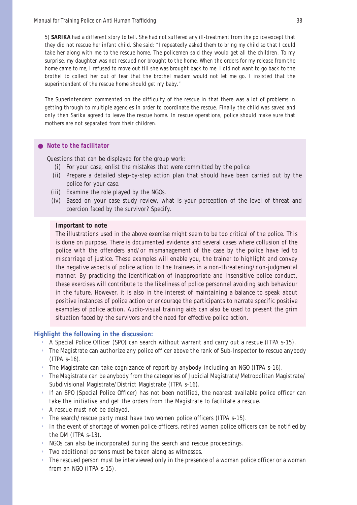5) **SARIKA** had a different story to tell. She had not suffered any ill-treatment from the police except that they did not rescue her infant child. She said: "I repeatedly asked them to bring my child so that I could take her along with me to the rescue home. The policemen said they would get all the children. To my surprise, my daughter was not rescued nor brought to the home. When the orders for my release from the home came to me, I refused to move out till she was brought back to me. I did not want to go back to the brothel to collect her out of fear that the brothel madam would not let me go. I insisted that the superintendent of the rescue home should get my baby."

The Superintendent commented on the difficulty of the rescue in that there was a lot of problems in getting through to multiple agencies in order to coordinate the rescue. Finally the child was saved and only then Sarika agreed to leave the rescue home. In rescue operations, police should make sure that mothers are not separated from their children.

#### *Note to the facilitator*

Questions that can be displayed for the group work:

- (i) For your case, enlist the mistakes that were committed by the police
- (ii) Prepare a detailed step-by-step action plan that should have been carried out by the police for your case.
- (iii) Examine the role played by the NGOs.
- (iv) Based on your case study review, what is your perception of the level of threat and coercion faced by the survivor? Specify.

#### **Important to note**

The illustrations used in the above exercise might seem to be too critical of the police. This is done on purpose. There is documented evidence and several cases where collusion of the police with the offenders and/or mismanagement of the case by the police have led to miscarriage of justice. These examples will enable you, the trainer to highlight and convey the negative aspects of police action to the trainees in a non-threatening/non-judgmental manner. By practicing the identification of inappropriate and insensitive police conduct, these exercises will contribute to the likeliness of police personnel avoiding such behaviour in the future. However, it is also in the interest of maintaining a balance to speak about positive instances of police action or encourage the participants to narrate specific positive examples of police action. Audio-visual training aids can also be used to present the grim situation faced by the survivors and the need for effective police action.

#### **Highlight the following in the discussion:**

- A Special Police Officer (SPO) can search without warrant and carry out a rescue (ITPA s-15).
- The Magistrate can authorize any police officer above the rank of Sub-Inspector to rescue anybody (ITPA s-16).
- The Magistrate can take cognizance of report by anybody including an NGO (ITPA s-16).
- The Magistrate can be anybody from the categories of Judicial Magistrate/Metropolitan Magistrate/ Subdivisional Magistrate/District Magistrate (ITPA s-16).
- If an SPO (Special Police Officer) has not been notified, the nearest available police officer can take the initiative and get the orders from the Magistrate to facilitate a rescue.
- A rescue must not be delayed.
- The search/rescue party must have two women police officers (ITPA s-15).
- In the event of shortage of women police officers, retired women police officers can be notified by the DM (ITPA s-13).
- NGOs can also be incorporated during the search and rescue proceedings.
- Two additional persons must be taken along as witnesses.
- The rescued person must be interviewed only in the presence of a woman police officer or a woman from an NGO (ITPA s-15).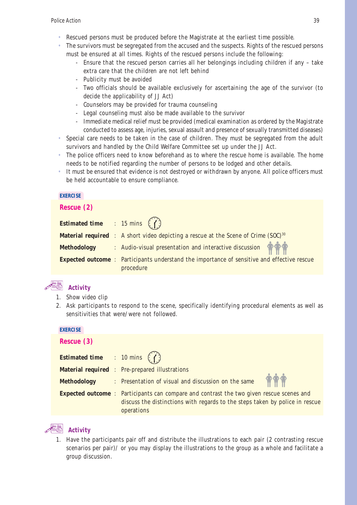- Rescued persons must be produced before the Magistrate at the earliest time possible.
- The survivors must be segregated from the accused and the suspects. Rights of the rescued persons must be ensured at all times. Rights of the rescued persons include the following:
	- Ensure that the rescued person carries all her belongings including children if any take extra care that the children are not left behind
	- Publicity must be avoided
	- Two officials should be available exclusively for ascertaining the age of the survivor (to decide the applicability of JJ Act)
	- Counselors may be provided for trauma counseling
	- Legal counseling must also be made available to the survivor
	- Immediate medical relief must be provided (medical examination as ordered by the Magistrate conducted to assess age, injuries, sexual assault and presence of sexually transmitted diseases)
- Special care needs to be taken in the case of children. They must be segregated from the adult survivors and handled by the Child Welfare Committee set up under the JJ Act.
- The police officers need to know beforehand as to where the rescue home is available. The home needs to be notified regarding the number of persons to be lodged and other details.
- It must be ensured that evidence is not destroyed or withdrawn by anyone. All police officers must be held accountable to ensure compliance.

#### **EXERCISE**

#### **Rescue (2)**

| <b>Estimated time</b> : 15 mins $\binom{n}{k}$ |                                                                                                                |
|------------------------------------------------|----------------------------------------------------------------------------------------------------------------|
|                                                | <b>Material required</b> : A short video depicting a rescue at the Scene of Crime (SOC) <sup>30</sup>          |
| <b>Methodology</b>                             | : Audio-visual presentation and interactive discussion                                                         |
|                                                | <b>Expected outcome:</b> Participants understand the importance of sensitive and effective rescue<br>procedure |

### **Activity**

- 1. Show video clip
- 2. Ask participants to respond to the scene, specifically identifying procedural elements as well as sensitivities that were/were not followed.

#### **EXERCISE**

**Rescue (3)**

| $\sim$                                                                                                        |  |                                                                              |
|---------------------------------------------------------------------------------------------------------------|--|------------------------------------------------------------------------------|
| <b>Estimated time</b> : 10 mins $(1)$                                                                         |  |                                                                              |
|                                                                                                               |  | <b>Material required</b> : Pre-prepared illustrations                        |
| <b>Methodology</b>                                                                                            |  | : Presentation of visual and discussion on the same                          |
| <b>Expected outcome</b> : Participants can compare and contrast the two given rescue scenes and<br>operations |  | discuss the distinctions with regards to the steps taken by police in rescue |

### **Activity**

1. Have the participants pair off and distribute the illustrations to each pair (2 contrasting rescue scenarios per pair)/ or you may display the illustrations to the group as a whole and facilitate a group discussion.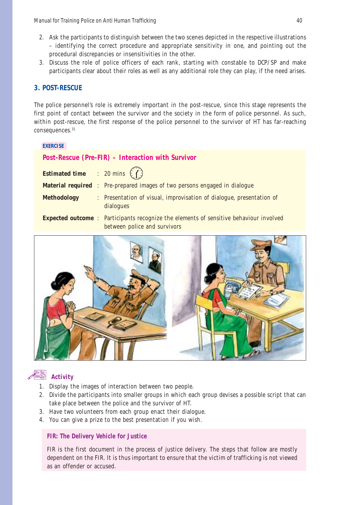- 2. Ask the participants to distinguish between the two scenes depicted in the respective illustrations – identifying the correct procedure and appropriate sensitivity in one, and pointing out the procedural discrepancies or insensitivities in the other.
- 3. Discuss the role of police officers of each rank, starting with constable to DCP/SP and make participants clear about their roles as well as any additional role they can play, if the need arises.

#### **3. POST-RESCUE**

The police personnel's role is extremely important in the post-rescue, since this stage represents the first point of contact between the survivor and the society in the form of police personnel. As such, within post-rescue, the first response of the police personnel to the survivor of HT has far-reaching consequences.<sup>31</sup>

#### **EXERCISE**

#### **Post-Rescue (Pre-FIR) – Interaction with Survivor**

| <b>Estimated time</b> : 20 mins $\binom{7}{1}$ |                                                                                                                               |  |
|------------------------------------------------|-------------------------------------------------------------------------------------------------------------------------------|--|
|                                                | <b>Material required</b> : Pre-prepared images of two persons engaged in dialogue                                             |  |
| <b>Methodology</b>                             | : Presentation of visual, improvisation of dialogue, presentation of<br>dialogues                                             |  |
|                                                | <b>Expected outcome</b> : Participants recognize the elements of sensitive behaviour involved<br>between police and survivors |  |





- 1. Display the images of interaction between two people.
- 2. Divide the participants into smaller groups in which each group devises a possible script that can take place between the police and the survivor of HT.
- 3. Have two volunteers from each group enact their dialogue.
- 4. You can give a prize to the best presentation if you wish.

#### *FIR: The Delivery Vehicle for Justice*

FIR is the first document in the process of justice delivery. The steps that follow are mostly dependent on the FIR. It is thus important to ensure that the victim of trafficking is not viewed as an offender or accused.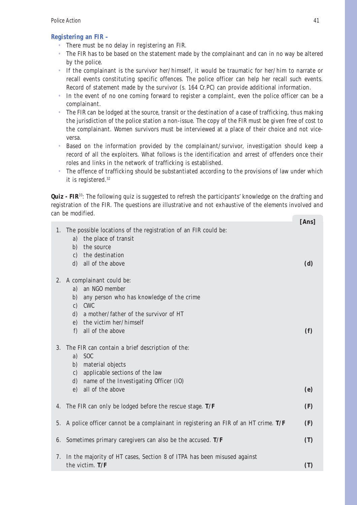#### **Registering an FIR –**

- There must be no delay in registering an FIR.
- The FIR has to be based on the statement made by the complainant and can in no way be altered by the police.
- If the complainant is the survivor her/himself, it would be traumatic for her/him to narrate or recall events constituting specific offences. The police officer can help her recall such events. Record of statement made by the survivor (s. 164 Cr.PC) can provide additional information.
- In the event of no one coming forward to register a complaint, even the police officer can be a complainant.
- The FIR can be lodged at the source, transit or the destination of a case of trafficking, thus making the jurisdiction of the police station a non-issue. The copy of the FIR must be given free of cost to the complainant. Women survivors must be interviewed at a place of their choice and not viceversa.
- Based on the information provided by the complainant/survivor, investigation should keep a record of all the exploiters. What follows is the identification and arrest of offenders once their roles and links in the network of trafficking is established.
- The offence of trafficking should be substantiated according to the provisions of law under which it is registered.32

**Quiz - FIR**<sup>33</sup>: The following quiz is suggested to refresh the participants' knowledge on the drafting and registration of the FIR. The questions are illustrative and not exhaustive of the elements involved and can be modified. **[Ans]**

| 1. The possible locations of the registration of an FIR could be:                     | Ans |
|---------------------------------------------------------------------------------------|-----|
| the place of transit<br>a)                                                            |     |
| b) the source                                                                         |     |
| c) the destination                                                                    |     |
| d) all of the above                                                                   | (d) |
| 2. A complainant could be:                                                            |     |
| an NGO member<br>a)                                                                   |     |
| any person who has knowledge of the crime<br>b)                                       |     |
| <b>CWC</b><br>$\mathbf{c}$                                                            |     |
| a mother/father of the survivor of HT<br>$\mathbf{d}$                                 |     |
| e) the victim her/himself                                                             |     |
| f) all of the above                                                                   | (f) |
| 3. The FIR can contain a brief description of the:                                    |     |
| a) SOC                                                                                |     |
| material objects<br>b)                                                                |     |
| c) applicable sections of the law                                                     |     |
| name of the Investigating Officer (IO)<br>d)                                          |     |
| all of the above<br>e)                                                                | (e) |
| 4. The FIR can only be lodged before the rescue stage. T/F                            | (F) |
| 5. A police officer cannot be a complainant in registering an FIR of an HT crime. T/F | (F) |
| 6. Sometimes primary caregivers can also be the accused. T/F                          | (T) |
| 7. In the majority of HT cases, Section 8 of ITPA has been misused against            |     |
| the victim. T/F                                                                       | (T) |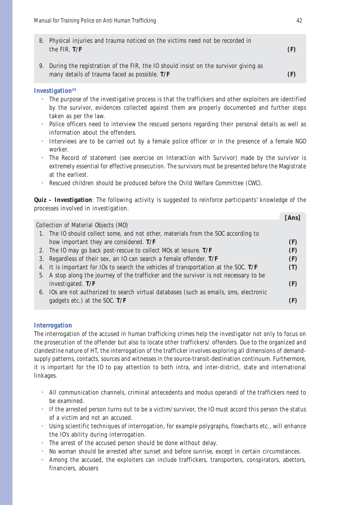| 8. Physical injuries and trauma noticed on the victims need not be recorded in<br>the FIR. $T/F$                                       | (F) |
|----------------------------------------------------------------------------------------------------------------------------------------|-----|
| 9. During the registration of the FIR, the IO should insist on the survivor giving as<br>many details of trauma faced as possible. T/F | (F) |

#### **Investigation34**

- The purpose of the investigative process is that the traffickers and other exploiters are identified by the survivor, evidences collected against them are properly documented and further steps taken as per the law.
- Police officers need to interview the rescued persons regarding their personal details as well as information about the offenders.
- Interviews are to be carried out by a female police officer or in the presence of a female NGO worker.
- The Record of statement (see exercise on Interaction with Survivor) made by the survivor is extremely essential for effective prosecution. The survivors must be presented before the Magistrate at the earliest.
- Rescued children should be produced before the Child Welfare Committee (CWC).

**Quiz – Investigation**: The following activity is suggested to reinforce participants' knowledge of the processes involved in investigation.

|                                                                                        | Ans |
|----------------------------------------------------------------------------------------|-----|
| Collection of Material Objects (MO)                                                    |     |
| 1. The IO should collect some, and not other, materials from the SOC according to      |     |
| how important they are considered. T/F                                                 | (F) |
| 2. The IO may go back post-rescue to collect MOs at leisure. T/F                       | (F) |
| 3. Regardless of their sex, an IO can search a female offender. T/F                    | (F) |
| 4. It is important for IOs to search the vehicles of transportation at the SOC. $T/F$  |     |
| 5. A stop along the journey of the trafficker and the survivor is not necessary to be  |     |
| investigated. $T/F$                                                                    | (F) |
| 6. IOs are not authorized to search virtual databases (such as emails, sms, electronic |     |
| gadgets etc.) at the SOC. $T/F$                                                        |     |
|                                                                                        |     |

#### **Interrogation**

The interrogation of the accused in human trafficking crimes help the investigator not only to focus on the prosecution of the offender but also to locate other traffickers/ offenders. Due to the organized and clandestine nature of HT, the interrogation of the trafficker involves exploring all dimensions of demandsupply patterns, contacts, sources and witnesses in the source-transit-destination continuum. Furthermore, it is important for the IO to pay attention to both intra, and inter-district, state and international linkages.

- All communication channels, criminal antecedents and modus operandi of the traffickers need to be examined.
- If the arrested person turns out to be a victim/survivor, the IO must accord this person the status of a victim and not an accused.
- Using scientific techniques of interrogation, for example polygraphs, flowcharts etc., will enhance the IO's ability during interrogation.
- The arrest of the accused person should be done without delay.
- No woman should be arrested after sunset and before sunrise, except in certain circumstances.
- Among the accused, the exploiters can include traffickers, transporters, conspirators, abettors, financiers, abusers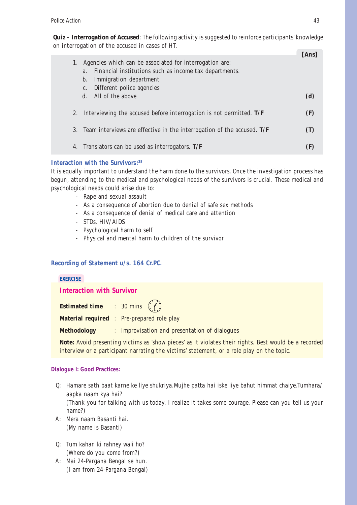**Quiz – Interrogation of Accused**: The following activity is suggested to reinforce participants' knowledge on interrogation of the accused in cases of HT.

| Agencies which can be associated for interrogation are:<br>Financial institutions such as income tax departments.<br>a.<br>Immigration department<br>b. | [Ans |
|---------------------------------------------------------------------------------------------------------------------------------------------------------|------|
| Different police agencies<br>C.<br>All of the above<br>$d_{\cdot}$                                                                                      | (d)  |
| 2. Interviewing the accused before interrogation is not permitted. $T/F$                                                                                | (F)  |
| Team interviews are effective in the interrogation of the accused. $T/F$                                                                                |      |
| 4. Translators can be used as interrogators. T/F                                                                                                        |      |

#### **Interaction with the Survivors:35**

It is equally important to understand the harm done to the survivors. Once the investigation process has begun, attending to the medical and psychological needs of the survivors is crucial. These medical and psychological needs could arise due to:

- Rape and sexual assault
- As a consequence of abortion due to denial of safe sex methods
- As a consequence of denial of medical care and attention
- STDs, HIV/AIDS
- Psychological harm to self
- Physical and mental harm to children of the survivor

#### **Recording of Statement u/s. 164 Cr.PC.**

# **EXERCISE Interaction with Survivor Estimated time** : 30 mins  $(7)$ **Material required** : Pre-prepared role play **Methodology** : Improvisation and presentation of dialogues

**Note:** Avoid presenting victims as 'show pieces' as it violates their rights. Best would be a recorded interview or a participant narrating the victims' statement, or a role play on the topic.

#### **Dialogue I: Good Practices:**

name?)

- Q: *Hamare sath baat karne ke liye shukriya.Mujhe patta hai iske liye bahut himmat chaiye.Tumhara/ aapka naam kya hai?* (Thank you for talking with us today, I realize it takes some courage. Please can you tell us your
- A: *Mera naam Basanti hai.* (My name is Basanti)
- Q: *Tum kahan ki rahney wali ho?* (Where do you come from?)
- A: *Mai 24-Pargana Bengal se hun.* (I am from 24-Pargana Bengal)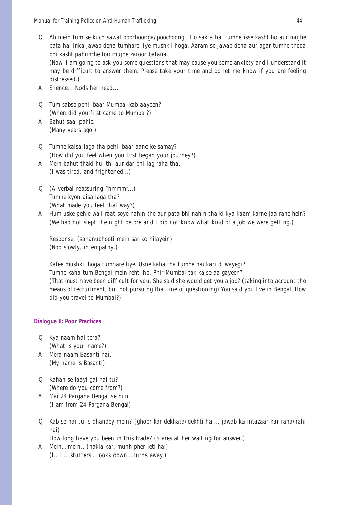Q: *Ab mein tum se kuch sawal poochoonga/poochoongi. Ho sakta hai tumhe isse kasht ho aur mujhe pata hai inka jawab dena tumhare liye mushkil hoga. Aaram se jawab dena aur agar tumhe thoda bhi kasht pahunche tou mujhe zaroor batana.* (Now, I am going to ask you some questions that may cause you some anxiety and I understand it

may be difficult to answer them. Please take your time and do let me know if you are feeling distressed.)

- A: Silence... Nods her head...
- Q: *Tum sabse pehli baar Mumbai kab aayeen?* (When did you first came to Mumbai?)
- A: *Bahut saal pahle.* (Many years ago.)

Q: *Tumhe kaisa laga tha pehli baar aane ke samay?* (How did you feel when you first began your journey?)

- A: *Mein bahut thaki hui thi aur dar bhi lag raha tha.* (I was tired, and frightened...)
- Q: (A verbal reassuring "hmmm"...) *Tumhe kyon aisa laga tha?* (What made you feel that way?)
- A: *Hum uske pehle wali raat soye nahin the aur pata bhi nahin tha ki kya kaam karne jaa rahe hein?* (We had not slept the night before and I did not know what kind of a job we were getting.)

Response: (*sahanubhooti mein sar ko hilayein)* (Nod slowly, in empathy.)

*Kafee mushkil hoga tumhare liye. Usne kaha tha tumhe naukari dilwayegi? Tumne kaha tum Bengal mein rehti ho. Phir Mumbai tak kaise aa gayeen?* (That must have been difficult for you. She said she would get you a job? (taking into account the means of recruitment, but not pursuing that line of questioning) You said you live in Bengal. How did you travel to Mumbai?)

#### **Dialogue II: Poor Practices**

- Q: *Kya naam hai tera?* (What is your name?)
- A: *Mera naam Basanti hai.* (My name is Basanti)
- Q: *Kahan se laayi gai hai tu?* (Where do you come from?)
- A: *Mai 24 Pargana Bengal se hun.* (I am from 24-Pargana Bengal)
- Q: *Kab se hai tu is dhandey mein? (ghoor kar dekhata/dekhti hai... jawab ka intazaar kar raha/rahi hai)*

How long have you been in this trade? (Stares at her waiting for answer.)

A: *Mein…mein.. (hakla kar, munh pher leti hai)* (I…I….stutters…looks down…turns away.)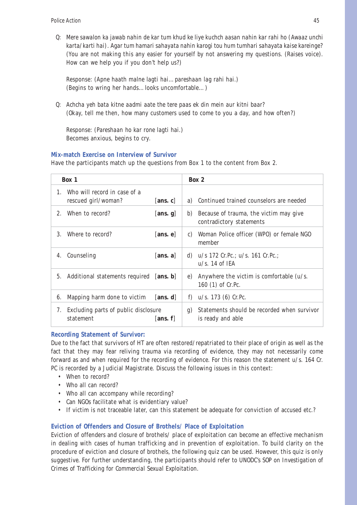Q: *Mere sawalon ka jawab nahin de kar tum khud ke liye kuchch aasan nahin kar rahi ho (Awaaz unchi karta/karti hai). Agar tum hamari sahayata nahin karogi tou hum tumhari sahayata kaise kareinge?* (You are not making this any easier for yourself by not answering my questions. (Raises voice). How can we help you if you don't help us?)

Response: (*Apne haath malne lagti hai…pareshaan lag rahi hai.*) (Begins to wring her hands…looks uncomfortable…)

Q: *Achcha yeh bata kitne aadmi aate the tere paas ek din mein aur kitni baar?* (Okay, tell me then, how many customers used to come to you a day, and how often?)

Response: (*Pareshaan ho kar rone lagti hai.*) Becomes anxious, begins to cry.

#### **Mix-match Exercise on Interview of Survivor**

Have the participants match up the questions from Box 1 to the content from Box 2.

|         | Box 1                                               |          |    | Box 2                                                              |
|---------|-----------------------------------------------------|----------|----|--------------------------------------------------------------------|
| $1_{-}$ | Who will record in case of a<br>rescued girl/woman? | [ans. c] | a) | Continued trained counselors are needed                            |
| $2_{-}$ | When to record?                                     | [ans. g] | b) | Because of trauma, the victim may give<br>contradictory statements |
| 3.      | Where to record?                                    | [ans. e] | C) | Woman Police officer (WPO) or female NGO<br>member                 |
| 4.      | Counseling                                          | [ans. a] |    | d) $u/s$ 172 Cr. Pc.; $u/s$ . 161 Cr. Pc.;<br>$u/s$ . 14 of IEA    |
| 5.      | Additional statements required [ans. b]             |          | e) | Anywhere the victim is comfortable $(u/s)$ .<br>160 (1) of Cr.Pc.  |
| 6.      | Mapping harm done to victim                         | [ans. d] | f) | $u/s. 173(6)$ Cr. Pc.                                              |
| 7.      | Excluding parts of public disclosure<br>statement   | [ans. f] | g) | Statements should be recorded when survivor<br>is ready and able   |

#### **Recording Statement of Survivor:**

Due to the fact that survivors of HT are often restored/repatriated to their place of origin as well as the fact that they may fear reliving trauma via recording of evidence, they may not necessarily come forward as and when required for the recording of evidence. For this reason the statement u/s. 164 Cr. PC is recorded by a Judicial Magistrate. Discuss the following issues in this context:

- When to record?
- Who all can record?
- Who all can accompany while recording?
- Can NGOs facilitate what is evidentiary value?
- If victim is not traceable later, can this statement be adequate for conviction of accused etc.?

#### **Eviction of Offenders and Closure of Brothels/ Place of Exploitation**

Eviction of offenders and closure of brothels/ place of exploitation can become an effective mechanism in dealing with cases of human trafficking and in prevention of exploitation. To build clarity on the procedure of eviction and closure of brothels, the following quiz can be used. However, this quiz is only suggestive. For further understanding, the participants should refer to UNODC's *SOP on Investigation of Crimes of Trafficking for Commercial Sexual Exploitation*.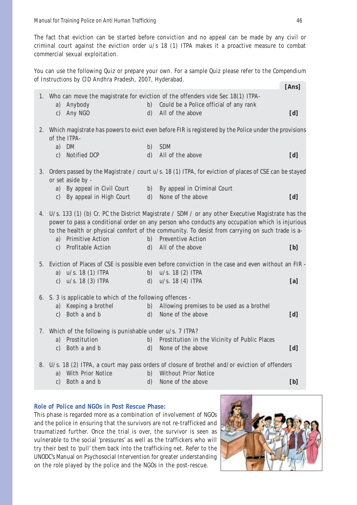The fact that eviction can be started before conviction and no appeal can be made by any civil or criminal court against the eviction order u/s 18 (1) ITPA makes it a proactive measure to combat commercial sexual exploitation.

You can use the following Quiz or prepare your own. For a sample Quiz please refer to the *Compendium of Instructions* by CID Andhra Pradesh, 2007, Hyderabad. **[Ans]**

| 1. Who can move the magistrate for eviction of the offenders vide Sec 18(1) ITPA-  |                    |                                                                                                                                                                                                        |     |  |  |
|------------------------------------------------------------------------------------|--------------------|--------------------------------------------------------------------------------------------------------------------------------------------------------------------------------------------------------|-----|--|--|
| a) Anybody                                                                         | b)                 | Could be a Police official of any rank                                                                                                                                                                 |     |  |  |
| Any NGO<br>$\mathbf{c}$                                                            | $\mathbf{d}$       | All of the above                                                                                                                                                                                       | [d] |  |  |
|                                                                                    |                    |                                                                                                                                                                                                        |     |  |  |
|                                                                                    |                    | 2. Which magistrate has powers to evict even before FIR is registered by the Police under the provisions                                                                                               |     |  |  |
| of the ITPA-                                                                       |                    |                                                                                                                                                                                                        |     |  |  |
| DM<br>a)<br>Notified DCP                                                           | b)<br>$\mathbf{d}$ | <b>SDM</b><br>All of the above                                                                                                                                                                         |     |  |  |
| $\mathbf{c}$                                                                       |                    |                                                                                                                                                                                                        | [d] |  |  |
|                                                                                    |                    | 3. Orders passed by the Magistrate / court u/s. 18 (1) ITPA, for eviction of places of CSE can be stayed                                                                                               |     |  |  |
| or set aside by -                                                                  |                    |                                                                                                                                                                                                        |     |  |  |
| a) By appeal in Civil Court                                                        |                    | b) By appeal in Criminal Court                                                                                                                                                                         |     |  |  |
| c) By appeal in High Court                                                         | $\mathbf{d}$       | None of the above                                                                                                                                                                                      | [d] |  |  |
|                                                                                    |                    |                                                                                                                                                                                                        |     |  |  |
|                                                                                    |                    | 4. U/s. 133 (1) (b) Cr. PC the District Magistrate / SDM / or any other Executive Magistrate has the<br>power to pass a conditional order on any person who conducts any occupation which is injurious |     |  |  |
|                                                                                    |                    | to the health or physical comfort of the community. To desist from carrying on such trade is a-                                                                                                        |     |  |  |
| a) Primitive Action                                                                |                    | b) Preventive Action                                                                                                                                                                                   |     |  |  |
| c) Profitable Action                                                               | $\mathbf{d}$       | All of the above                                                                                                                                                                                       | [b] |  |  |
|                                                                                    |                    |                                                                                                                                                                                                        |     |  |  |
|                                                                                    |                    | 5. Eviction of Places of CSE is possible even before conviction in the case and even without an FIR -                                                                                                  |     |  |  |
| $u/s.$ 18 (1) ITPA<br>a)                                                           | b)                 | $u/s. 18(2)$ ITPA                                                                                                                                                                                      |     |  |  |
| $u/s.$ 18 (3) ITPA<br>$\mathbf{c}$ )                                               | $\mathbf{d}$       | u/s. 18(4) ITPA                                                                                                                                                                                        | [a] |  |  |
|                                                                                    |                    |                                                                                                                                                                                                        |     |  |  |
| 6. S. 3 is applicable to which of the following offences -<br>a) Keeping a brothel |                    | b) Allowing premises to be used as a brothel                                                                                                                                                           |     |  |  |
| c) Both a and b                                                                    |                    | None of the above                                                                                                                                                                                      |     |  |  |
|                                                                                    | $\mathbf{d}$       |                                                                                                                                                                                                        | [d] |  |  |
| 7. Which of the following is punishable under u/s. 7 ITPA?                         |                    |                                                                                                                                                                                                        |     |  |  |
| Prostitution<br>a)                                                                 | b)                 | Prostitution in the Vicinity of Public Places                                                                                                                                                          |     |  |  |
| Both a and b<br>$\mathbf{c}$                                                       | $\mathbf{d}$       | None of the above                                                                                                                                                                                      | [d] |  |  |
|                                                                                    |                    |                                                                                                                                                                                                        |     |  |  |
| a) With Prior Notice                                                               | b)                 | 8. U/s. 18 (2) ITPA, a court may pass orders of closure of brothel and/or eviction of offenders<br><b>Without Prior Notice</b>                                                                         |     |  |  |
| Both a and b<br>$\mathbf{c}$                                                       | $\mathbf{d}$       | None of the above                                                                                                                                                                                      | [b] |  |  |
|                                                                                    |                    |                                                                                                                                                                                                        |     |  |  |

#### **Role of Police and NGOs in Post Rescue Phase:**

This phase is regarded more as a combination of involvement of NGOs and the police in ensuring that the survivors are not re-trafficked and traumatized further. Once the trial is over, the survivor is seen as vulnerable to the social 'pressures' as well as the traffickers who will try their best to 'pull' them back into the trafficking net. Refer to the UNODC's Manual on Psychosocial Intervention for greater understanding on the role played by the police and the NGOs in the post-rescue.

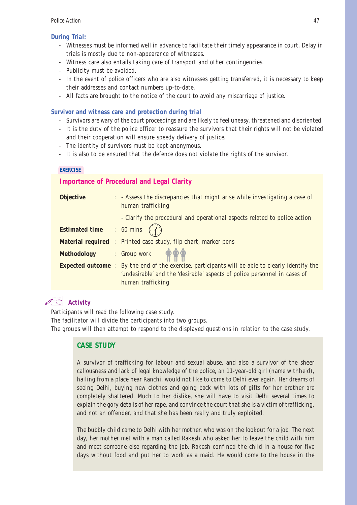#### *During Trial:*

- Witnesses must be informed well in advance to facilitate their timely appearance in court. Delay in trials is mostly due to non-appearance of witnesses.
- Witness care also entails taking care of transport and other contingencies.
- Publicity must be avoided.
- In the event of police officers who are also witnesses getting transferred, it is necessary to keep their addresses and contact numbers up-to-date.
- All facts are brought to the notice of the court to avoid any miscarriage of justice.

#### **Survivor and witness care and protection during trial**

- Survivors are wary of the court proceedings and are likely to feel uneasy, threatened and disoriented.
- It is the duty of the police officer to reassure the survivors that their rights will not be violated and their cooperation will ensure speedy delivery of justice.
- The identity of survivors must be kept anonymous.
- It is also to be ensured that the defence does not violate the rights of the survivor.

#### **EXERCISE**

#### **Importance of Procedural and Legal Clarity**

| <b>Objective</b>                               | : - Assess the discrepancies that might arise while investigating a case of<br>human trafficking        |  |  |  |
|------------------------------------------------|---------------------------------------------------------------------------------------------------------|--|--|--|
|                                                | - Clarify the procedural and operational aspects related to police action                               |  |  |  |
| <b>Estimated time</b> : 60 mins $\binom{7}{1}$ |                                                                                                         |  |  |  |
|                                                | <b>Material required</b> : Printed case study, flip chart, marker pens                                  |  |  |  |
|                                                | Methodology : Group work $\bigoplus_{i=1}^{n} \bigoplus_{j=1}^{n}$                                      |  |  |  |
|                                                | <b>Expected outcome</b> : By the end of the exercise, participants will be able to clearly identify the |  |  |  |
|                                                | 'undesirable' and the 'desirable' aspects of police personnel in cases of                               |  |  |  |
|                                                | human trafficking                                                                                       |  |  |  |

### **Activity**

Participants will read the following case study.

The facilitator will divide the participants into two groups.

The groups will then attempt to respond to the displayed questions in relation to the case study.

#### **CASE STUDY**

A survivor of trafficking for labour and sexual abuse, and also a survivor of the sheer callousness and lack of legal knowledge of the police, an 11-year-old girl (name withheld), hailing from a place near Ranchi, would not like to come to Delhi ever again. Her dreams of seeing Delhi, buying new clothes and going back with lots of gifts for her brother are completely shattered. Much to her dislike, she will have to visit Delhi several times to explain the gory details of her rape, and convince the court that she is a victim of trafficking, and not an offender, and that she has been really and truly exploited.

The bubbly child came to Delhi with her mother, who was on the lookout for a job. The next day, her mother met with a man called Rakesh who asked her to leave the child with him and meet someone else regarding the job. Rakesh confined the child in a house for five days without food and put her to work as a maid. He would come to the house in the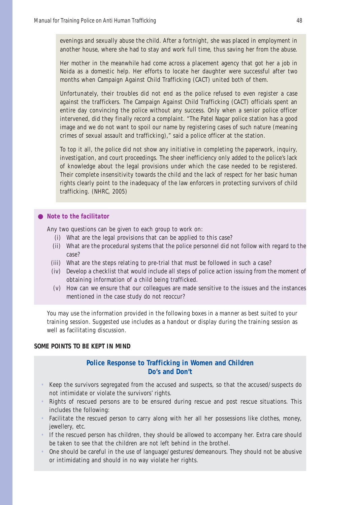evenings and sexually abuse the child. After a fortnight, she was placed in employment in another house, where she had to stay and work full time, thus saving her from the abuse.

Her mother in the meanwhile had come across a placement agency that got her a job in Noida as a domestic help. Her efforts to locate her daughter were successful after two months when Campaign Against Child Trafficking (CACT) united both of them.

Unfortunately, their troubles did not end as the police refused to even register a case against the traffickers. The Campaign Against Child Trafficking (CACT) officials spent an entire day convincing the police without any success. Only when a senior police officer intervened, did they finally record a complaint. "The Patel Nagar police station has a good image and we do not want to spoil our name by registering cases of such nature (meaning crimes of sexual assault and trafficking)," said a police officer at the station.

To top it all, the police did not show any initiative in completing the paperwork, inquiry, investigation, and court proceedings. The sheer inefficiency only added to the police's lack of knowledge about the legal provisions under which the case needed to be registered. Their complete insensitivity towards the child and the lack of respect for her basic human rights clearly point to the inadequacy of the law enforcers in protecting survivors of child trafficking. (NHRC, 2005)

#### *Note to the facilitator*

Any two questions can be given to each group to work on:

- (i) What are the legal provisions that can be applied to this case?
- (ii) What are the procedural systems that the police personnel did not follow with regard to the case?
- (iii) What are the steps relating to pre-trial that must be followed in such a case?
- (iv) Develop a checklist that would include all steps of police action issuing from the moment of obtaining information of a child being trafficked.
- (v) How can we ensure that our colleagues are made sensitive to the issues and the instances mentioned in the case study do not reoccur?

You may use the information provided in the following boxes in a manner as best suited to your training session. Suggested use includes as a handout or display during the training session as well as facilitating discussion.

#### **SOME POINTS TO BE KEPT IN MIND**

#### **Police Response to Trafficking in Women and Children Do's and Don't**

- Keep the survivors segregated from the accused and suspects, so that the accused/suspects do not intimidate or violate the survivors' rights.
- Rights of rescued persons are to be ensured during rescue and post rescue situations. This includes the following:
- Facilitate the rescued person to carry along with her all her possessions like clothes, money, jewellery, etc.
- If the rescued person has children, they should be allowed to accompany her. Extra care should be taken to see that the children are not left behind in the brothel.
- One should be careful in the use of language/gestures/demeanours. They should not be abusive or intimidating and should in no way violate her rights.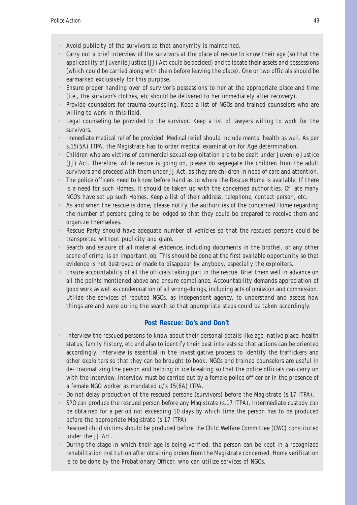- Avoid publicity of the survivors so that anonymity is maintained.
- Carry out a brief interview of the survivors at the place of rescue to know their age (so that the applicability of Juvenile Justice (JJ) Act could be decided) and to locate their assets and possessions (which could be carried along with them before leaving the place). One or two officials should be earmarked exclusively for this purpose.
- Ensure proper handing over of survivor's possessions to her at the appropriate place and time (i.e., the survivor's clothes, etc should be delivered to her immediately after recovery).
- Provide counselors for trauma counseling. Keep a list of NGOs and trained counselors who are willing to work in this field.
- Legal counseling be provided to the survivor. Keep a list of lawyers willing to work for the survivors.
- Immediate medical relief be provided. Medical relief should include mental health as well. As per s.15(5A) ITPA, the Magistrate has to order medical examination for Age determination.
- Children who are victims of commercial sexual exploitation are to be dealt under Juvenile Justice (JJ) Act. Therefore, while rescue is going on, please do segregate the children from the adult survivors and proceed with them under JJ Act, as they are children in need of care and attention.
- The police officers need to know before hand as to where the Rescue Home is available. If there is a need for such Homes, it should be taken up with the concerned authorities. Of late many NGO's have set up such Homes. Keep a list of their address, telephone, contact person, etc.
- As and when the rescue is done, please notify the authorities of the concerned Home regarding the number of persons going to be lodged so that they could be prepared to receive them and organize themselves.
- Rescue Party should have adequate number of vehicles so that the rescued persons could be transported without publicity and glare.
- Search and seizure of all material evidence, including documents in the brothel, or any other scene of crime, is an important job. This should be done at the first available opportunity so that evidence is not destroyed or made to disappear by anybody, especially the exploiters.
- Ensure accountability of all the officials taking part in the rescue. Brief them well in advance on all the points mentioned above and ensure compliance. Accountability demands appreciation of good work as well as condemnation of all wrong-doings, including acts of omission and commission. Utilize the services of reputed NGOs, as independent agency, to understand and assess how things are and were during the search so that appropriate steps could be taken accordingly.

#### **Post Rescue: Do's and Don't**

- Interview the rescued persons to know about their personal details like age, native place, health status, family history, etc and also to identify their best interests so that actions can be oriented accordingly. Interview is essential in the investigative process to identify the traffickers and other exploiters so that they can be brought to book. NGOs and trained counselors are useful in de- traumatizing the person and helping in ice breaking so that the police officials can carry on with the interview. Interview must be carried out by a female police officer or in the presence of a female NGO worker as mandated u/s 15(6A) ITPA.
- Do not delay production of the rescued persons (survivors) before the Magistrate (s.17 ITPA).
- SPO can produce the rescued person before any Magistrate (s.17 ITPA). Intermediate custody can be obtained for a period not exceeding 10 days by which time the person has to be produced before the appropriate Magistrate (s.17 ITPA)
- Rescued child victims should be produced before the Child Welfare Committee (CWC) constituted under the JJ Act.
- During the stage in which their age is being verified, the person can be kept in a recognized rehabilitation institution after obtaining orders from the Magistrate concerned. Home verification is to be done by the Probationary Officer, who can utilize services of NGOs.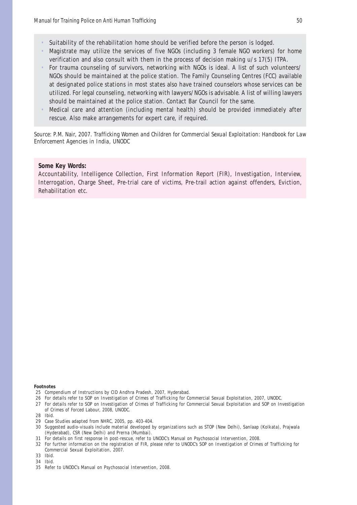- Suitability of the rehabilitation home should be verified before the person is lodged.
- Magistrate may utilize the services of five NGOs (including 3 female NGO workers) for home verification and also consult with them in the process of decision making u/s 17(5) ITPA.
- For trauma counseling of survivors, networking with NGOs is ideal. A list of such volunteers/ NGOs should be maintained at the police station. The Family Counseling Centres (FCC) available at designated police stations in most states also have trained counselors whose services can be utilized. For legal counseling, networking with lawyers/NGOs is advisable. A list of willing lawyers should be maintained at the police station. Contact Bar Council for the same.
- Medical care and attention (including mental health) should be provided immediately after rescue. Also make arrangements for expert care, if required.

*Source*: P.M. Nair, 2007. *Trafficking Women and Children for Commercial Sexual Exploitation: Handbook for Law Enforcement Agencies in India*, UNODC

#### **Some Key Words:**

Accountability, Intelligence Collection, First Information Report (FIR), Investigation, Interview, Interrogation, Charge Sheet, Pre-trial care of victims, Pre-trail action against offenders, Eviction, Rehabilitation etc.

#### **Footnotes**

- 25 Compendium of Instructions by CID Andhra Pradesh, 2007, Hyderabad.
- 26 For details refer to SOP on Investigation of Crimes of Trafficking for Commercial Sexual Exploitation, 2007, UNODC.
- 27 For details refer to SOP on Investigation of Crimes of Trafficking for Commercial Sexual Exploitation and SOP on Investigation of Crimes of Forced Labour, 2008, UNODC.
- 28 Ibid.
- 29 Case Studies adapted from NHRC, 2005, pp. 403-404.
- 30 Suggested audio-visuals include material developed by organizations such as STOP (New Delhi), Sanlaap (Kolkata), Prajwala (Hyderabad), CSR (New Delhi) and Prerna (Mumbai).
- 31 For details on first response in post-rescue, refer to UNODC's Manual on Psychosocial Intervention, 2008.
- 32 For further information on the registration of FIR, please refer to UNODC's SOP on Investigation of Crimes of Trafficking for Commercial Sexual Exploitation, 2007.
- 33 Ibid.
- 34 Ibid.

<sup>35</sup> Refer to UNODC's Manual on Psychosocial Intervention, 2008.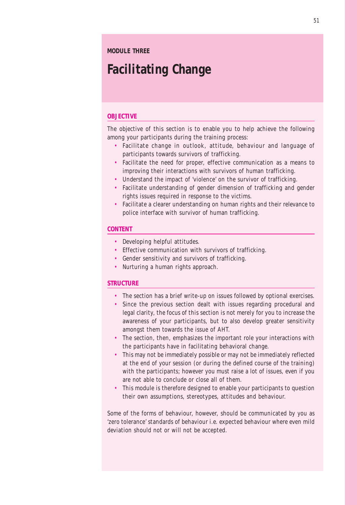#### **MODULE THREE**

# **Facilitating Change**

#### **OBJECTIVE**

The objective of this section is to enable you to help achieve the following among your participants during the training process:

- Facilitate change in outlook, attitude, behaviour and language of participants towards survivors of trafficking.
- Facilitate the need for proper, effective communication as a means to improving their interactions with survivors of human trafficking.
- Understand the impact of 'violence' on the survivor of trafficking.
- Facilitate understanding of gender dimension of trafficking and gender rights issues required in response to the victims.
- Facilitate a clearer understanding on human rights and their relevance to police interface with survivor of human trafficking.

#### **CONTENT**

- Developing helpful attitudes.
- Effective communication with survivors of trafficking.
- Gender sensitivity and survivors of trafficking.
- Nurturing a human rights approach.

#### **STRUCTURE**

- The section has a brief write-up on issues followed by optional exercises.
- Since the previous section dealt with issues regarding procedural and legal clarity, the focus of this section is not merely for you to increase the awareness of your participants, but to also develop greater sensitivity amongst them towards the issue of AHT.
- The section, then, emphasizes the important role your interactions with the participants have in facilitating behavioral change.
- This may not be immediately possible or may not be immediately reflected at the end of your session (or during the defined course of the training) with the participants; however you must raise a lot of issues, even if you are not able to conclude or close all of them.
- This module is therefore designed to enable your participants to question their own assumptions, stereotypes, attitudes and behaviour.

Some of the forms of behaviour, however, should be communicated by you as 'zero tolerance' standards of behaviour i.e. expected behaviour where even mild deviation should not or will not be accepted.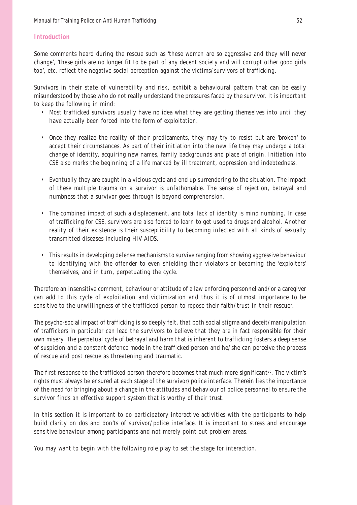#### **Introduction**

Some comments heard during the rescue such as 'these women are so aggressive and they will never change', 'these girls are no longer fit to be part of any decent society and will corrupt other good girls too', etc. reflect the negative social perception against the victims/survivors of trafficking.

Survivors in their state of vulnerability and risk, exhibit a behavioural pattern that can be easily misunderstood by those who do not really understand the pressures faced by the survivor. It is important to keep the following in mind:

- Most trafficked survivors usually have no idea what they are getting themselves into until they have actually been forced into the form of exploitation.
- Once they realize the reality of their predicaments, they may try to resist but are 'broken' to accept their circumstances. As part of their initiation into the new life they may undergo a total change of identity, acquiring new names, family backgrounds and place of origin. Initiation into CSE also marks the beginning of a life marked by ill treatment, oppression and indebtedness.
- Eventually they are caught in a vicious cycle and end up surrendering to the situation. The impact of these multiple trauma on a survivor is unfathomable. The sense of rejection, betrayal and numbness that a survivor goes through is beyond comprehension.
- The combined impact of such a displacement, and total lack of identity is mind numbing. In case of trafficking for CSE, survivors are also forced to learn to get used to drugs and alcohol. Another reality of their existence is their susceptibility to becoming infected with all kinds of sexually transmitted diseases including HIV-AIDS.
- This results in developing defense mechanisms to survive ranging from showing aggressive behaviour to identifying with the offender to even shielding their violators or becoming the 'exploiters' themselves, and in turn, perpetuating the cycle.

Therefore an insensitive comment, behaviour or attitude of a law enforcing personnel and/or a caregiver can add to this cycle of exploitation and victimization and thus it is of utmost importance to be sensitive to the unwillingness of the trafficked person to repose their faith/trust in their rescuer.

The psycho-social impact of trafficking is so deeply felt, that both social stigma and deceit/manipulation of traffickers in particular can lead the survivors to believe that they are in fact responsible for their own misery. The perpetual cycle of betrayal and harm that is inherent to trafficking fosters a deep sense of suspicion and a constant defence mode in the trafficked person and he/she can perceive the process of rescue and post rescue as threatening and traumatic.

The first response to the trafficked person therefore becomes that much more significant<sup>36</sup>. The victim's rights must always be ensured at each stage of the survivor/police interface. Therein lies the importance of the need for bringing about a change in the attitudes and behaviour of police personnel to ensure the survivor finds an effective support system that is worthy of their trust.

In this section it is important to do participatory interactive activities with the participants to help build clarity on dos and don'ts of survivor/police interface. It is important to stress and encourage sensitive behaviour among participants and not merely point out problem areas.

You may want to begin with the following role play to set the stage for interaction.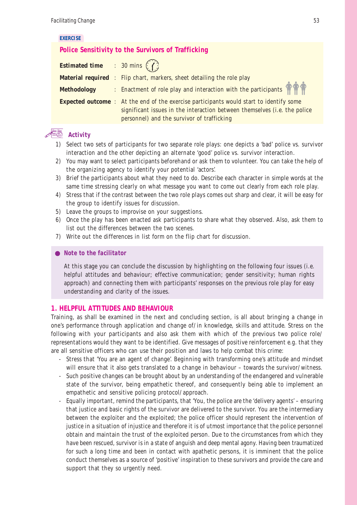#### **EXERCISE**

### **Police Sensitivity to the Survivors of Trafficking**

| <b>Estimated time</b> : 30 mins $\binom{7}{1}$ |                                                                                                |
|------------------------------------------------|------------------------------------------------------------------------------------------------|
|                                                | <b>Material required</b> : Flip chart, markers, sheet detailing the role play                  |
| <b>Methodology</b>                             | : Enactment of role play and interaction with the participants                                 |
|                                                | <b>Expected outcome</b> : At the end of the exercise participants would start to identify some |
|                                                | significant issues in the interaction between themselves (i.e. the police                      |
|                                                | personnel) and the survivor of trafficking                                                     |

### **Activity**

- 1) Select two sets of participants for two separate role plays: one depicts a 'bad' police vs. survivor interaction and the other depicting an alternate 'good' police vs. survivor interaction.
- 2) You may want to select participants beforehand or ask them to volunteer. You can take the help of the organizing agency to identify your potential 'actors'.
- 3) Brief the participants about what they need to do. Describe each character in simple words at the same time stressing clearly on what message you want to come out clearly from each role play.
- 4) Stress that if the contrast between the two role plays comes out sharp and clear, it will be easy for the group to identify issues for discussion.
- 5) Leave the groups to improvise on your suggestions.
- 6) Once the play has been enacted ask participants to share what they observed. Also, ask them to list out the differences between the two scenes.
- 7) Write out the differences in list form on the flip chart for discussion.

#### *Note to the facilitator*

At this stage you can conclude the discussion by highlighting on the following four issues (i.e. helpful attitudes and behaviour; effective communication; gender sensitivity; human rights approach) and connecting them with participants' responses on the previous role play for easy understanding and clarity of the issues.

#### **1. HELPFUL ATTITUDES AND BEHAVIOUR**

Training, as shall be examined in the next and concluding section, is all about bringing a change in one's performance through application and change of/in knowledge, skills and attitude. Stress on the following with your participants and also ask them with which of the previous two police role/ representations would they want to be identified. Give messages of positive reinforcement e.g. that they are all sensitive officers who can use their position and laws to help combat this crime:

- Stress that 'You are an agent of change'. Beginning with transforming one's attitude and mindset will ensure that it also gets translated to a change in behaviour – towards the survivor/witness.
- Such positive changes can be brought about by an understanding of the endangered and vulnerable state of the survivor, being empathetic thereof, and consequently being able to implement an empathetic and sensitive policing protocol/approach.
- Equally important, remind the participants, that 'You, the police are the 'delivery agents' ensuring that justice and basic rights of the survivor are delivered to the survivor. You are the intermediary between the exploiter and the exploited; the police officer should represent the intervention of justice in a situation of injustice and therefore it is of utmost importance that the police personnel obtain and maintain the trust of the exploited person. Due to the circumstances from which they have been rescued, survivor is in a state of anguish and deep mental agony. Having been traumatized for such a long time and been in contact with apathetic persons, it is imminent that the police conduct themselves as a source of 'positive' inspiration to these survivors and provide the care and support that they so urgently need.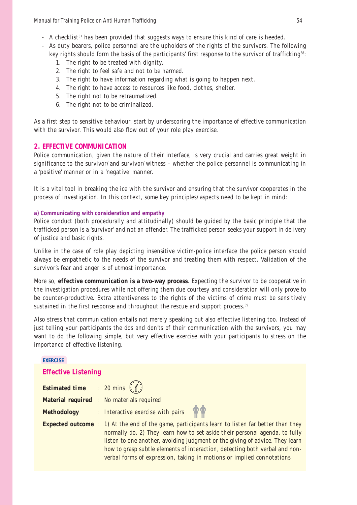Manual for Training Police on Anti Human Trafficking 54 (54) 54

- $-$  A checklist<sup>37</sup> has been provided that suggests ways to ensure this kind of care is heeded.
- As duty bearers, police personnel are the upholders of the rights of the survivors. The following key rights should form the basis of the participants' first response to the survivor of trafficking<sup>38</sup>:
	- 1. The right to be treated with dignity.
	- 2. The right to feel safe and not to be harmed.
	- 3. The right to have information regarding what is going to happen next.
	- 4. The right to have access to resources like food, clothes, shelter.
	- 5. The right not to be retraumatized.
	- 6. The right not to be criminalized.

As a first step to sensitive behaviour, start by underscoring the importance of effective communication with the survivor. This would also flow out of your role play exercise.

#### **2. EFFECTIVE COMMUNICATION**

Police communication, given the nature of their interface, is very crucial and carries great weight in significance to the survivor/and survivor/witness – whether the police personnel is communicating in a 'positive' manner or in a 'negative' manner.

It is a vital tool in breaking the ice with the survivor and ensuring that the survivor cooperates in the process of investigation. In this context, some key principles/aspects need to be kept in mind:

#### **a) Communicating with consideration and empathy**

Police conduct (both procedurally and attitudinally) should be guided by the basic principle that the trafficked person is a 'survivor' and not an offender. The trafficked person seeks your support in delivery of justice and basic rights.

Unlike in the case of role play depicting insensitive victim-police interface the police person should always be empathetic to the needs of the survivor and treating them with respect. Validation of the survivor's fear and anger is of utmost importance.

More so, **effective communication is a two-way process**. Expecting the survivor to be cooperative in the investigation procedures while not offering them due courtesy and consideration will only prove to be counter-productive. Extra attentiveness to the rights of the victims of crime must be sensitively sustained in the first response and throughout the rescue and support process.<sup>39</sup>

Also stress that communication entails not merely speaking but also effective listening too. Instead of just telling your participants the dos and don'ts of their communication with the survivors, you may want to do the following simple, but very effective exercise with your participants to stress on the importance of effective listening.

### **EXERCISE Effective Listening Estimated time** : 20 mins  $($ **Material required** : No materials required **Methodology** : Interactive exercise with pairs **Expected outcome** : 1) At the end of the game, participants learn to listen far better than they normally do. 2) They learn how to set aside their personal agenda, to fully listen to one another, avoiding judgment or the giving of advice. They learn how to grasp subtle elements of interaction, detecting both verbal and nonverbal forms of expression, taking in motions or implied connotations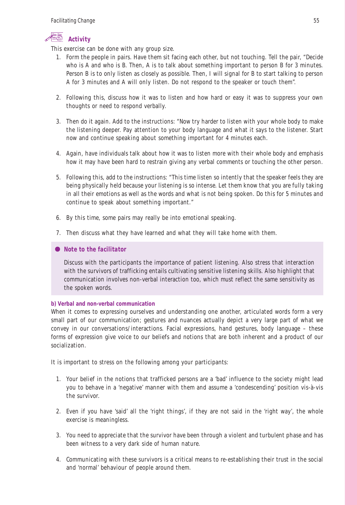

This exercise can be done with any group size.

- 1. Form the people in pairs. Have them sit facing each other, but not touching. Tell the pair, "Decide who is A and who is B. Then, A is to talk about something important to person B for 3 minutes. Person B is to only listen as closely as possible. Then, I will signal for B to start talking to person A for 3 minutes and A will only listen. Do not respond to the speaker or touch them".
- 2. Following this, discuss how it was to listen and how hard or easy it was to suppress your own thoughts or need to respond verbally.
- 3. Then do it again. Add to the instructions: "Now try harder to listen with your whole body to make the listening deeper. Pay attention to your body language and what it says to the listener. Start now and continue speaking about something important for 4 minutes each.
- 4. Again, have individuals talk about how it was to listen more with their whole body and emphasis how it may have been hard to restrain giving any verbal comments or touching the other person.
- 5. Following this, add to the instructions: "This time listen so intently that the speaker feels they are being physically held because your listening is so intense. Let them know that you are fully taking in all their emotions as well as the words and what is not being spoken. Do this for 5 minutes and continue to speak about something important."
- 6. By this time, some pairs may really be into emotional speaking.
- 7. Then discuss what they have learned and what they will take home with them.

#### *Note to the facilitator*

Discuss with the participants the importance of patient listening. Also stress that interaction with the survivors of trafficking entails cultivating sensitive listening skills. Also highlight that communication involves non-verbal interaction too, which must reflect the same sensitivity as the spoken words.

#### **b) Verbal and non-verbal communication**

When it comes to expressing ourselves and understanding one another, articulated words form a very small part of our communication; gestures and nuances actually depict a very large part of what we convey in our conversations/interactions. Facial expressions, hand gestures, body language – these forms of expression give voice to our beliefs and notions that are both inherent and a product of our socialization.

It is important to stress on the following among your participants:

- 1. Your belief in the notions that trafficked persons are a 'bad' influence to the society might lead you to behave in a 'negative' manner with them and assume a 'condescending' position vis-à-vis the survivor.
- 2. Even if you have 'said' all the 'right things', if they are not said in the 'right way', the whole exercise is meaningless.
- 3. You need to appreciate that the survivor have been through a violent and turbulent phase and has been witness to a very dark side of human nature.
- 4. Communicating with these survivors is a critical means to re-establishing their trust in the social and 'normal' behaviour of people around them.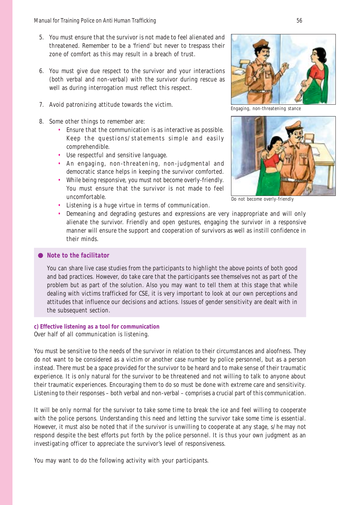- 5. You must ensure that the survivor is not made to feel alienated and threatened. Remember to be a 'friend' but never to trespass their zone of comfort as this may result in a breach of trust.
- 6. You must give due respect to the survivor and your interactions (both verbal and non-verbal) with the survivor during rescue as well as during interrogation must reflect this respect.
- 7. Avoid patronizing attitude towards the victim.
- 8. Some other things to remember are:
	- Ensure that the communication is as interactive as possible. Keep the questions/statements simple and easily comprehendible.
	- Use respectful and sensitive language.
	- An engaging, non-threatening, non-judgmental and democratic stance helps in keeping the survivor comforted.
	- While being responsive, you must not become overly-friendly. You must ensure that the survivor is not made to feel uncomfortable.
	- Listening is a huge virtue in terms of communication.



Engaging, non-threatening stance



Do not become overly-friendly

• Demeaning and degrading gestures and expressions are very inappropriate and will only alienate the survivor. Friendly and open gestures, engaging the survivor in a responsive manner will ensure the support and cooperation of survivors as well as instill confidence in their minds.

#### *Note to the facilitator*

You can share live case studies from the participants to highlight the above points of both good and bad practices. However, do take care that the participants see themselves not as part of the problem but as part of the solution. Also you may want to tell them at this stage that while dealing with victims trafficked for CSE, it is very important to look at our own perceptions and attitudes that influence our decisions and actions. Issues of gender sensitivity are dealt with in the subsequent section.

### **c) Effective listening as a tool for communication**

Over half of all communication is listening.

You must be sensitive to the needs of the survivor in relation to their circumstances and aloofness. They do not want to be considered as a victim or another case number by police personnel, but as a person instead. There must be a space provided for the survivor to be heard and to make sense of their traumatic experience. It is only natural for the survivor to be threatened and not willing to talk to anyone about their traumatic experiences. Encouraging them to do so must be done with extreme care and sensitivity. Listening to their responses – both verbal and non-verbal – comprises a crucial part of this communication.

It will be only normal for the survivor to take some time to break the ice and feel willing to cooperate with the police persons. Understanding this need and letting the survivor take some time is essential. However, it must also be noted that if the survivor is unwilling to cooperate at any stage, s/he may not respond despite the best efforts put forth by the police personnel. It is thus your own judgment as an investigating officer to appreciate the survivor's level of responsiveness.

You may want to do the following activity with your participants.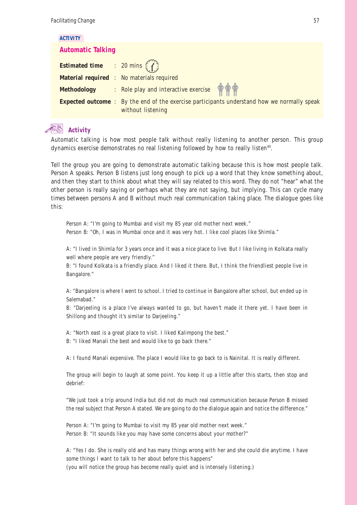#### **ACTIVITY**

#### **Automatic Talking**

| <b>Estimated time</b> : 20 mins $\binom{?}{'}$ |                                                                                                                         |  |
|------------------------------------------------|-------------------------------------------------------------------------------------------------------------------------|--|
|                                                | <b>Material required : No materials required</b>                                                                        |  |
| <b>Methodology</b>                             | : Role play and interactive exercise                                                                                    |  |
|                                                | <b>Expected outcome</b> : By the end of the exercise participants understand how we normally speak<br>without listening |  |

### **Activity**

Automatic talking is how most people talk without really listening to another person. This group dynamics exercise demonstrates no real listening followed by how to really listen<sup>40</sup>.

Tell the group you are going to demonstrate automatic talking because this is how most people talk. Person A speaks. Person B listens just long enough to pick up a word that they know something about, and then they start to think about what they will say related to this word. They do not "hear" what the other person is really saying or perhaps what they are not saying, but implying. This can cycle many times between persons A and B without much real communication taking place. The dialogue goes like this:

Person A: "I'm going to Mumbai and visit my 85 year old mother next week." Person B: "Oh, I was in Mumbai once and it was very hot. I like cool places like Shimla."

A: "I lived in Shimla for 3 years once and it was a nice place to live. But I like living in Kolkata really well where people are very friendly."

B: "I found Kolkata is a friendly place. And I liked it there. But, I think the friendliest people live in Bangalore."

A: "Bangalore is where I went to school. I tried to continue in Bangalore after school, but ended up in Salemabad."

B: "Darjeeling is a place I've always wanted to go, but haven't made it there yet. I have been in Shillong and thought it's similar to Darjeeling."

A: "North east is a great place to visit. I liked Kalimpong the best."

B: "I liked Manali the best and would like to go back there."

A: I found Manali expensive. The place I would like to go back to is Nainital. It is really different.

The group will begin to laugh at some point. You keep it up a little after this starts, then stop and debrief:

"We just took a trip around India but did not do much real communication because Person B missed the real subject that Person A stated. We are going to do the dialogue again and notice the difference."

Person A: "I'm going to Mumbai to visit my 85 year old mother next week." Person B: "It sounds like you may have some concerns about your mother?"

A: "Yes I do. She is really old and has many things wrong with her and she could die anytime. I have some things I want to talk to her about before this happens" (you will notice the group has become really quiet and is intensely listening.)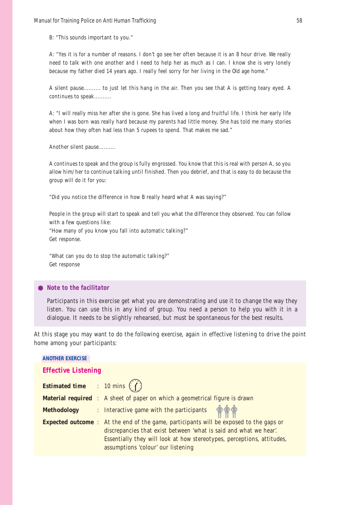B: "This sounds important to you."

A: "Yes it is for a number of reasons. I don't go see her often because it is an 8 hour drive. We really need to talk with one another and I need to help her as much as I can. I know she is very lonely because my father died 14 years ago. I really feel sorry for her living in the Old age home."

A silent pause.......... to just let this hang in the air. Then you see that A is getting teary eyed. A continues to speak..........

A: "I will really miss her after she is gone. She has lived a long and fruitful life. I think her early life when I was born was really hard because my parents had little money. She has told me many stories about how they often had less than 5 rupees to spend. That makes me sad."

Another silent pause..........

A continues to speak and the group is fully engrossed. You know that this is real with person A, so you allow him/her to continue talking until finished. Then you debrief, and that is easy to do because the group will do it for you:

"Did you notice the difference in how B really heard what A was saying?"

People in the group will start to speak and tell you what the difference they observed. You can follow with a few questions like:

"How many of you know you fall into automatic talking?" Get response.

"What can you do to stop the automatic talking?" Get response

#### *Note to the facilitator*

Participants in this exercise get what you are demonstrating and use it to change the way they listen. You can use this in any kind of group. You need a person to help you with it in a dialogue. It needs to be slightly rehearsed, but must be spontaneous for the best results.

At this stage you may want to do the following exercise, again in effective listening to drive the point home among your participants:

| <b>ANOTHER EXERCISE</b>               |                                                                                                                                                                                                                                                                                    |  |  |  |
|---------------------------------------|------------------------------------------------------------------------------------------------------------------------------------------------------------------------------------------------------------------------------------------------------------------------------------|--|--|--|
| <b>Effective Listening</b>            |                                                                                                                                                                                                                                                                                    |  |  |  |
| <b>Estimated time</b> : 10 mins $(f)$ |                                                                                                                                                                                                                                                                                    |  |  |  |
|                                       | <b>Material required</b> : A sheet of paper on which a geometrical figure is drawn                                                                                                                                                                                                 |  |  |  |
| <b>Methodology</b>                    | : Interactive game with the participants $\phi$                                                                                                                                                                                                                                    |  |  |  |
|                                       | <b>Expected outcome</b> : At the end of the game, participants will be exposed to the gaps or<br>discrepancies that exist between 'what is said and what we hear'.<br>Essentially they will look at how stereotypes, perceptions, attitudes,<br>assumptions 'colour' our listening |  |  |  |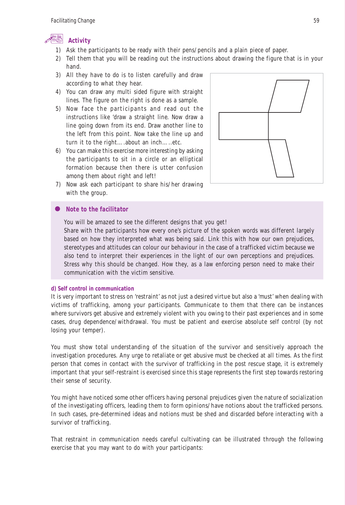

- 1) Ask the participants to be ready with their pens/pencils and a plain piece of paper.
- 2) Tell them that you will be reading out the instructions about drawing the figure that is in your hand.
- 3) All they have to do is to listen carefully and draw according to what they hear.
- 4) You can draw any multi sided figure with straight lines. The figure on the right is done as a sample.
- 5) Now face the participants and read out the instructions like 'draw a straight line. Now draw a line going down from its end. Draw another line to the left from this point. Now take the line up and turn it to the right….about an inch…..etc.
- 6) You can make this exercise more interesting by asking the participants to sit in a circle or an elliptical formation because then there is utter confusion among them about right and left!



7) Now ask each participant to share his/her drawing with the group.

#### *Note to the facilitator*

You will be amazed to see the different designs that you get!

Share with the participants how every one's picture of the spoken words was different largely based on how they interpreted what was being said. Link this with how our own prejudices, stereotypes and attitudes can colour our behaviour in the case of a trafficked victim because we also tend to interpret their experiences in the light of our own perceptions and prejudices. Stress why this should be changed. How they, as a law enforcing person need to make their communication with the victim sensitive.

#### **d) Self control in communication**

It is very important to stress on 'restraint' as not just a desired virtue but also a 'must' when dealing with victims of trafficking, among your participants. Communicate to them that there can be instances where survivors get abusive and extremely violent with you owing to their past experiences and in some cases, drug dependence/withdrawal. You must be patient and exercise absolute self control (by not losing your temper).

You must show total understanding of the situation of the survivor and sensitively approach the investigation procedures. Any urge to retaliate or get abusive must be checked at all times. As the first person that comes in contact with the survivor of trafficking in the post rescue stage, it is extremely important that your self-restraint is exercised since this stage represents the first step towards restoring their sense of security.

You might have noticed some other officers having personal prejudices given the nature of socialization of the investigating officers, leading them to form opinions/have notions about the trafficked persons. In such cases, pre-determined ideas and notions must be shed and discarded before interacting with a survivor of trafficking.

That restraint in communication needs careful cultivating can be illustrated through the following exercise that you may want to do with your participants: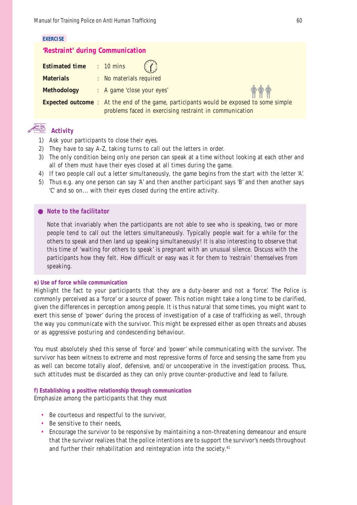#### **EXERCISE**

#### **'Restraint' during Communication**

| <b>Estimated time : 10 mins</b> | (1)                                                                                                                                                       |
|---------------------------------|-----------------------------------------------------------------------------------------------------------------------------------------------------------|
| <b>Materials</b>                | : No materials required                                                                                                                                   |
| <b>Methodology</b>              | <b>TTT</b><br>: A game 'close your eyes'                                                                                                                  |
|                                 | <b>Expected outcome</b> : At the end of the game, participants would be exposed to some simple<br>problems faced in exercising restraint in communication |

# **Activity**

- 1) Ask your participants to close their eyes.
- 2) They have to say A-Z, taking turns to call out the letters in order.
- 3) The only condition being only one person can speak at a time without looking at each other and all of them must have their eyes closed at all times during the game.
- 4) If two people call out a letter simultaneously, the game begins from the start with the letter 'A'.
- 5) Thus e.g. any one person can say 'A' and then another participant says 'B' and then another says 'C' and so on... with their eyes closed during the entire activity.

#### *Note to the facilitator*

Note that invariably when the participants are not able to see who is speaking, two or more people tend to call out the letters simultaneously. Typically people wait for a while for the others to speak and then land up speaking simultaneously! It is also interesting to observe that this time of 'waiting for others to speak' is pregnant with an unusual silence. Discuss with the participants how they felt. How difficult or easy was it for them to 'restrain' themselves from speaking.

#### **e) Use of force while communication**

Highlight the fact to your participants that they are a duty-bearer and not a 'force'. The Police is commonly perceived as a 'force' or a source of power. This notion might take a long time to be clarified, given the differences in perception among people. It is thus natural that some times, you might want to exert this sense of 'power' during the process of investigation of a case of trafficking as well, through the way you communicate with the survivor. This might be expressed either as open threats and abuses or as aggressive posturing and condescending behaviour.

You must absolutely shed this sense of 'force' and 'power' while communicating with the survivor. The survivor has been witness to extreme and most repressive forms of force and sensing the same from you as well can become totally aloof, defensive, and/or uncooperative in the investigation process. Thus, such attitudes must be discarded as they can only prove counter-productive and lead to failure.

#### **f) Establishing a positive relationship through communication**

Emphasize among the participants that they must

- Be courteous and respectful to the survivor,
- Be sensitive to their needs,
- Encourage the survivor to be responsive by maintaining a non-threatening demeanour and ensure that the survivor realizes that the police intentions are to support the survivor's needs throughout and further their rehabilitation and reintegration into the society.<sup>41</sup>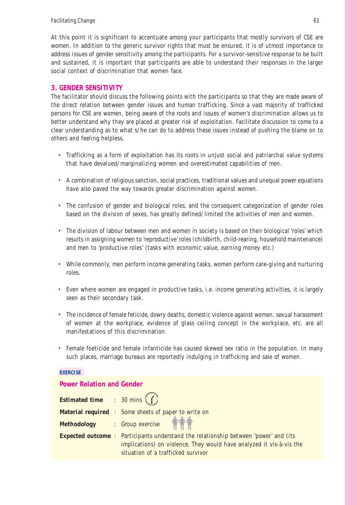At this point it is significant to accentuate among your participants that mostly survivors of CSE are women. In addition to the generic survivor rights that must be ensured, it is of utmost importance to address issues of gender sensitivity among the participants. For a survivor-sensitive response to be built and sustained, it is important that participants are able to understand their responses in the larger social context of discrimination that women face.

### **3. GENDER SENSITIVITY**

The facilitator should discuss the following points with the participants so that they are made aware of the direct relation between gender issues and human trafficking. Since a vast majority of trafficked persons for CSE are women, being aware of the roots and issues of women's discrimination allows us to better understand why they are placed at greater risk of exploitation. Facilitate discussion to come to a clear understanding as to what s/he can do to address these issues instead of pushing the blame on to others and feeling helpless.

- Trafficking as a form of exploitation has its roots in unjust social and patriarchal value systems that have devalued/marginalizing women and overestimated capabilities of men.
- A combination of religious sanction, social practices, traditional values and unequal power equations have also paved the way towards greater discrimination against women.
- The confusion of gender and biological roles, and the consequent categorization of gender roles based on the division of sexes, has greatly defined/limited the activities of men and women.
- The division of labour between men and women in society is based on their biological 'roles' which results in assigning women to 'reproductive' roles (childbirth, child-rearing, household maintenance) and men to 'productive roles' (tasks with economic value, earning money etc.)
- While commonly, men perform income generating tasks, women perform care-giving and nurturing roles.
- Even where women are engaged in productive tasks, i.e. income generating activities, it is largely seen as their secondary task.
- The incidence of female feticide, dowry deaths, domestic violence against women, sexual harassment of women at the workplace, evidence of glass ceiling concept in the workplace, etc. are all manifestations of this discrimination.
- Female foeticide and female infanticide has caused skewed sex ratio in the population. In many such places, marriage bureaus are reportedly indulging in trafficking and sale of women.

#### **EXERCISE**

#### **Power Relation and Gender**

| <b>Estimated time</b> : $30 \text{ mins}$ |                                                                                                                                                                                                           |
|-------------------------------------------|-----------------------------------------------------------------------------------------------------------------------------------------------------------------------------------------------------------|
|                                           | <b>Material required</b> : Some sheets of paper to write on                                                                                                                                               |
|                                           | Methodology : Group exercise                                                                                                                                                                              |
|                                           | <b>Expected outcome</b> : Participants understand the relationship between 'power' and (its<br>implications) on violence. They would have analyzed it vis-à-vis the<br>situation of a trafficked survivor |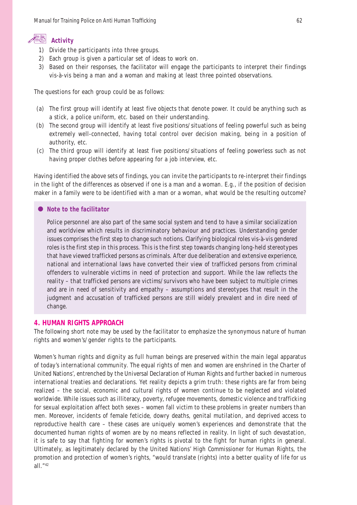### **Activity**

- 1) Divide the participants into three groups.
- 2) Each group is given a particular set of ideas to work on.
- 3) Based on their responses, the facilitator will engage the participants to interpret their findings vis-à-vis being a man and a woman and making at least three pointed observations.

The questions for each group could be as follows:

- (a) The first group will identify at least five objects that denote power. It could be anything such as a stick, a police uniform, etc. based on their understanding.
- (b) The second group will identify at least five positions/situations of feeling powerful such as being extremely well-connected, having total control over decision making, being in a position of authority, etc.
- (c) The third group will identify at least five positions/situations of feeling powerless such as not having proper clothes before appearing for a job interview, etc.

Having identified the above sets of findings, you can invite the participants to re-interpret their findings in the light of the differences as observed if one is a man and a woman. E.g., if the position of decision maker in a family were to be identified with a man or a woman, what would be the resulting outcome?

#### *Note to the facilitator*

Police personnel are also part of the same social system and tend to have a similar socialization and worldview which results in discriminatory behaviour and practices. Understanding gender issues comprises the first step to change such notions. Clarifying biological roles vis-à-vis gendered roles is the first step in this process. This is the first step towards changing long-held stereotypes that have viewed trafficked persons as criminals. After due deliberation and extensive experience, national and international laws have converted their view of trafficked persons from criminal offenders to vulnerable victims in need of protection and support. While the law reflects the reality – that trafficked persons are victims/survivors who have been subject to multiple crimes and are in need of sensitivity and empathy – assumptions and stereotypes that result in the judgment and accusation of trafficked persons are still widely prevalent and in dire need of change.

#### **4. HUMAN RIGHTS APPROACH**

The following short note may be used by the facilitator to emphasize the synonymous nature of human rights and women's/gender rights to the participants.

Women's human rights and dignity as full human beings are preserved within the main legal apparatus of today's international community. The equal rights of men and women are enshrined in the Charter of United Nations', entrenched by the Universal Declaration of Human Rights and further backed in numerous international treaties and declarations. Yet reality depicts a grim truth: these rights are far from being realized – the social, economic and cultural rights of women continue to be neglected and violated worldwide. While issues such as illiteracy, poverty, refugee movements, domestic violence and trafficking for sexual exploitation affect both sexes – women fall victim to these problems in greater numbers than men. Moreover, incidents of female feticide, dowry deaths, genital mutilation, and deprived access to reproductive health care – these cases are uniquely women's experiences and demonstrate that the documented human rights of women are by no means reflected in reality. In light of such devastation, it is safe to say that fighting for women's rights is pivotal to the fight for human rights in general. Ultimately, as legitimately declared by the United Nations' High Commissioner for Human Rights, the promotion and protection of women's rights, "would translate (rights) into a better quality of life for us all."42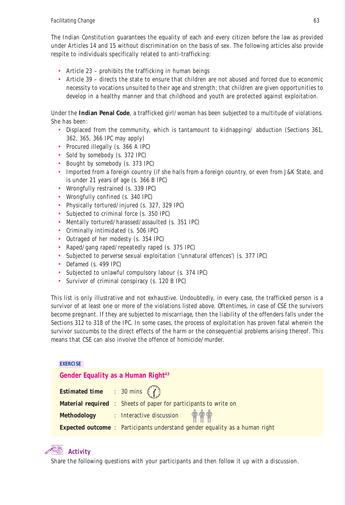The Indian Constitution guarantees the equality of each and every citizen before the law as provided under Articles 14 and 15 without discrimination on the basis of sex. The following articles also provide respite to individuals specifically related to anti-trafficking:

- Article 23 prohibits the trafficking in human beings
- Article 39 directs the state to ensure that children are not abused and forced due to economic necessity to vocations unsuited to their age and strength; that children are given opportunities to develop in a healthy manner and that childhood and youth are protected against exploitation.

Under the **Indian Penal Code**, a trafficked girl/woman has been subjected to a multitude of violations. She has been:

- Displaced from the community, which is tantamount to kidnapping/ abduction (Sections 361, 362, 365, 366 IPC may apply)
- Procured illegally (s. 366 A IPC)
- Sold by somebody (s. 372 IPC)
- Bought by somebody (s. 373 IPC)
- Imported from a foreign country (if she hails from a foreign country, or even from J&K State, and is under 21 years of age (s. 366 B IPC)
- Wrongfully restrained (s. 339 IPC)
- Wrongfully confined (s. 340 IPC)
- Physically tortured/injured (s. 327, 329 IPC)
- Subjected to criminal force (s. 350 IPC)
- Mentally tortured/harassed/assaulted (s. 351 IPC)
- Criminally intimidated (s. 506 IPC)
- Outraged of her modesty (s. 354 IPC)
- Raped/gang raped/repeatedly raped (s. 375 IPC)
- Subjected to perverse sexual exploitation ('unnatural offences') (s. 377 IPC)
- Defamed (s. 499 IPC)
- Subjected to unlawful compulsory labour (s. 374 IPC)
- Survivor of criminal conspiracy (s. 120 B IPC)

This list is only illustrative and not exhaustive. Undoubtedly, in every case, the trafficked person is a survivor of at least one or more of the violations listed above. Oftentimes, in case of CSE the survivors become pregnant. If they are subjected to miscarriage, then the liability of the offenders falls under the Sections 312 to 318 of the IPC. In some cases, the process of exploitation has proven fatal wherein the survivor succumbs to the direct effects of the harm or the consequential problems arising thereof. This means that CSE can also involve the offence of homicide/murder.

#### **EXERCISE**

Gender Equality as a Human Right<sup>43</sup>

| <b>Estimated time</b> : 30 mins $(7)$ |                                                                                   |
|---------------------------------------|-----------------------------------------------------------------------------------|
|                                       | <b>Material required</b> : Sheets of paper for participants to write on           |
|                                       | Methodology : Interactive discussion $\mathring{\P}$ $\mathring{\P}$              |
|                                       | <b>Expected outcome:</b> Participants understand gender equality as a human right |

### **Activity**

Share the following questions with your participants and then follow it up with a discussion.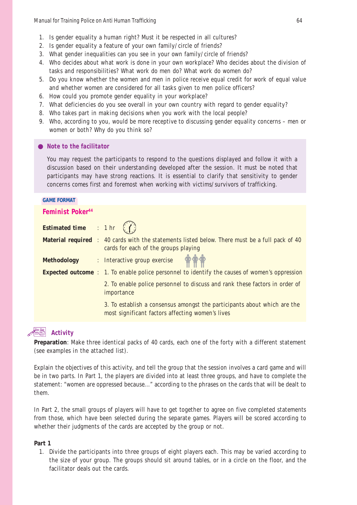- 1. Is gender equality a human right? Must it be respected in all cultures?
- 2. Is gender equality a feature of your own family/circle of friends?
- 3. What gender inequalities can you see in your own family/circle of friends?
- 4. Who decides about what work is done in your own workplace? Who decides about the division of tasks and responsibilities? What work do men do? What work do women do?
- 5. Do you know whether the women and men in police receive equal credit for work of equal value and whether women are considered for all tasks given to men police officers?
- 6. How could you promote gender equality in your workplace?
- 7. What deficiencies do you see overall in your own country with regard to gender equality?
- 8. Who takes part in making decisions when you work with the local people?
- 9. Who, according to you, would be more receptive to discussing gender equality concerns men or women or both? Why do you think so?

#### *Note to the facilitator*

You may request the participants to respond to the questions displayed and follow it with a discussion based on their understanding developed after the session. It must be noted that participants may have strong reactions. It is essential to clarify that sensitivity to gender concerns comes first and foremost when working with victims/survivors of trafficking.

#### **GAME FORMAT**

#### **Feminist Poker44**

| <b>Estimated time</b> : 1 hr $(f)$ |                                                                                                                                               |
|------------------------------------|-----------------------------------------------------------------------------------------------------------------------------------------------|
|                                    | <b>Material required</b> : 40 cards with the statements listed below. There must be a full pack of 40<br>cards for each of the groups playing |
|                                    | Methodology : Interactive group exercise $\mathbf{\hat{\phi}} \mathbf{\hat{\phi}}$                                                            |
|                                    | <b>Expected outcome</b> : 1. To enable police personnel to identify the causes of women's oppression                                          |
|                                    | 2. To enable police personnel to discuss and rank these factors in order of<br>importance                                                     |
|                                    | 3. To establish a consensus amongst the participants about which are the<br>most significant factors affecting women's lives                  |

### **Activity**

**Preparation**: Make three identical packs of 40 cards, each one of the forty with a different statement (see examples in the attached list).

Explain the objectives of this activity, and tell the group that the session involves a card game and will be in two parts. In Part 1, the players are divided into at least three groups, and have to complete the statement: "women are oppressed because..." according to the phrases on the cards that will be dealt to them.

In Part 2, the small groups of players will have to get together to agree on five completed statements from those, which have been selected during the separate games. Players will be scored according to whether their judgments of the cards are accepted by the group or not.

#### **Part 1**

1. Divide the participants into three groups of eight players each. This may be varied according to the size of your group. The groups should sit around tables, or in a circle on the floor, and the facilitator deals out the cards.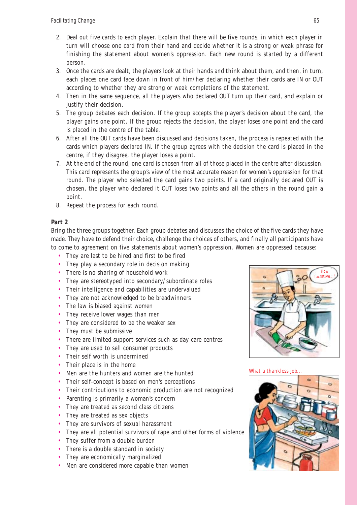- 2. Deal out five cards to each player. Explain that there will be five rounds, in which each player in turn will choose one card from their hand and decide whether it is a strong or weak phrase for finishing the statement about women's oppression. Each new round is started by a different person.
- 3. Once the cards are dealt, the players look at their hands and think about them, and then, in turn, each places one card face down in front of him/her declaring whether their cards are IN or OUT according to whether they are strong or weak completions of the statement.
- 4. Then in the same sequence, all the players who declared OUT turn up their card, and explain or justify their decision.
- 5. The group debates each decision. If the group accepts the player's decision about the card, the player gains one point. If the group rejects the decision, the player loses one point and the card is placed in the centre of the table.
- 6. After all the OUT cards have been discussed and decisions taken, the process is repeated with the cards which players declared IN. If the group agrees with the decision the card is placed in the centre, if they disagree, the player loses a point.
- 7. At the end of the round, one card is chosen from all of those placed in the centre after discussion. This card represents the group's view of the most accurate reason for women's oppression for that round. The player who selected the card gains two points. If a card originally declared OUT is chosen, the player who declared it OUT loses two points and all the others in the round gain a point.
- 8. Repeat the process for each round.

#### **Part 2**

Bring the three groups together. Each group debates and discusses the choice of the five cards they have made. They have to defend their choice, challenge the choices of others, and finally all participants have to come to agreement on five statements about women's oppression. Women are oppressed because:

- They are last to be hired and first to be fired
- They play a secondary role in decision making
- There is no sharing of household work
- They are stereotyped into secondary/subordinate roles
- Their intelligence and capabilities are undervalued
- They are not acknowledged to be breadwinners
- The law is biased against women
- They receive lower wages than men
- They are considered to be the weaker sex
- They must be submissive
- There are limited support services such as day care centres
- They are used to sell consumer products
- Their self worth is undermined
- Their place is in the home
- Men are the hunters and women are the hunted
- Their self-concept is based on men's perceptions
- Their contributions to economic production are not recognized
- Parenting is primarily a woman's concern
- They are treated as second class citizens
- They are treated as sex objects
- They are survivors of sexual harassment
- They are all potential survivors of rape and other forms of violence
- They suffer from a double burden
- There is a double standard in society
- They are economically marginalized
- Men are considered more capable than women



What a thankless job...

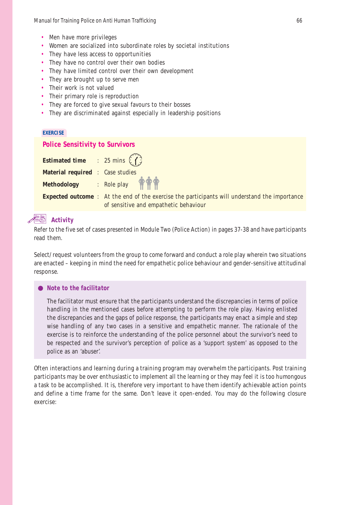- Men have more privileges
- Women are socialized into subordinate roles by societal institutions
- They have less access to opportunities
- They have no control over their own bodies
- They have limited control over their own development
- They are brought up to serve men
- Their work is not valued
- Their primary role is reproduction
- They are forced to give sexual favours to their bosses
- They are discriminated against especially in leadership positions

#### **EXERCISE**

#### **Police Sensitivity to Survivors**

| <b>Estimated time</b> : 25 mins $(f)$   |                                                                                                                                               |
|-----------------------------------------|-----------------------------------------------------------------------------------------------------------------------------------------------|
| <b>Material required : Case studies</b> |                                                                                                                                               |
|                                         | Methodology : Role play $\bigoplus^{\bullet} \bigoplus^{\bullet}$                                                                             |
|                                         | <b>Expected outcome</b> : At the end of the exercise the participants will understand the importance<br>of sensitive and empathetic behaviour |

#### **Activity**

Refer to the five set of cases presented in Module Two (Police Action) in pages 37-38 and have participants read them.

Select/request volunteers from the group to come forward and conduct a role play wherein two situations are enacted – keeping in mind the need for empathetic police behaviour and gender-sensitive attitudinal response.

#### *Note to the facilitator*

The facilitator must ensure that the participants understand the discrepancies in terms of police handling in the mentioned cases before attempting to perform the role play. Having enlisted the discrepancies and the gaps of police response, the participants may enact a simple and step wise handling of any two cases in a sensitive and empathetic manner. The rationale of the exercise is to reinforce the understanding of the police personnel about the survivor's need to be respected and the survivor's perception of police as a 'support system' as opposed to the police as an 'abuser'.

Often interactions and learning during a training program may overwhelm the participants. Post training participants may be over enthusiastic to implement all the learning or they may feel it is too humongous a task to be accomplished. It is, therefore very important to have them identify achievable action points and define a time frame for the same. Don't leave it open-ended. You may do the following closure exercise: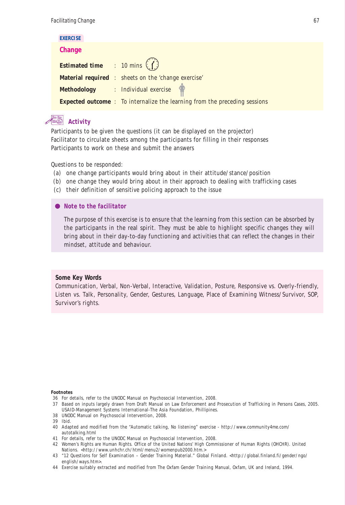| <b>EXERCISE</b>                                |                                                                                   |
|------------------------------------------------|-----------------------------------------------------------------------------------|
| Change                                         |                                                                                   |
| <b>Estimated time</b> : 10 mins $\binom{n}{k}$ |                                                                                   |
|                                                | <b>Material required</b> : sheets on the 'change exercise'                        |
|                                                | Methodology : Individual exercise                                                 |
|                                                | <b>Expected outcome</b> : To internalize the learning from the preceding sessions |

## **Activity**

Participants to be given the questions (it can be displayed on the projector) Facilitator to circulate sheets among the participants for filling in their responses Participants to work on these and submit the answers

Questions to be responded:

- (a) one change participants would bring about in their attitude/stance/position
- (b) one change they would bring about in their approach to dealing with trafficking cases
- (c) their definition of sensitive policing approach to the issue

*Note to the facilitator*

The purpose of this exercise is to ensure that the learning from this section can be absorbed by the participants in the real spirit. They must be able to highlight specific changes they will bring about in their day-to-day functioning and activities that can reflect the changes in their mindset, attitude and behaviour.

#### **Some Key Words**

Communication, Verbal, Non-Verbal, Interactive, Validation, Posture, Responsive vs. Overly-friendly, Listen vs. Talk, Personality, Gender, Gestures, Language, Place of Examining Witness/Survivor, SOP, Survivor's rights.

#### **Footnotes**

- 36 For details, refer to the UNODC Manual on Psychosocial Intervention, 2008.
- 37 Based on inputs largely drawn from Draft Manual on Law Enforcement and Prosecution of Trafficking in Persons Cases, 2005. USAID-Management Systems International-The Asia Foundation, Phillipines.
- 38 UNODC Manual on Psychosocial Intervention, 2008.
- 39 Ibid.
- 40 Adapted and modified from the "Automatic talking, No listening" exercise http://www.community4me.com/ autotalking.html
- 41 For details, refer to the UNODC Manual on Psychosocial Intervention, 2008.
- 42 Women's Rights are Human Rights. Office of the United Nations' High Commissioner of Human Rights (OHCHR). United Nations. <http://www.unhchr.ch/html/menu2/womenpub2000.htm.>
- 43 "12 Questions for Self Examination Gender Training Material." Global Finland. <http://global.finland.fi/gender/ngo/ english/ways.htm>.
- 44 Exercise suitably extracted and modified from The Oxfam Gender Training Manual, Oxfam, UK and Ireland, 1994.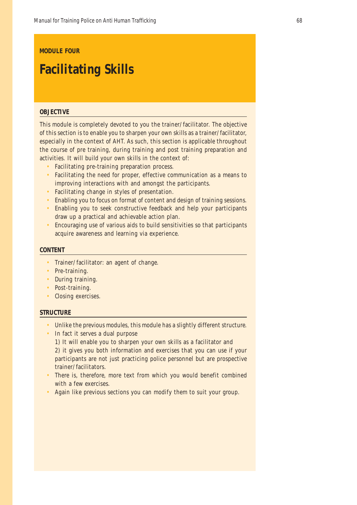#### **MODULE FOUR**

# **Facilitating Skills**

#### **OBJECTIVE**

This module is completely devoted to you the trainer/facilitator. The objective of this section is to enable you to sharpen your own skills as a trainer/facilitator, especially in the context of AHT. As such, this section is applicable throughout the course of pre training, during training and post training preparation and activities. It will build your own skills in the context of:

- Facilitating pre-training preparation process.
- Facilitating the need for proper, effective communication as a means to improving interactions with and amongst the participants.
- Facilitating change in styles of presentation.
- Enabling you to focus on format of content and design of training sessions.
- Enabling you to seek constructive feedback and help your participants draw up a practical and achievable action plan.
- Encouraging use of various aids to build sensitivities so that participants acquire awareness and learning via experience.

#### **CONTENT**

- Trainer/facilitator: an agent of change.
- Pre-training.
- During training.
- Post-training.
- Closing exercises.

#### **STRUCTURE**

- Unlike the previous modules, this module has a slightly different structure.
- In fact it serves a dual purpose

1) It will enable you to sharpen your own skills as a facilitator and 2) it gives you both information and exercises that you can use if your participants are not just practicing police personnel but are prospective trainer/facilitators.

- There is, therefore, more text from which you would benefit combined with a few exercises.
- Again like previous sections you can modify them to suit your group.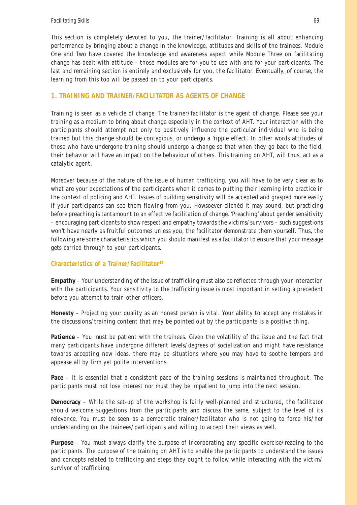This section is completely devoted to you, the trainer/facilitator. Training is all about enhancing performance by bringing about a change in the knowledge, attitudes and skills of the trainees. Module One and Two have covered the knowledge and awareness aspect while Module Three on facilitating change has dealt with attitude – those modules are for you to use with and for your participants. The last and remaining section is entirely and exclusively for you, the facilitator. Eventually, of course, the learning from this too will be passed on to your participants.

### **1. TRAINING AND TRAINER/FACILITATOR AS AGENTS OF CHANGE**

Training is seen as a vehicle of change. The trainer/facilitator is the agent of change. Please see your training as a medium to bring about change especially in the context of AHT. Your interaction with the participants should attempt not only to positively influence the particular individual who is being trained but this change should be contagious, or undergo a 'ripple effect'. In other words attitudes of those who have undergone training should undergo a change so that when they go back to the field, their behavior will have an impact on the behaviour of others. This training on AHT, will thus, act as a catalytic agent.

Moreover because of the nature of the issue of human trafficking, you will have to be very clear as to what are your expectations of the participants when it comes to putting their learning into practice in the context of policing and AHT. Issues of building sensitivity will be accepted and grasped more easily if your participants can see them flowing from you. Howsoever clichéd it may sound, but practicing before preaching is tantamount to an effective facilitation of change. 'Preaching' about gender sensitivity – encouraging participants to show respect and empathy towards the victims/survivors – such suggestions won't have nearly as fruitful outcomes unless you, the facilitator demonstrate them yourself. Thus, the following are some characteristics which you should manifest as a facilitator to ensure that your message gets carried through to your participants.

#### **Characteristics of a Trainer/Facilitator45**

**Empathy** – Your understanding of the issue of trafficking must also be reflected through your interaction with the participants. Your sensitivity to the trafficking issue is most important in setting a precedent before you attempt to train other officers.

**Honesty** – Projecting your quality as an honest person is vital. Your ability to accept any mistakes in the discussions/training content that may be pointed out by the participants is a positive thing.

**Patience** – You must be patient with the trainees. Given the volatility of the issue and the fact that many participants have undergone different levels/degrees of socialization and might have resistance towards accepting new ideas, there may be situations where you may have to soothe tempers and appease all by firm yet polite interventions.

Pace - It is essential that a consistent pace of the training sessions is maintained throughout. The participants must not lose interest nor must they be impatient to jump into the next session.

**Democracy** – While the set-up of the workshop is fairly well-planned and structured, the facilitator should welcome suggestions from the participants and discuss the same, subject to the level of its relevance. You must be seen as a democratic trainer/facilitator who is not going to force his/her understanding on the trainees/participants and willing to accept their views as well.

**Purpose** – You must always clarify the purpose of incorporating any specific exercise/reading to the participants. The purpose of the training on AHT is to enable the participants to understand the issues and concepts related to trafficking and steps they ought to follow while interacting with the victim/ survivor of trafficking.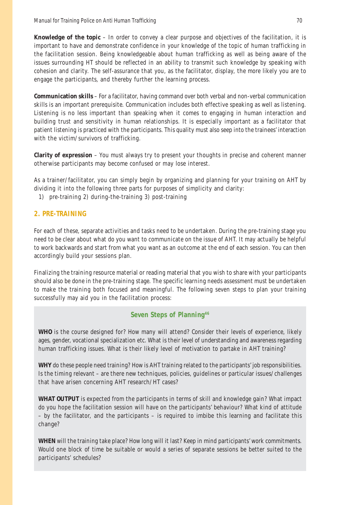**Knowledge of the topic –** In order to convey a clear purpose and objectives of the facilitation, it is important to have and demonstrate confidence in your knowledge of the topic of human trafficking in the facilitation session. Being knowledgeable about human trafficking as well as being aware of the issues surrounding HT should be reflected in an ability to transmit such knowledge by speaking with cohesion and clarity. The self-assurance that you, as the facilitator, display, the more likely you are to engage the participants, and thereby further the learning process.

**Communication skills** – For a facilitator, having command over both verbal and non-verbal communication skills is an important prerequisite. Communication includes both effective speaking as well as listening. Listening is no less important than speaking when it comes to engaging in human interaction and building trust and sensitivity in human relationships. It is especially important as a facilitator that patient listening is practiced with the participants. This quality must also seep into the trainees' interaction with the victim/survivors of trafficking.

**Clarity of expression** – You must always try to present your thoughts in precise and coherent manner otherwise participants may become confused or may lose interest.

As a trainer/facilitator, you can simply begin by organizing and planning for your training on AHT by dividing it into the following three parts for purposes of simplicity and clarity:

1) pre-training 2) during-the-training 3) post-training

#### **2. PRE-TRAINING**

For each of these, separate activities and tasks need to be undertaken. During the pre-training stage you need to be clear about what do you want to communicate on the issue of AHT. It may actually be helpful to work backwards and start from what you want as an outcome at the end of each session. You can then accordingly build your sessions plan.

Finalizing the training resource material or reading material that you wish to share with your participants should also be done in the pre-training stage. The specific learning needs assessment must be undertaken to make the training both focused and meaningful. The following seven steps to plan your training successfully may aid you in the facilitation process:

### **Seven Steps of Planning46**

**WHO** is the course designed for? How many will attend? Consider their levels of experience, likely ages, gender, vocational specialization etc. What is their level of understanding and awareness regarding human trafficking issues. What is their likely level of motivation to partake in AHT training?

**WHY** do these people need training? How is AHT training related to the participants' job responsibilities. Is the timing relevant – are there new techniques, policies, guidelines or particular issues/challenges that have arisen concerning AHT research/HT cases?

**WHAT OUTPUT** is expected from the participants in terms of skill and knowledge gain? What impact do you hope the facilitation session will have on the participants' behaviour? What kind of attitude – by the facilitator, and the participants – is required to imbibe this learning and facilitate this change?

**WHEN** will the training take place? How long will it last? Keep in mind participants' work commitments. Would one block of time be suitable or would a series of separate sessions be better suited to the participants' schedules?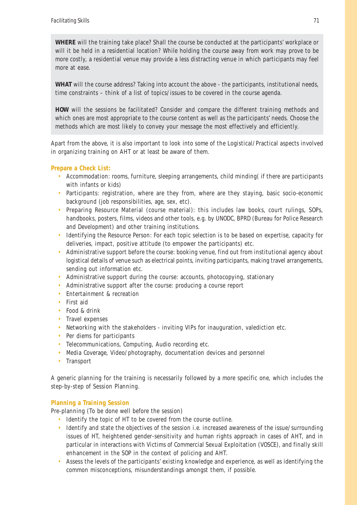**WHERE** will the training take place? Shall the course be conducted at the participants' workplace or will it be held in a residential location? While holding the course away from work may prove to be more costly, a residential venue may provide a less distracting venue in which participants may feel more at ease.

**WHAT** will the course address? Taking into account the above - the participants, institutional needs, time constraints – think of a list of topics/issues to be covered in the course agenda.

**HOW** will the sessions be facilitated? Consider and compare the different training methods and which ones are most appropriate to the course content as well as the participants' needs. Choose the methods which are most likely to convey your message the most effectively and efficiently.

Apart from the above, it is also important to look into some of the Logistical/Practical aspects involved in organizing training on AHT or at least be aware of them.

### **Prepare a Check List:**

- Accommodation: rooms, furniture, sleeping arrangements, child minding( if there are participants with infants or kids)
- Participants: registration, where are they from, where are they staying, basic socio-economic background (job responsibilities, age, sex, etc).
- Preparing Resource Material (course material): this includes law books, court rulings, SOPs, handbooks, posters, films, videos and other tools, e.g. by UNODC, BPRD (Bureau for Police Research and Development) and other training institutions.
- Identifying the Resource Person: For each topic selection is to be based on expertise, capacity for deliveries, impact, positive attitude (to empower the participants) etc.
- Administrative support before the course: booking venue, find out from institutional agency about logistical details of venue such as electrical points, inviting participants, making travel arrangements, sending out information etc.
- Administrative support during the course: accounts, photocopying, stationary
- Administrative support after the course: producing a course report
- Entertainment & recreation
- First aid
- Food & drink
- Travel expenses
- Networking with the stakeholders inviting VIPs for inauguration, valediction etc.
- Per diems for participants
- Telecommunications, Computing, Audio recording etc.
- Media Coverage, Video/photography, documentation devices and personnel
- Transport

A generic planning for the training is necessarily followed by a more specific one, which includes the step-by-step of Session Planning.

### **Planning a Training Session**

Pre-planning (To be done well before the session)

- Identify the topic of HT to be covered from the course outline.
- Identify and state the objectives of the session i.e. increased awareness of the issue/surrounding issues of HT, heightened gender-sensitivity and human rights approach in cases of AHT, and in particular in interactions with Victims of Commercial Sexual Exploitation (VOSCE), and finally skill enhancement in the SOP in the context of policing and AHT.
- Assess the levels of the participants' existing knowledge and experience, as well as identifying the common misconceptions, misunderstandings amongst them, if possible.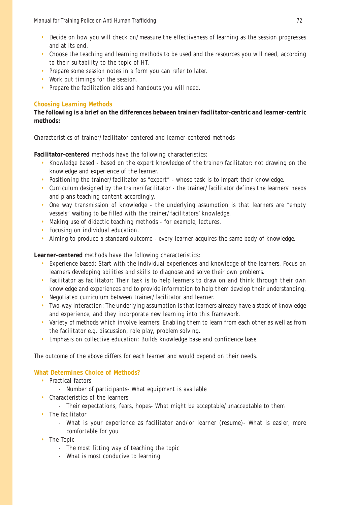- Decide on how you will check on/measure the effectiveness of learning as the session progresses and at its end.
- Choose the teaching and learning methods to be used and the resources you will need, according to their suitability to the topic of HT.
- Prepare some session notes in a form you can refer to later.
- Work out timings for the session.
- Prepare the facilitation aids and handouts you will need.

### **Choosing Learning Methods**

### **The following is a brief on the differences between trainer/facilitator-centric and learner-centric methods:**

Characteristics of trainer/facilitator centered and learner-centered methods

**Facilitator-centered** methods have the following characteristics:

- Knowledge based based on the expert knowledge of the trainer/facilitator: not drawing on the knowledge and experience of the learner.
- Positioning the trainer/facilitator as "expert" whose task is to impart their knowledge.
- Curriculum designed by the trainer/facilitator the trainer/facilitator defines the learners' needs and plans teaching content accordingly.
- One way transmission of knowledge the underlying assumption is that learners are "empty vessels" waiting to be filled with the trainer/facilitators' knowledge.
- Making use of didactic teaching methods for example, lectures.
- Focusing on individual education.
- Aiming to produce a standard outcome every learner acquires the same body of knowledge.

### **Learner-centered** methods have the following characteristics:

- Experience based: Start with the individual experiences and knowledge of the learners. Focus on learners developing abilities and skills to diagnose and solve their own problems.
- Facilitator as facilitator: Their task is to help learners to draw on and think through their own knowledge and experiences and to provide information to help them develop their understanding.
- Negotiated curriculum between trainer/facilitator and learner.
- Two-way interaction: The underlying assumption is that learners already have a stock of knowledge and experience, and they incorporate new learning into this framework.
- Variety of methods which involve learners: Enabling them to learn from each other as well as from the facilitator e.g. discussion, role play, problem solving.
- Emphasis on collective education: Builds knowledge base and confidence base.

The outcome of the above differs for each learner and would depend on their needs.

### **What Determines Choice of Methods?**

- Practical factors
	- Number of participants- What equipment is available
- Characteristics of the learners
	- Their expectations, fears, hopes- What might be acceptable/unacceptable to them
- The facilitator
	- What is your experience as facilitator and/or learner (resume)- What is easier, more comfortable for you
- The Topic
	- The most fitting way of teaching the topic
	- What is most conducive to learning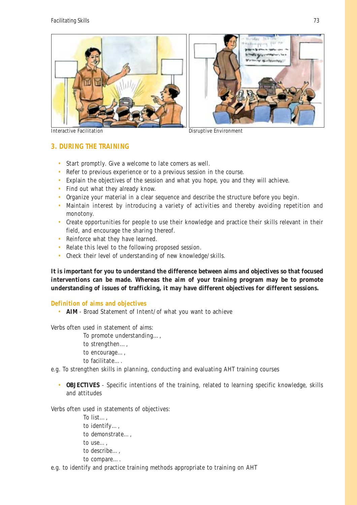

Interactive Facilitation Disruptive Environment

**3. DURING THE TRAINING**

- Start promptly. Give a welcome to late comers as well.
- Refer to previous experience or to a previous session in the course.
- Explain the objectives of the session and what you hope, you and they will achieve.
- Find out what they already know.
- Organize your material in a clear sequence and describe the structure before you begin.
- Maintain interest by introducing a variety of activities and thereby avoiding repetition and monotony.
- Create opportunities for people to use their knowledge and practice their skills relevant in their field, and encourage the sharing thereof.
- Reinforce what they have learned.
- Relate this level to the following proposed session.
- Check their level of understanding of new knowledge/skills.

**It is important for you to understand the difference between aims and objectives so that focused interventions can be made. Whereas the aim of your training program may be to promote understanding of issues of trafficking, it may have different objectives for different sessions.**

**Definition of aims and objectives**

• **AIM** - Broad Statement of Intent/of what you want to achieve

Verbs often used in statement of aims:

- To promote understanding…,
- to strengthen…,
- to encourage…,
- to facilitate….
- e.g. To strengthen skills in planning, conducting and evaluating AHT training courses
	- **OBJECTIVES**  Specific intentions of the training, related to learning specific knowledge, skills and attitudes

Verbs often used in statements of objectives:

To list…, to identify…, to demonstrate…, to use…, to describe…, to compare….

e.g. to identify and practice training methods appropriate to training on AHT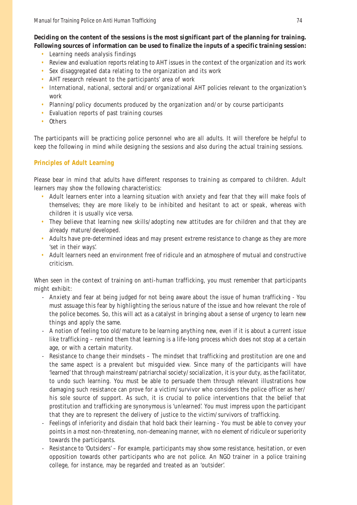**Deciding on the content of the sessions is the most significant part of the planning for training. Following sources of information can be used to finalize the inputs of a specific training session:**

- Learning needs analysis findings
- Review and evaluation reports relating to AHT issues in the context of the organization and its work
- Sex disaggregated data relating to the organization and its work
- AHT research relevant to the participants' area of work
- International, national, sectoral and/or organizational AHT policies relevant to the organization's work
- Planning/policy documents produced by the organization and/or by course participants
- Evaluation reports of past training courses
- Others

The participants will be practicing police personnel who are all adults. It will therefore be helpful to keep the following in mind while designing the sessions and also during the actual training sessions.

### **Principles of Adult Learning**

Please bear in mind that adults have different responses to training as compared to children. Adult learners may show the following characteristics:

- Adult learners enter into a learning situation with anxiety and fear that they will make fools of themselves; they are more likely to be inhibited and hesitant to act or speak, whereas with children it is usually vice versa.
- They believe that learning new skills/adopting new attitudes are for children and that they are already mature/developed.
- Adults have pre-determined ideas and may present extreme resistance to change as they are more 'set in their ways'.
- Adult learners need an environment free of ridicule and an atmosphere of mutual and constructive criticism.

When seen in the context of training on anti-human trafficking, you must remember that participants might exhibit:

- Anxiety and fear at being judged for not being aware about the issue of human trafficking You must assuage this fear by highlighting the serious nature of the issue and how relevant the role of the police becomes. So, this will act as a catalyst in bringing about a sense of urgency to learn new things and apply the same.
- A notion of feeling too old/mature to be learning anything new, even if it is about a current issue like trafficking – remind them that learning is a life-long process which does not stop at a certain age, or with a certain maturity.
- Resistance to change their mindsets The mindset that trafficking and prostitution are one and the same aspect is a prevalent but misguided view. Since many of the participants will have 'learned' that through mainstream/patriarchal society/socialization, it is your duty, as the facilitator, to undo such learning. You must be able to persuade them through relevant illustrations how damaging such resistance can prove for a victim/survivor who considers the police officer as her/ his sole source of support. As such, it is crucial to police interventions that the belief that prostitution and trafficking are synonymous is 'unlearned'. You must impress upon the participant that they are to represent the delivery of justice to the victim/survivors of trafficking.
- Feelings of inferiority and disdain that hold back their learning You must be able to convey your points in a most non-threatening, non-demeaning manner, with no element of ridicule or superiority towards the participants.
- Resistance to 'Outsiders' For example, participants may show some resistance, hesitation, or even opposition towards other participants who are not police. An NGO trainer in a police training college, for instance, may be regarded and treated as an 'outsider'.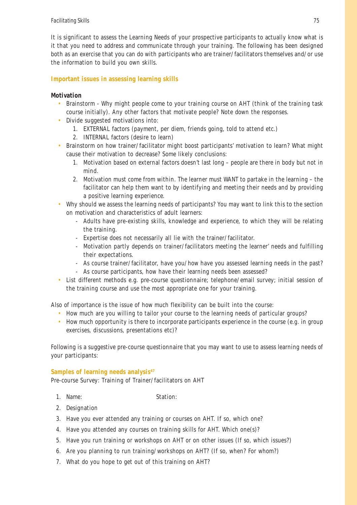It is significant to assess the Learning Needs of your prospective participants to actually know what is it that you need to address and communicate through your training. The following has been designed both as an exercise that you can do with participants who are trainer/facilitators themselves and/or use the information to build you own skills.

### **Important issues in assessing learning skills**

### **Motivation**

- Brainstorm Why might people come to your training course on AHT (think of the training task course initially). Any other factors that motivate people? Note down the responses.
- Divide suggested motivations into:
	- 1. EXTERNAL factors (payment, per diem, friends going, told to attend etc.)
	- 2. INTERNAL factors (desire to learn)
- Brainstorm on how trainer/facilitator might boost participants' motivation to learn? What might cause their motivation to decrease? Some likely conclusions:
	- 1. Motivation based on external factors doesn't last long people are there in body but not in mind.
	- 2. Motivation must come from within. The learner must WANT to partake in the learning the facilitator can help them want to by identifying and meeting their needs and by providing a positive learning experience.
- Why should we assess the learning needs of participants? You may want to link this to the section on motivation and characteristics of adult learners:
	- Adults have pre-existing skills, knowledge and experience, to which they will be relating the training.
	- Expertise does not necessarily all lie with the trainer/facilitator.
	- Motivation partly depends on trainer/facilitators meeting the learner' needs and fulfilling their expectations.
	- As course trainer/facilitator, have you/how have you assessed learning needs in the past?
	- As course participants, how have their learning needs been assessed?
- List different methods e.g. pre-course questionnaire; telephone/email survey; initial session of the training course and use the most appropriate one for your training.

Also of importance is the issue of how much flexibility can be built into the course:

- How much are you willing to tailor your course to the learning needs of particular groups?
- How much opportunity is there to incorporate participants experience in the course (e.g. in group exercises, discussions, presentations etc)?

Following is a suggestive pre-course questionnaire that you may want to use to assess learning needs of your participants:

### Samples of learning needs analysis<sup>47</sup>

Pre-course Survey: Training of Trainer/facilitators on AHT

- 1. Name: Station:
	-

- 2. Designation
- 3. Have you ever attended any training or courses on AHT. If so, which one?
- 4. Have you attended any courses on training skills for AHT. Which one(s)?
- 5. Have you run training or workshops on AHT or on other issues (If so, which issues?)
- 6. Are you planning to run training/workshops on AHT? (If so, when? For whom?)
- 7. What do you hope to get out of this training on AHT?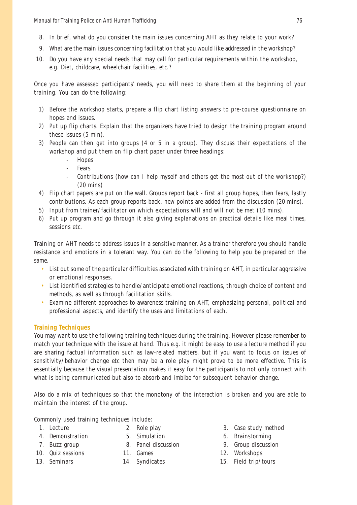- 8. In brief, what do you consider the main issues concerning AHT as they relate to your work?
- 9. What are the main issues concerning facilitation that you would like addressed in the workshop?
- 10. Do you have any special needs that may call for particular requirements within the workshop, e.g. Diet, childcare, wheelchair facilities, etc.?

Once you have assessed participants' needs, you will need to share them at the beginning of your training. You can do the following:

- 1) Before the workshop starts, prepare a flip chart listing answers to pre-course questionnaire on hopes and issues.
- 2) Put up flip charts. Explain that the organizers have tried to design the training program around these issues (5 min).
- 3) People can then get into groups (4 or 5 in a group). They discuss their expectations of the workshop and put them on flip chart paper under three headings:
	- Hopes
	- **Fears**
	- Contributions (how can I help myself and others get the most out of the workshop?) (20 mins)
- 4) Flip chart papers are put on the wall. Groups report back first all group hopes, then fears, lastly contributions. As each group reports back, new points are added from the discussion (20 mins).
- 5) Input from trainer/facilitator on which expectations will and will not be met (10 mins).
- 6) Put up program and go through it also giving explanations on practical details like meal times, sessions etc.

Training on AHT needs to address issues in a sensitive manner. As a trainer therefore you should handle resistance and emotions in a tolerant way. You can do the following to help you be prepared on the same.

- List out some of the particular difficulties associated with training on AHT, in particular aggressive or emotional responses.
- List identified strategies to handle/anticipate emotional reactions, through choice of content and methods, as well as through facilitation skills.
- Examine different approaches to awareness training on AHT, emphasizing personal, political and professional aspects, and identify the uses and limitations of each.

### **Training Techniques**

You may want to use the following training techniques during the training. However please remember to match your technique with the issue at hand. Thus e.g. it might be easy to use a lecture method if you are sharing factual information such as law-related matters, but if you want to focus on issues of sensitivity/behavior change etc then may be a role play might prove to be more effective. This is essentially because the visual presentation makes it easy for the participants to not only connect with what is being communicated but also to absorb and imbibe for subsequent behavior change.

Also do a mix of techniques so that the monotony of the interaction is broken and you are able to maintain the interest of the group.

Commonly used training techniques include:

- 
- 4. Demonstration 5. Simulation 6. Brainstorming
	-
- 
- 
- 
- 
- 
- 
- 1. Lecture 2. Role play 3. Case study method
	-
- 7. Buzz group 8. Panel discussion 9. Group discussion
- 10. Quiz sessions 11. Games 12. Workshops
- 13. Seminars 14. Syndicates 15. Field trip/tours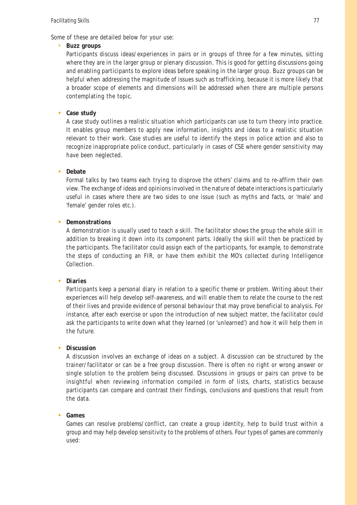Some of these are detailed below for your use:

#### • **Buzz groups**

Participants discuss ideas/experiences in pairs or in groups of three for a few minutes, sitting where they are in the larger group or plenary discussion. This is good for getting discussions going and enabling participants to explore ideas before speaking in the larger group. Buzz groups can be helpful when addressing the magnitude of issues such as trafficking, because it is more likely that a broader scope of elements and dimensions will be addressed when there are multiple persons contemplating the topic.

#### **• Case study**

A case study outlines a realistic situation which participants can use to turn theory into practice. It enables group members to apply new information, insights and ideas to a realistic situation relevant to their work. Case studies are useful to identify the steps in police action and also to recognize inappropriate police conduct, particularly in cases of CSE where gender sensitivity may have been neglected.

#### **• Debate**

Formal talks by two teams each trying to disprove the others' claims and to re-affirm their own view. The exchange of ideas and opinions involved in the nature of debate interactions is particularly useful in cases where there are two sides to one issue (such as myths and facts, or 'male' and 'female' gender roles etc.).

#### **• Demonstrations**

A demonstration is usually used to teach a skill. The facilitator shows the group the whole skill in addition to breaking it down into its component parts. Ideally the skill will then be practiced by the participants. The facilitator could assign each of the participants, for example, to demonstrate the steps of conducting an FIR, or have them exhibit the MO's collected during Intelligence Collection.

#### **• Diaries**

Participants keep a personal diary in relation to a specific theme or problem. Writing about their experiences will help develop self-awareness, and will enable them to relate the course to the rest of their lives and provide evidence of personal behaviour that may prove beneficial to analysis. For instance, after each exercise or upon the introduction of new subject matter, the facilitator could ask the participants to write down what they learned (or 'unlearned') and how it will help them in the future.

#### **• Discussion**

A discussion involves an exchange of ideas on a subject. A discussion can be structured by the trainer/facilitator or can be a free group discussion. There is often no right or wrong answer or single solution to the problem being discussed. Discussions in groups or pairs can prove to be insightful when reviewing information compiled in form of lists, charts, statistics because participants can compare and contrast their findings, conclusions and questions that result from the data.

#### **• Games**

Games can resolve problems/conflict, can create a group identity, help to build trust within a group and may help develop sensitivity to the problems of others. Four types of games are commonly used: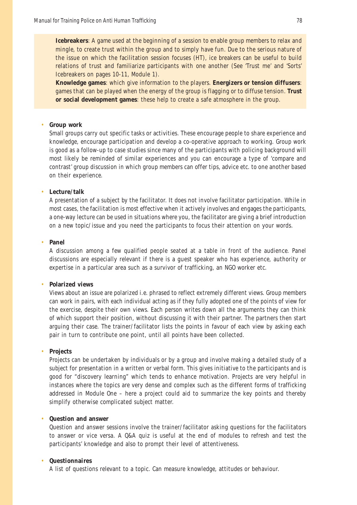**Icebreakers**: A game used at the beginning of a session to enable group members to relax and mingle, to create trust within the group and to simply have fun. Due to the serious nature of the issue on which the facilitation session focuses (HT), ice breakers can be useful to build relations of trust and familiarize participants with one another (See 'Trust me' and 'Sorts' Icebreakers on pages 10-11, Module 1).

**Knowledge games**: which give information to the players. **Energizers or tension diffusers**: games that can be played when the energy of the group is flagging or to diffuse tension. **Trust or social development games**: these help to create a safe atmosphere in the group.

#### • **Group work**

Small groups carry out specific tasks or activities. These encourage people to share experience and knowledge, encourage participation and develop a co-operative approach to working. Group work is good as a follow-up to case studies since many of the participants with policing background will most likely be reminded of similar experiences and you can encourage a type of 'compare and contrast' group discussion in which group members can offer tips, advice etc. to one another based on their experience.

#### • **Lecture/talk**

A presentation of a subject by the facilitator. It does not involve facilitator participation. While in most cases, the facilitation is most effective when it actively involves and engages the participants, a one-way lecture can be used in situations where you, the facilitator are giving a brief introduction on a new topic/issue and you need the participants to focus their attention on your words.

#### • **Panel**

A discussion among a few qualified people seated at a table in front of the audience. Panel discussions are especially relevant if there is a guest speaker who has experience, authority or expertise in a particular area such as a survivor of trafficking, an NGO worker etc.

#### • **Polarized views**

Views about an issue are polarized i.e. phrased to reflect extremely different views. Group members can work in pairs, with each individual acting as if they fully adopted one of the points of view for the exercise, despite their own views. Each person writes down all the arguments they can think of which support their position, without discussing it with their partner. The partners then start arguing their case. The trainer/facilitator lists the points in favour of each view by asking each pair in turn to contribute one point, until all points have been collected.

#### • **Projects**

Projects can be undertaken by individuals or by a group and involve making a detailed study of a subject for presentation in a written or verbal form. This gives initiative to the participants and is good for "discovery learning" which tends to enhance motivation. Projects are very helpful in instances where the topics are very dense and complex such as the different forms of trafficking addressed in Module One – here a project could aid to summarize the key points and thereby simplify otherwise complicated subject matter.

#### • **Question and answer**

Question and answer sessions involve the trainer/facilitator asking questions for the facilitators to answer or vice versa. A Q&A quiz is useful at the end of modules to refresh and test the participants' knowledge and also to prompt their level of attentiveness.

#### • **Questionnaires**

A list of questions relevant to a topic. Can measure knowledge, attitudes or behaviour.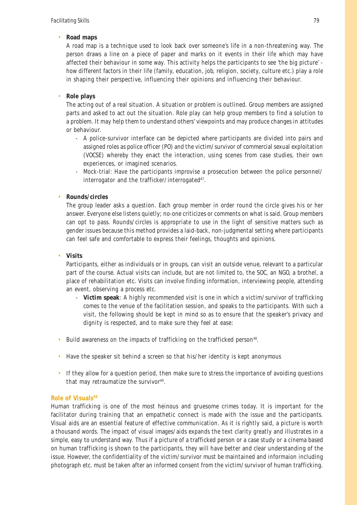### • **Road maps**

A road map is a technique used to look back over someone's life in a non-threatening way. The person draws a line on a piece of paper and marks on it events in their life which may have affected their behaviour in some way. This activity helps the participants to see 'the big picture' how different factors in their life (family, education, job, religion, society, culture etc.) play a role in shaping their perspective, influencing their opinions and influencing their behaviour.

### • **Role plays**

The acting out of a real situation. A situation or problem is outlined. Group members are assigned parts and asked to act out the situation. Role play can help group members to find a solution to a problem. It may help them to understand others' viewpoints and may produce changes in attitudes or behaviour.

- A police-survivor interface can be depicted where participants are divided into pairs and assigned roles as police officer (PO) and the victim/survivor of commercial sexual exploitation (VOCSE) whereby they enact the interaction, using scenes from case studies, their own experiences, or imagined scenarios.
- Mock-trial: Have the participants improvise a prosecution between the police personnel/ interrogator and the trafficker/interrogated<sup>47</sup>.

### • **Rounds/circles**

The group leader asks a question. Each group member in order round the circle gives his or her answer. Everyone else listens quietly; no-one criticizes or comments on what is said. Group members can opt to pass. Rounds/circles is appropriate to use in the light of sensitive matters such as gender issues because this method provides a laid-back, non-judgmental setting where participants can feel safe and comfortable to express their feelings, thoughts and opinions.

### • **Visits**

Participants, either as individuals or in groups, can visit an outside venue, relevant to a particular part of the course. Actual visits can include, but are not limited to, the SOC, an NGO, a brothel, a place of rehabilitation etc. Visits can involve finding information, interviewing people, attending an event, observing a process etc.

- **Victim speak**: A highly recommended visit is one in which a victim/survivor of trafficking comes to the venue of the facilitation session, and speaks to the participants. With such a visit, the following should be kept in mind so as to ensure that the speaker's privacy and dignity is respected, and to make sure they feel at ease:
- Build awareness on the impacts of trafficking on the trafficked person<sup>48</sup>.
- Have the speaker sit behind a screen so that his/her identity is kept anonymous
- If they allow for a question period, then make sure to stress the importance of avoiding questions that may retraumatize the survivor $49$ .

### **Role of Visuals50**

Human trafficking is one of the most heinous and gruesome crimes today. It is important for the facilitator during training that an empathetic connect is made with the issue and the participants. Visual aids are an essential feature of effective communication. As it is rightly said, a picture is worth a thousand words. The impact of visual images/aids expands the text clarity greatly and illustrates in a simple, easy to understand way. Thus if a picture of a trafficked person or a case study or a cinema based on human trafficking is shown to the participants, they will have better and clear understanding of the issue. However, the confidentiality of the victim/survivor must be maintained and informaion including photograph etc. must be taken after an informed consent from the victim/survivor of human trafficking.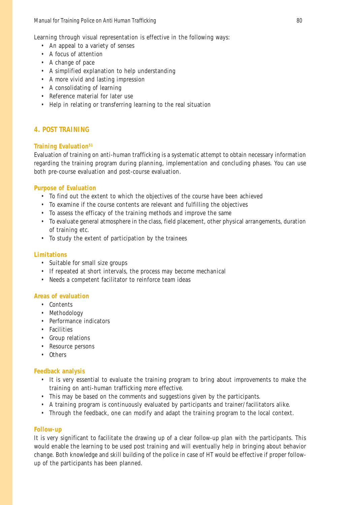Learning through visual representation is effective in the following ways:

- An appeal to a variety of senses
- A focus of attention
- A change of pace
- A simplified explanation to help understanding
- A more vivid and lasting impression
- A consolidating of learning
- Reference material for later use
- Help in relating or transferring learning to the real situation

### **4. POST TRAINING**

### **Training Evaluation51**

Evaluation of training on anti-human trafficking is a systematic attempt to obtain necessary information regarding the training program during planning, implementation and concluding phases. You can use both pre-course evaluation and post-course evaluation.

### **Purpose of Evaluation**

- To find out the extent to which the objectives of the course have been achieved
- To examine if the course contents are relevant and fulfilling the objectives
- To assess the efficacy of the training methods and improve the same
- To evaluate general atmosphere in the class, field placement, other physical arrangements, duration of training etc.
- To study the extent of participation by the trainees

### **Limitations**

- Suitable for small size groups
- If repeated at short intervals, the process may become mechanical
- Needs a competent facilitator to reinforce team ideas

### **Areas of evaluation**

- Contents
- Methodology
- Performance indicators
- Facilities
- Group relations
- Resource persons
- Others

### **Feedback analysis**

- It is very essential to evaluate the training program to bring about improvements to make the training on anti-human trafficking more effective.
- This may be based on the comments and suggestions given by the participants.
- A training program is continuously evaluated by participants and trainer/facilitators alike.
- Through the feedback, one can modify and adapt the training program to the local context.

### **Follow-up**

It is very significant to facilitate the drawing up of a clear follow-up plan with the participants. This would enable the learning to be used post training and will eventually help in bringing about behavior change. Both knowledge and skill building of the police in case of HT would be effective if proper followup of the participants has been planned.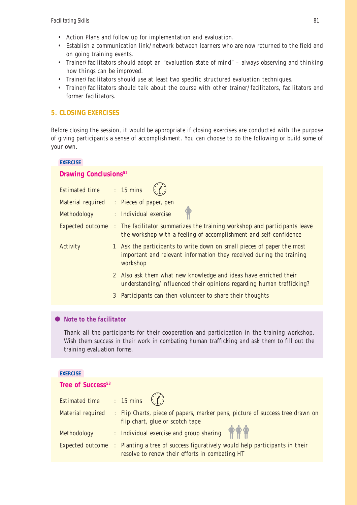- Action Plans and follow up for implementation and evaluation.
- Establish a communication link/network between learners who are now returned to the field and on going training events.
- Trainer/facilitators should adopt an "evaluation state of mind" always observing and thinking how things can be improved.
- Trainer/facilitators should use at least two specific structured evaluation techniques.
- Trainer/facilitators should talk about the course with other trainer/facilitators, facilitators and former facilitators.

### **5. CLOSING EXERCISES**

Before closing the session, it would be appropriate if closing exercises are conducted with the purpose of giving participants a sense of accomplishment. You can choose to do the following or build some of your own.

#### **EXERCISE**

### **Drawing Conclusions52**

| <b>Estimated time</b> |              | $: 15 \text{ mins}$                                                                                                                                      |
|-----------------------|--------------|----------------------------------------------------------------------------------------------------------------------------------------------------------|
| Material required     |              | : Pieces of paper, pen                                                                                                                                   |
| Methodology           |              | : Individual exercise                                                                                                                                    |
| Expected outcome      |              | : The facilitator summarizes the training workshop and participants leave<br>the workshop with a feeling of accomplishment and self-confidence           |
| Activity              |              | Ask the participants to write down on small pieces of paper the most<br>important and relevant information they received during the training<br>workshop |
|                       | $\mathbf{2}$ | Also ask them what new knowledge and ideas have enriched their<br>understanding/influenced their opinions regarding human trafficking?                   |
|                       | 3            | Participants can then volunteer to share their thoughts                                                                                                  |
|                       |              |                                                                                                                                                          |

### *Note to the facilitator*

Thank all the participants for their cooperation and participation in the training workshop. Wish them success in their work in combating human trafficking and ask them to fill out the training evaluation forms.

#### **EXERCISE**

### **Tree of Success<sup>53</sup>**

| Estimated time : 15 mins $\binom{7}{1}$ |                                                                                                                                               |
|-----------------------------------------|-----------------------------------------------------------------------------------------------------------------------------------------------|
| Material required                       | : Flip Charts, piece of papers, marker pens, picture of success tree drawn on<br>flip chart, glue or scotch tape                              |
| Methodology                             | : Individual exercise and group sharing                                                                                                       |
|                                         | Expected outcome : Planting a tree of success figuratively would help participants in their<br>resolve to renew their efforts in combating HT |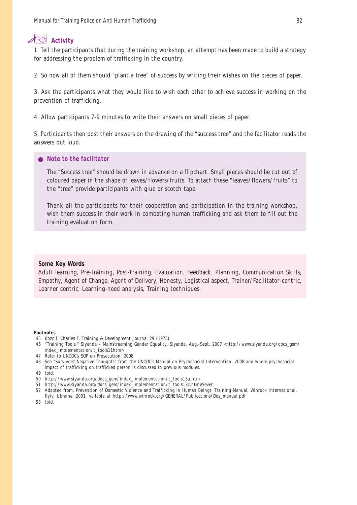# **Activity**

1. Tell the participants that during the training workshop, an attempt has been made to build a strategy for addressing the problem of trafficking in the country.

2. So now all of them should "plant a tree" of success by writing their wishes on the pieces of paper.

3. Ask the participants what they would like to wish each other to achieve success in working on the prevention of trafficking.

4. Allow participants 7-9 minutes to write their answers on small pieces of paper.

5. Participants then post their answers on the drawing of the "success tree" and the facilitator reads the answers out loud.

#### *Note to the facilitator*

The "Success tree" should be drawn in advance on a flipchart. Small pieces should be cut out of coloured paper in the shape of leaves/flowers/fruits. To attach these "leaves/flowers/fruits" to the "tree" provide participants with glue or scotch tape.

Thank all the participants for their cooperation and participation in the training workshop, wish them success in their work in combating human trafficking and ask them to fill out the training evaluation form.

#### **Some Key Words**

Adult learning, Pre-training, Post-training, Evaluation, Feedback, Planning, Communication Skills, Empathy, Agent of Change, Agent of Delivery, Honesty, Logistical aspect, Trainer/Facilitator-centric, Learner centric, Learning-need analysis, Training techniques.

#### **Footnotes**

- 45 Kozoll, Charles F. Training & Development Journal 29 (1975).
- 46 "Training Tools." Siyanda Mainstreaming Gender Equality. Siyanda. Aug.-Sept. 2007 <http://www.siyanda.org/docs\_gem/ index\_implementation/t\_tools11htm>
- 47 Refer to UNODC's SOP on Prosecution, 2008.
- 48 See "Survivors' Negative Thoughts" from the UNODC's Manual on Psychosocial Intervention, 2008 and where psychosocial impact of trafficking on trafficked person is discussed in previous modules.
- 49 Ibid.
- 50 http://www.siyanda.org/docs\_gem/index\_implementation/t\_tools13a.htm
- 51 http://www.siyanda.org/docs\_gem/index\_implementation/t\_tools13c.htm#Seven
- 52 Adapted from, Prevention of Domestic Violence and Trafficking in Human Beings, Training Manual, Winrock International, Kyiv, Ukraine, 2001, vailable at http://www.winrock.org/GENERAL/Publications/Dos\_manual.pdf
- 53 Ibid.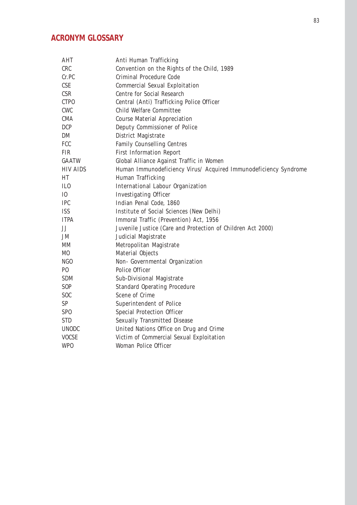# **ACRONYM GLOSSARY**

| <b>AHT</b>      | Anti Human Trafficking                                           |
|-----------------|------------------------------------------------------------------|
| <b>CRC</b>      | Convention on the Rights of the Child, 1989                      |
| Cr.PC           | <b>Criminal Procedure Code</b>                                   |
| <b>CSE</b>      | <b>Commercial Sexual Exploitation</b>                            |
| <b>CSR</b>      | <b>Centre for Social Research</b>                                |
| <b>CTPO</b>     | Central (Anti) Trafficking Police Officer                        |
| <b>CWC</b>      | Child Welfare Committee                                          |
| <b>CMA</b>      | <b>Course Material Appreciation</b>                              |
| <b>DCP</b>      | Deputy Commissioner of Police                                    |
| DM              | District Magistrate                                              |
| <b>FCC</b>      | <b>Family Counselling Centres</b>                                |
| <b>FIR</b>      | <b>First Information Report</b>                                  |
| <b>GAATW</b>    | Global Alliance Against Traffic in Women                         |
| <b>HIV AIDS</b> | Human Immunodeficiency Virus/ Acquired Immunodeficiency Syndrome |
| HT              | Human Trafficking                                                |
| IL <sub>0</sub> | <b>International Labour Organization</b>                         |
| I <sub>0</sub>  | <b>Investigating Officer</b>                                     |
| <b>IPC</b>      | Indian Penal Code, 1860                                          |
| <b>ISS</b>      | Institute of Social Sciences (New Delhi)                         |
| <b>ITPA</b>     | Immoral Traffic (Prevention) Act, 1956                           |
| JJ              | Juvenile Justice (Care and Protection of Children Act 2000)      |
| <b>JM</b>       | Judicial Magistrate                                              |
| MM              | Metropolitan Magistrate                                          |
| M <sub>0</sub>  | Material Objects                                                 |
| NGO             | Non- Governmental Organization                                   |
| P <sub>0</sub>  | Police Officer                                                   |
| <b>SDM</b>      | Sub-Divisional Magistrate                                        |
| S <sub>OP</sub> | <b>Standard Operating Procedure</b>                              |
| S <sub>OC</sub> | Scene of Crime                                                   |
| <b>SP</b>       | Superintendent of Police                                         |
| SP <sub>0</sub> | <b>Special Protection Officer</b>                                |
| <b>STD</b>      | <b>Sexually Transmitted Disease</b>                              |
| <b>UNODC</b>    | United Nations Office on Drug and Crime                          |
| <b>VOCSE</b>    | Victim of Commercial Sexual Exploitation                         |
| <b>WPO</b>      | <b>Woman Police Officer</b>                                      |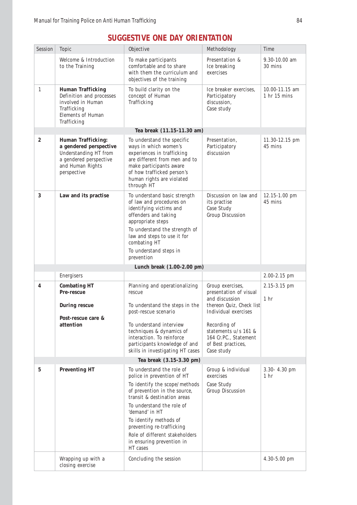| Session                  | Topic                                                                                                                                     | Objective                                                                                                                                                                                                                                                                                                                                | Methodology                                                                                                                                             | Time                                                 |  |  |
|--------------------------|-------------------------------------------------------------------------------------------------------------------------------------------|------------------------------------------------------------------------------------------------------------------------------------------------------------------------------------------------------------------------------------------------------------------------------------------------------------------------------------------|---------------------------------------------------------------------------------------------------------------------------------------------------------|------------------------------------------------------|--|--|
|                          | Welcome & Introduction<br>to the Training                                                                                                 | To make participants<br>comfortable and to share<br>with them the curriculum and<br>objectives of the training                                                                                                                                                                                                                           | Presentation &<br>Ice breaking<br>exercises                                                                                                             | $9.30 - 10.00$ am<br>30 mins                         |  |  |
| $\mathbf{1}$             | <b>Human Trafficking</b><br>Definition and processes<br>involved in Human<br>Trafficking<br><b>Elements of Human</b><br>Trafficking       | To build clarity on the<br>concept of Human<br>Trafficking                                                                                                                                                                                                                                                                               | Ice breaker exercises,<br>Participatory<br>discussion,<br>Case study                                                                                    | $10.00 - 11.15$ am<br>$1 \text{ hr} 15 \text{ mins}$ |  |  |
|                          |                                                                                                                                           | Tea break (11.15-11.30 am)                                                                                                                                                                                                                                                                                                               |                                                                                                                                                         |                                                      |  |  |
| $\boldsymbol{2}$         | <b>Human Trafficking:</b><br>a gendered perspective<br>Understanding HT from<br>a gendered perspective<br>and Human Rights<br>perspective | To understand the specific<br>ways in which women's<br>experiences in trafficking<br>are different from men and to<br>make participants aware<br>of how trafficked person's<br>human rights are violated<br>through HT                                                                                                                   | Presentation,<br>Participatory<br>discussion                                                                                                            | 11.30-12.15 pm<br>45 mins                            |  |  |
| 3                        | Law and its practise                                                                                                                      | To understand basic strength<br>of law and procedures on<br>identifying victims and<br>offenders and taking<br>appropriate steps<br>To understand the strength of<br>law and steps to use it for<br>combating HT<br>To understand steps in<br>prevention                                                                                 | Discussion on law and<br>its practise<br>Case Study<br><b>Group Discussion</b>                                                                          | $12.15 - 1.00$ pm<br>45 mins                         |  |  |
|                          |                                                                                                                                           | Lunch break (1.00-2.00 pm)                                                                                                                                                                                                                                                                                                               |                                                                                                                                                         |                                                      |  |  |
|                          | Energisers                                                                                                                                |                                                                                                                                                                                                                                                                                                                                          |                                                                                                                                                         | $2.00 - 2.15$ pm                                     |  |  |
| 4                        | <b>Combating HT</b><br><b>Pre-rescue</b>                                                                                                  | Planning and operationalizing<br>rescue                                                                                                                                                                                                                                                                                                  | Group exercises,<br>presentation of visual<br>and discussion                                                                                            | $2.15 - 3.15$ pm<br>1 <sub>hr</sub>                  |  |  |
|                          | <b>During rescue</b><br>Post-rescue care &<br>attention                                                                                   | To understand the steps in the<br>post-rescue scenario<br>To understand interview<br>techniques & dynamics of<br>interaction. To reinforce<br>participants knowledge of and<br>skills in investigating HT cases                                                                                                                          | thereon Quiz, Check list<br>Individual exercises<br>Recording of<br>statements $u/s$ 161 &<br>164 Cr.PC., Statement<br>of Best practices,<br>Case study |                                                      |  |  |
| Tea break (3.15-3.30 pm) |                                                                                                                                           |                                                                                                                                                                                                                                                                                                                                          |                                                                                                                                                         |                                                      |  |  |
| $5\phantom{.0}$          | <b>Preventing HT</b>                                                                                                                      | To understand the role of<br>police in prevention of HT<br>To identify the scope/methods<br>of prevention in the source,<br>transit & destination areas<br>To understand the role of<br>'demand' in HT<br>To identify methods of<br>preventing re-trafficking<br>Role of different stakeholders<br>in ensuring prevention in<br>HT cases | Group & individual<br>exercises<br>Case Study<br><b>Group Discussion</b>                                                                                | 3.30-4.30 pm<br>1 <sub>hr</sub>                      |  |  |
|                          | Wrapping up with a<br>closing exercise                                                                                                    | Concluding the session                                                                                                                                                                                                                                                                                                                   |                                                                                                                                                         | $4.30 - 5.00$ pm                                     |  |  |

# **SUGGESTIVE ONE DAY ORIENTATION**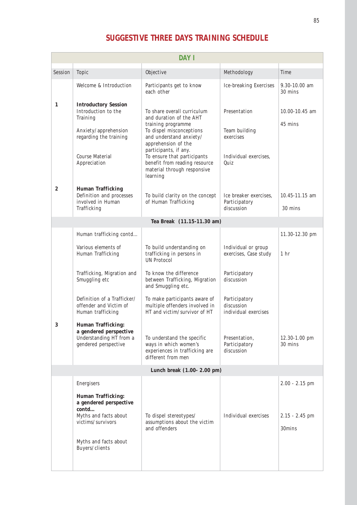# **SUGGESTIVE THREE DAYS TRAINING SCHEDULE**

| <b>DAY I</b>               |                                                                                                                                                                     |                                                                                                                                                                                                                                                                                                |                                                                             |                                                |  |  |
|----------------------------|---------------------------------------------------------------------------------------------------------------------------------------------------------------------|------------------------------------------------------------------------------------------------------------------------------------------------------------------------------------------------------------------------------------------------------------------------------------------------|-----------------------------------------------------------------------------|------------------------------------------------|--|--|
| Session                    | Topic                                                                                                                                                               | Objective                                                                                                                                                                                                                                                                                      | Methodology                                                                 | Time                                           |  |  |
|                            | Welcome & Introduction                                                                                                                                              | Participants get to know<br>each other                                                                                                                                                                                                                                                         | <b>Ice-breaking Exercises</b>                                               | $9.30 - 10.00$ am<br>30 mins                   |  |  |
| 1                          | <b>Introductory Session</b><br>Introduction to the<br>Training<br>Anxiety/apprehension<br>regarding the training<br><b>Course Material</b><br>Appreciation          | To share overall curriculum<br>and duration of the AHT<br>training programme<br>To dispel misconceptions<br>and understand anxiety/<br>apprehension of the<br>participants, if any.<br>To ensure that participants<br>benefit from reading resource<br>material through responsive<br>learning | Presentation<br>Team building<br>exercises<br>Individual exercises,<br>Quiz | 10.00-10.45 am<br>45 mins                      |  |  |
| $\boldsymbol{2}$           | <b>Human Trafficking</b><br>Definition and processes<br>involved in Human<br>Trafficking                                                                            | To build clarity on the concept<br>of Human Trafficking                                                                                                                                                                                                                                        | Ice breaker exercises,<br>Participatory<br>discussion                       | $10.45 - 11.15$ am<br>30 mins                  |  |  |
|                            |                                                                                                                                                                     | Tea Break (11.15-11.30 am)                                                                                                                                                                                                                                                                     |                                                                             |                                                |  |  |
|                            | Human trafficking contd                                                                                                                                             |                                                                                                                                                                                                                                                                                                |                                                                             | 11.30-12.30 pm                                 |  |  |
|                            | Various elements of<br>Human Trafficking                                                                                                                            | To build understanding on<br>trafficking in persons in<br><b>UN</b> Protocol                                                                                                                                                                                                                   | Individual or group<br>exercises, Case study                                | 1 <sub>hr</sub>                                |  |  |
|                            | Trafficking, Migration and<br>Smuggling etc                                                                                                                         | To know the difference<br>between Trafficking, Migration<br>and Smuggling etc.                                                                                                                                                                                                                 | Participatory<br>discussion                                                 |                                                |  |  |
|                            | Definition of a Trafficker/<br>offender and Victim of<br>Human trafficking                                                                                          | To make participants aware of<br>multiple offenders involved in<br>HT and victim/survivor of HT                                                                                                                                                                                                | Participatory<br>discussion<br>individual exercises                         |                                                |  |  |
| 3                          | <b>Human Trafficking:</b><br>a gendered perspective<br>Understanding HT from a<br>gendered perspective                                                              | To understand the specific<br>ways in which women's<br>experiences in trafficking are<br>different from men                                                                                                                                                                                    | Presentation,<br>Participatory<br>discussion                                | 12.30-1.00 pm<br>30 mins                       |  |  |
| Lunch break (1.00-2.00 pm) |                                                                                                                                                                     |                                                                                                                                                                                                                                                                                                |                                                                             |                                                |  |  |
|                            | Energisers<br><b>Human Trafficking:</b><br>a gendered perspective<br>contd<br>Myths and facts about<br>victims/survivors<br>Myths and facts about<br>Buyers/clients | To dispel stereotypes/<br>assumptions about the victim<br>and offenders                                                                                                                                                                                                                        | Individual exercises                                                        | $2.00 - 2.15$ pm<br>$2.15 - 2.45$ pm<br>30mins |  |  |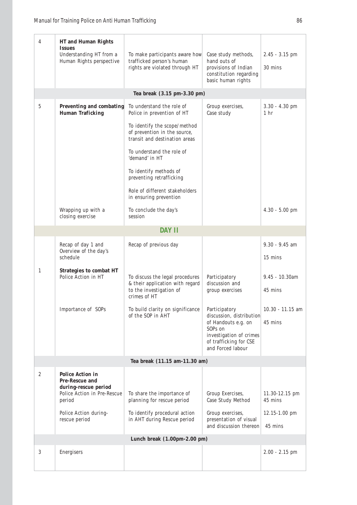| 4 | <b>HT</b> and Human Rights<br><i><u><b>Issues</b></u></i><br>Understanding HT from a<br>Human Rights perspective | To make participants aware how<br>trafficked person's human<br>rights are violated through HT                 | Case study methods,<br>hand outs of<br>provisions of Indian<br>constitution regarding<br>basic human rights                                           | $2.45 - 3.15$ pm<br>30 mins         |
|---|------------------------------------------------------------------------------------------------------------------|---------------------------------------------------------------------------------------------------------------|-------------------------------------------------------------------------------------------------------------------------------------------------------|-------------------------------------|
|   |                                                                                                                  | Tea break (3.15 pm-3.30 pm)                                                                                   |                                                                                                                                                       |                                     |
| 5 | Preventing and combating<br><b>Human Traficking</b>                                                              | To understand the role of<br>Police in prevention of HT<br>To identify the scope/method                       | Group exercises,<br>Case study                                                                                                                        | $3.30 - 4.30$ pm<br>1 <sub>hr</sub> |
|   |                                                                                                                  | of prevention in the source,<br>transit and destination areas                                                 |                                                                                                                                                       |                                     |
|   |                                                                                                                  | To understand the role of<br>'demand' in HT                                                                   |                                                                                                                                                       |                                     |
|   |                                                                                                                  | To identify methods of<br>preventing retrafficking                                                            |                                                                                                                                                       |                                     |
|   |                                                                                                                  | Role of different stakeholders<br>in ensuring prevention                                                      |                                                                                                                                                       |                                     |
|   | Wrapping up with a<br>closing exercise                                                                           | To conclude the day's<br>session                                                                              |                                                                                                                                                       | $4.30 - 5.00$ pm                    |
|   |                                                                                                                  | <b>DAY II</b>                                                                                                 |                                                                                                                                                       |                                     |
|   | Recap of day 1 and<br>Overview of the day's<br>schedule                                                          | Recap of previous day                                                                                         |                                                                                                                                                       | $9.30 - 9.45$ am<br>15 mins         |
| 1 | <b>Strategies to combat HT</b><br>Police Action in HT                                                            | To discuss the legal procedures<br>& their application with regard<br>to the investigation of<br>crimes of HT | Participatory<br>discussion and<br>group exercises                                                                                                    | $9.45 - 10.30$ am<br>45 mins        |
|   | Importance of SOPs                                                                                               | To build clarity on significance<br>of the SOP in AHT                                                         | Participatory<br>discussion, distribution<br>of Handouts e.g. on<br>SOPs on<br>investigation of crimes<br>of trafficking for CSE<br>and Forced labour | $10.30 - 11.15$ am<br>45 mins       |
|   |                                                                                                                  | Tea break (11.15 am-11.30 am)                                                                                 |                                                                                                                                                       |                                     |
| 2 | <b>Police Action in</b><br><b>Pre-Rescue and</b><br>during-rescue period<br>Police Action in Pre-Rescue          | To share the importance of                                                                                    | Group Exercises,                                                                                                                                      | 11.30-12.15 pm                      |
|   | period                                                                                                           | planning for rescue period                                                                                    | Case Study Method                                                                                                                                     | 45 mins                             |
|   | Police Action during-<br>rescue period                                                                           | To identify procedural action<br>in AHT during Rescue period                                                  | Group exercises,<br>presentation of visual<br>and discussion thereon                                                                                  | 12.15-1.00 pm<br>45 mins            |
|   |                                                                                                                  | Lunch break (1.00pm-2.00 pm)                                                                                  |                                                                                                                                                       |                                     |
| 3 | Energisers                                                                                                       |                                                                                                               |                                                                                                                                                       | $2.00 - 2.15$ pm                    |
|   |                                                                                                                  |                                                                                                               |                                                                                                                                                       |                                     |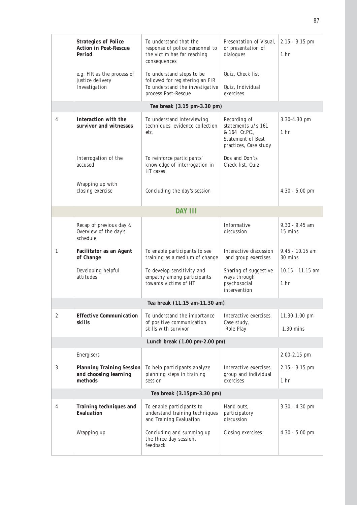|                  | <b>Strategies of Police</b><br><b>Action in Post-Rescue</b><br><b>Period</b> | To understand that the<br>response of police personnel to<br>the victim has far reaching<br>consequences               | Presentation of Visual,<br>or presentation of<br>dialogues                                               | $2.15 - 3.15$ pm<br>1 <sub>hr</sub>   |  |  |  |  |
|------------------|------------------------------------------------------------------------------|------------------------------------------------------------------------------------------------------------------------|----------------------------------------------------------------------------------------------------------|---------------------------------------|--|--|--|--|
|                  | e.g. FIR as the process of<br>justice delivery<br>Investigation              | To understand steps to be<br>followed for registering an FIR<br>To understand the investigative<br>process Post-Rescue | Quiz, Check list<br>Quiz, Individual<br>exercises                                                        |                                       |  |  |  |  |
|                  |                                                                              | Tea break (3.15 pm-3.30 pm)                                                                                            |                                                                                                          |                                       |  |  |  |  |
| $\overline{4}$   | <b>Interaction with the</b><br>survivor and witnesses                        | To understand interviewing<br>techniques, evidence collection<br>etc.                                                  | Recording of<br>statements u/s 161<br>& 164 Cr.PC.,<br><b>Statement of Best</b><br>practices, Case study | 3.30-4.30 pm<br>1 <sub>hr</sub>       |  |  |  |  |
|                  | Interrogation of the<br>accused                                              | To reinforce participants'<br>knowledge of interrogation in<br>HT cases                                                | Dos and Don'ts<br>Check list, Quiz                                                                       |                                       |  |  |  |  |
|                  | Wrapping up with<br>closing exercise                                         | Concluding the day's session                                                                                           |                                                                                                          | $4.30 - 5.00$ pm                      |  |  |  |  |
|                  |                                                                              | <b>DAY III</b>                                                                                                         |                                                                                                          |                                       |  |  |  |  |
|                  | Recap of previous day &<br>Overview of the day's<br>schedule                 |                                                                                                                        | Informative<br>discussion                                                                                | $9.30 - 9.45$ am<br>15 mins           |  |  |  |  |
| 1                | <b>Facilitator as an Agent</b><br>of Change                                  | To enable participants to see<br>training as a medium of change                                                        | Interactive discussion<br>and group exercises                                                            | $9.45 - 10.15$ am<br>30 mins          |  |  |  |  |
|                  | Developing helpful<br>attitudes                                              | To develop sensitivity and<br>empathy among participants<br>towards victims of HT                                      | Sharing of suggestive<br>ways through<br>psychosocial<br>intervention                                    | $10.15 - 11.15$ am<br>1 <sub>hr</sub> |  |  |  |  |
|                  |                                                                              | Tea break (11.15 am-11.30 am)                                                                                          |                                                                                                          |                                       |  |  |  |  |
| $\boldsymbol{2}$ | <b>Effective Communication</b><br>skills                                     | To understand the importance<br>of positive communication<br>skills with survivor                                      | Interactive exercises,<br>Case study,<br>Role Play                                                       | 11.30-1.00 pm<br>$1.30$ mins          |  |  |  |  |
|                  | Lunch break $(1.00 \text{ pm-}2.00 \text{ pm})$                              |                                                                                                                        |                                                                                                          |                                       |  |  |  |  |
|                  | Energisers                                                                   |                                                                                                                        |                                                                                                          | $2.00 - 2.15$ pm                      |  |  |  |  |
| 3                | <b>Planning Training Session</b><br>and choosing learning<br>methods         | To help participants analyze<br>planning steps in training<br>session                                                  | Interactive exercises,<br>group and individual<br>exercises                                              | $2.15 - 3.15$ pm<br>1 <sub>hr</sub>   |  |  |  |  |
|                  | Tea break (3.15pm-3.30 pm)                                                   |                                                                                                                        |                                                                                                          |                                       |  |  |  |  |
| 4                | <b>Training techniques and</b><br><b>Evaluation</b>                          | To enable participants to<br>understand training techniques<br>and Training Evaluation                                 | Hand outs,<br>participatory<br>discussion                                                                | $3.30 - 4.30$ pm                      |  |  |  |  |
|                  | Wrapping up                                                                  | Concluding and summing up<br>the three day session,<br>feedback                                                        | Closing exercises                                                                                        | $4.30 - 5.00$ pm                      |  |  |  |  |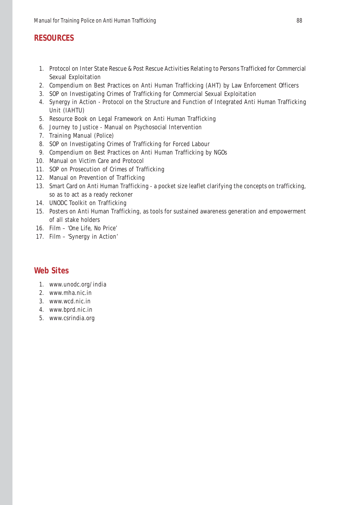## **RESOURCES**

- 1. Protocol on Inter State Rescue & Post Rescue Activities Relating to Persons Trafficked for Commercial Sexual Exploitation
- 2. Compendium on Best Practices on Anti Human Trafficking (AHT) by Law Enforcement Officers
- 3. SOP on Investigating Crimes of Trafficking for Commercial Sexual Exploitation
- 4. Synergy in Action Protocol on the Structure and Function of Integrated Anti Human Trafficking Unit (IAHTU)
- 5. Resource Book on Legal Framework on Anti Human Trafficking
- 6. Journey to Justice Manual on Psychosocial Intervention
- 7. Training Manual (Police)
- 8. SOP on Investigating Crimes of Trafficking for Forced Labour
- 9. Compendium on Best Practices on Anti Human Trafficking by NGOs
- 10. Manual on Victim Care and Protocol
- 11. SOP on Prosecution of Crimes of Trafficking
- 12. Manual on Prevention of Trafficking
- 13. Smart Card on Anti Human Trafficking a pocket size leaflet clarifying the concepts on trafficking, so as to act as a ready reckoner
- 14. UNODC Toolkit on Trafficking
- 15. Posters on Anti Human Trafficking, as tools for sustained awareness generation and empowerment of all stake holders
- 16. Film 'One Life, No Price'
- 17. Film 'Synergy in Action'

## **Web Sites**

- 1. www.unodc.org/india
- 2. www.mha.nic.in
- 3. www.wcd.nic.in
- 4. www.bprd.nic.in
- 5. www.csrindia.org